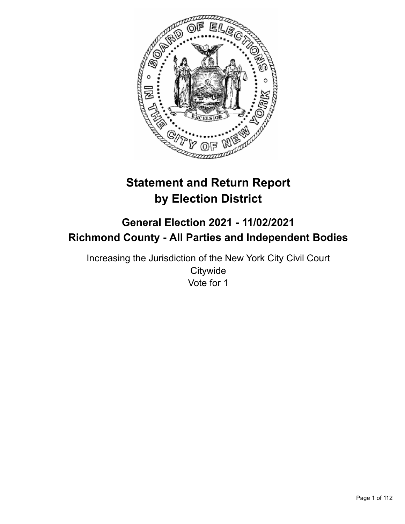

# **Statement and Return Report by Election District**

## **General Election 2021 - 11/02/2021 Richmond County - All Parties and Independent Bodies**

Increasing the Jurisdiction of the New York City Civil Court **Citywide** Vote for 1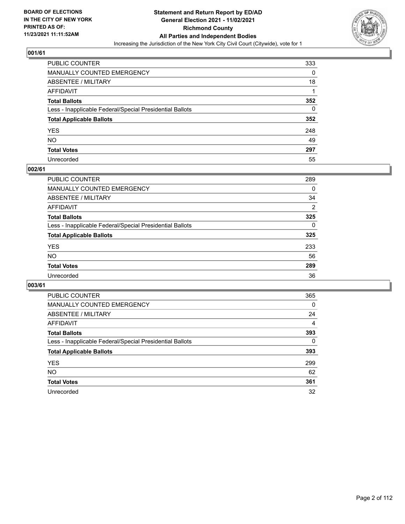

| PUBLIC COUNTER                                           | 333 |
|----------------------------------------------------------|-----|
| MANUALLY COUNTED EMERGENCY                               | 0   |
| ABSENTEE / MILITARY                                      | 18  |
| AFFIDAVIT                                                |     |
| Total Ballots                                            | 352 |
| Less - Inapplicable Federal/Special Presidential Ballots | 0   |
| <b>Total Applicable Ballots</b>                          | 352 |
| YES                                                      | 248 |
| NO.                                                      | 49  |
| <b>Total Votes</b>                                       | 297 |
| Unrecorded                                               | 55  |

#### **002/61**

| PUBLIC COUNTER                                           | 289            |
|----------------------------------------------------------|----------------|
| <b>MANUALLY COUNTED EMERGENCY</b>                        | 0              |
| ABSENTEE / MILITARY                                      | 34             |
| AFFIDAVIT                                                | $\overline{2}$ |
| <b>Total Ballots</b>                                     | 325            |
| Less - Inapplicable Federal/Special Presidential Ballots | $\Omega$       |
| <b>Total Applicable Ballots</b>                          | 325            |
| <b>YES</b>                                               | 233            |
| <b>NO</b>                                                | 56             |
| <b>Total Votes</b>                                       | 289            |
| Unrecorded                                               | 36             |

| PUBLIC COUNTER                                           | 365      |
|----------------------------------------------------------|----------|
| <b>MANUALLY COUNTED EMERGENCY</b>                        | 0        |
| ABSENTEE / MILITARY                                      | 24       |
| <b>AFFIDAVIT</b>                                         | 4        |
| <b>Total Ballots</b>                                     | 393      |
| Less - Inapplicable Federal/Special Presidential Ballots | $\Omega$ |
| <b>Total Applicable Ballots</b>                          | 393      |
| <b>YES</b>                                               | 299      |
| <b>NO</b>                                                | 62       |
| <b>Total Votes</b>                                       | 361      |
| Unrecorded                                               | 32       |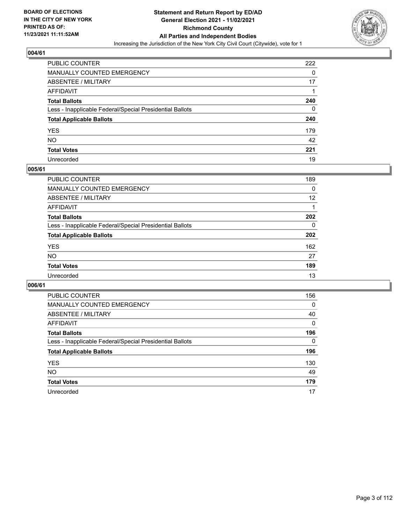

| PUBLIC COUNTER                                           | 222 |
|----------------------------------------------------------|-----|
| MANUALLY COUNTED EMERGENCY                               | 0   |
| ABSENTEE / MILITARY                                      | 17  |
| AFFIDAVIT                                                |     |
| Total Ballots                                            | 240 |
| Less - Inapplicable Federal/Special Presidential Ballots | 0   |
| <b>Total Applicable Ballots</b>                          | 240 |
| YES                                                      | 179 |
| NO.                                                      | 42  |
| <b>Total Votes</b>                                       | 221 |
| Unrecorded                                               | 19  |

#### **005/61**

| <b>PUBLIC COUNTER</b>                                    | 189      |
|----------------------------------------------------------|----------|
| MANUALLY COUNTED EMERGENCY                               | $\Omega$ |
| ABSENTEE / MILITARY                                      | 12       |
| AFFIDAVIT                                                |          |
| <b>Total Ballots</b>                                     | 202      |
| Less - Inapplicable Federal/Special Presidential Ballots | $\Omega$ |
| <b>Total Applicable Ballots</b>                          | 202      |
| <b>YES</b>                                               | 162      |
| <b>NO</b>                                                | 27       |
| <b>Total Votes</b>                                       | 189      |
| Unrecorded                                               | 13       |

| <b>PUBLIC COUNTER</b>                                    | 156          |
|----------------------------------------------------------|--------------|
| <b>MANUALLY COUNTED EMERGENCY</b>                        | 0            |
| ABSENTEE / MILITARY                                      | 40           |
| AFFIDAVIT                                                | $\mathbf{0}$ |
| <b>Total Ballots</b>                                     | 196          |
| Less - Inapplicable Federal/Special Presidential Ballots | $\Omega$     |
| <b>Total Applicable Ballots</b>                          | 196          |
| <b>YES</b>                                               | 130          |
| <b>NO</b>                                                | 49           |
| <b>Total Votes</b>                                       | 179          |
| Unrecorded                                               | 17           |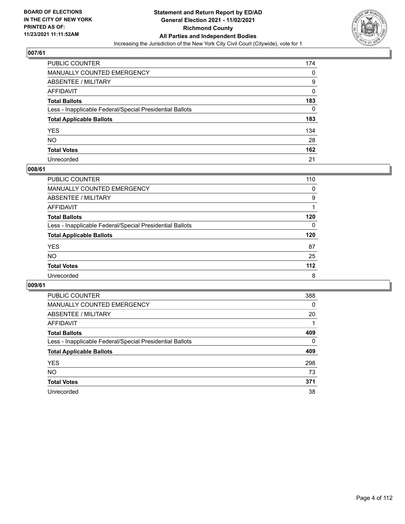

| PUBLIC COUNTER                                           | 174 |
|----------------------------------------------------------|-----|
| MANUALLY COUNTED EMERGENCY                               | 0   |
| ABSENTEE / MILITARY                                      | 9   |
| AFFIDAVIT                                                | 0   |
| Total Ballots                                            | 183 |
| Less - Inapplicable Federal/Special Presidential Ballots | 0   |
| <b>Total Applicable Ballots</b>                          | 183 |
| YES                                                      | 134 |
| NO.                                                      | 28  |
| <b>Total Votes</b>                                       | 162 |
| Unrecorded                                               | 21  |

#### **008/61**

| <b>PUBLIC COUNTER</b>                                    | 110      |
|----------------------------------------------------------|----------|
| <b>MANUALLY COUNTED EMERGENCY</b>                        | $\Omega$ |
| ABSENTEE / MILITARY                                      | 9        |
| AFFIDAVIT                                                |          |
| <b>Total Ballots</b>                                     | 120      |
| Less - Inapplicable Federal/Special Presidential Ballots | 0        |
| <b>Total Applicable Ballots</b>                          | 120      |
| <b>YES</b>                                               | 87       |
| <b>NO</b>                                                | 25       |
| <b>Total Votes</b>                                       | $112$    |
| Unrecorded                                               | 8        |

| <b>PUBLIC COUNTER</b>                                    | 388      |
|----------------------------------------------------------|----------|
| MANUALLY COUNTED EMERGENCY                               | $\Omega$ |
| ABSENTEE / MILITARY                                      | 20       |
| AFFIDAVIT                                                |          |
| <b>Total Ballots</b>                                     | 409      |
| Less - Inapplicable Federal/Special Presidential Ballots | $\Omega$ |
| <b>Total Applicable Ballots</b>                          | 409      |
| <b>YES</b>                                               | 298      |
| NO.                                                      | 73       |
| <b>Total Votes</b>                                       | 371      |
| Unrecorded                                               | 38       |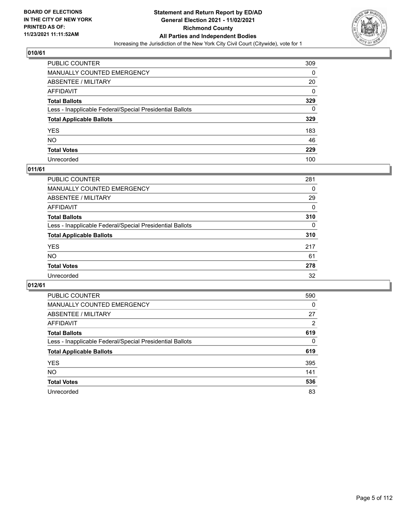

| PUBLIC COUNTER                                           | 309      |
|----------------------------------------------------------|----------|
| MANUALLY COUNTED EMERGENCY                               | 0        |
| ABSENTEE / MILITARY                                      | 20       |
| AFFIDAVIT                                                | 0        |
| Total Ballots                                            | 329      |
| Less - Inapplicable Federal/Special Presidential Ballots | $\Omega$ |
| <b>Total Applicable Ballots</b>                          | 329      |
| YES                                                      | 183      |
| NO.                                                      | 46       |
| <b>Total Votes</b>                                       | 229      |
| Unrecorded                                               | 100      |

#### **011/61**

| <b>PUBLIC COUNTER</b>                                    | 281      |
|----------------------------------------------------------|----------|
| MANUALLY COUNTED EMERGENCY                               | 0        |
| ABSENTEE / MILITARY                                      | 29       |
| AFFIDAVIT                                                | $\Omega$ |
| <b>Total Ballots</b>                                     | 310      |
| Less - Inapplicable Federal/Special Presidential Ballots | $\Omega$ |
| <b>Total Applicable Ballots</b>                          | 310      |
| <b>YES</b>                                               | 217      |
| <b>NO</b>                                                | 61       |
| <b>Total Votes</b>                                       | 278      |
| Unrecorded                                               | 32       |

| <b>PUBLIC COUNTER</b>                                    | 590      |
|----------------------------------------------------------|----------|
| <b>MANUALLY COUNTED EMERGENCY</b>                        | $\Omega$ |
| ABSENTEE / MILITARY                                      | 27       |
| AFFIDAVIT                                                | 2        |
| <b>Total Ballots</b>                                     | 619      |
| Less - Inapplicable Federal/Special Presidential Ballots | $\Omega$ |
| <b>Total Applicable Ballots</b>                          | 619      |
| <b>YES</b>                                               | 395      |
| <b>NO</b>                                                | 141      |
| <b>Total Votes</b>                                       | 536      |
| Unrecorded                                               | 83       |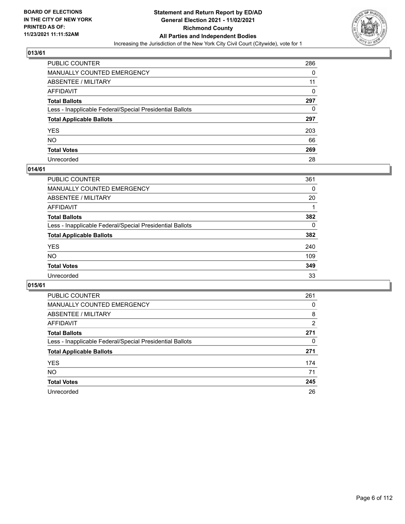

| PUBLIC COUNTER                                           | 286 |
|----------------------------------------------------------|-----|
| MANUALLY COUNTED EMERGENCY                               | 0   |
| <b>ABSENTEE / MILITARY</b>                               | 11  |
| AFFIDAVIT                                                | 0   |
| <b>Total Ballots</b>                                     | 297 |
| Less - Inapplicable Federal/Special Presidential Ballots | 0   |
| <b>Total Applicable Ballots</b>                          | 297 |
| YES.                                                     | 203 |
| NO.                                                      | 66  |
| <b>Total Votes</b>                                       | 269 |
| Unrecorded                                               | 28  |

#### **014/61**

| <b>PUBLIC COUNTER</b>                                    | 361      |
|----------------------------------------------------------|----------|
| <b>MANUALLY COUNTED EMERGENCY</b>                        | 0        |
| ABSENTEE / MILITARY                                      | 20       |
| AFFIDAVIT                                                |          |
| <b>Total Ballots</b>                                     | 382      |
| Less - Inapplicable Federal/Special Presidential Ballots | $\Omega$ |
| <b>Total Applicable Ballots</b>                          | 382      |
| <b>YES</b>                                               | 240      |
| <b>NO</b>                                                | 109      |
| <b>Total Votes</b>                                       | 349      |
| Unrecorded                                               | 33       |

| <b>PUBLIC COUNTER</b>                                    | 261            |
|----------------------------------------------------------|----------------|
| MANUALLY COUNTED EMERGENCY                               | 0              |
| ABSENTEE / MILITARY                                      | 8              |
| AFFIDAVIT                                                | $\overline{2}$ |
| <b>Total Ballots</b>                                     | 271            |
| Less - Inapplicable Federal/Special Presidential Ballots | 0              |
| <b>Total Applicable Ballots</b>                          | 271            |
| <b>YES</b>                                               | 174            |
| NO.                                                      | 71             |
| <b>Total Votes</b>                                       | 245            |
| Unrecorded                                               | 26             |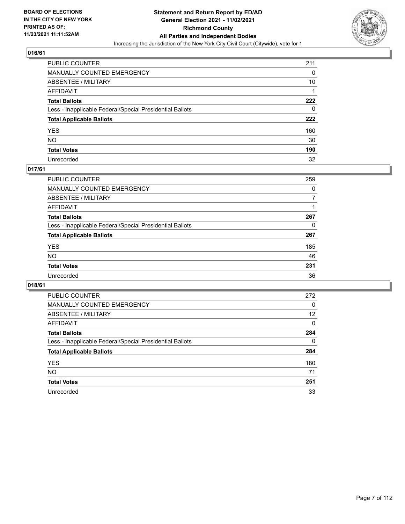

| PUBLIC COUNTER                                           | 211 |
|----------------------------------------------------------|-----|
| MANUALLY COUNTED EMERGENCY                               | 0   |
| ABSENTEE / MILITARY                                      | 10  |
| AFFIDAVIT                                                |     |
| Total Ballots                                            | 222 |
| Less - Inapplicable Federal/Special Presidential Ballots | 0   |
| <b>Total Applicable Ballots</b>                          | 222 |
| YES                                                      | 160 |
| NO.                                                      | 30  |
| <b>Total Votes</b>                                       | 190 |
| Unrecorded                                               | 32  |

#### **017/61**

| PUBLIC COUNTER                                           | 259      |
|----------------------------------------------------------|----------|
| <b>MANUALLY COUNTED EMERGENCY</b>                        | 0        |
| ABSENTEE / MILITARY                                      | 7        |
| AFFIDAVIT                                                |          |
| <b>Total Ballots</b>                                     | 267      |
| Less - Inapplicable Federal/Special Presidential Ballots | $\Omega$ |
| <b>Total Applicable Ballots</b>                          | 267      |
| <b>YES</b>                                               | 185      |
| <b>NO</b>                                                | 46       |
| <b>Total Votes</b>                                       | 231      |
| Unrecorded                                               | 36       |

| <b>PUBLIC COUNTER</b>                                    | 272 |
|----------------------------------------------------------|-----|
| MANUALLY COUNTED EMERGENCY                               | 0   |
| ABSENTEE / MILITARY                                      | 12  |
| AFFIDAVIT                                                | 0   |
| <b>Total Ballots</b>                                     | 284 |
| Less - Inapplicable Federal/Special Presidential Ballots | 0   |
| <b>Total Applicable Ballots</b>                          | 284 |
| <b>YES</b>                                               | 180 |
| NO.                                                      | 71  |
| <b>Total Votes</b>                                       | 251 |
| Unrecorded                                               | 33  |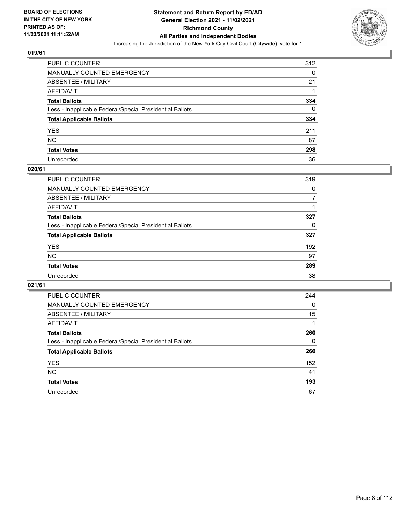

| PUBLIC COUNTER                                           | 312 |
|----------------------------------------------------------|-----|
| MANUALLY COUNTED EMERGENCY                               | 0   |
| ABSENTEE / MILITARY                                      | 21  |
| AFFIDAVIT                                                |     |
| <b>Total Ballots</b>                                     | 334 |
| Less - Inapplicable Federal/Special Presidential Ballots | 0   |
| <b>Total Applicable Ballots</b>                          | 334 |
| YES                                                      | 211 |
| NΟ                                                       | 87  |
| <b>Total Votes</b>                                       | 298 |
| Unrecorded                                               | 36  |

#### **020/61**

| <b>PUBLIC COUNTER</b>                                    | 319      |
|----------------------------------------------------------|----------|
| MANUALLY COUNTED EMERGENCY                               | 0        |
| ABSENTEE / MILITARY                                      |          |
| AFFIDAVIT                                                |          |
| <b>Total Ballots</b>                                     | 327      |
| Less - Inapplicable Federal/Special Presidential Ballots | $\Omega$ |
| <b>Total Applicable Ballots</b>                          | 327      |
| <b>YES</b>                                               | 192      |
| <b>NO</b>                                                | 97       |
| <b>Total Votes</b>                                       | 289      |
| Unrecorded                                               | 38       |

| <b>PUBLIC COUNTER</b>                                    | 244      |
|----------------------------------------------------------|----------|
| <b>MANUALLY COUNTED EMERGENCY</b>                        | $\Omega$ |
| ABSENTEE / MILITARY                                      | 15       |
| AFFIDAVIT                                                |          |
| <b>Total Ballots</b>                                     | 260      |
| Less - Inapplicable Federal/Special Presidential Ballots | $\Omega$ |
| <b>Total Applicable Ballots</b>                          | 260      |
| <b>YES</b>                                               | 152      |
| <b>NO</b>                                                | 41       |
| <b>Total Votes</b>                                       | 193      |
| Unrecorded                                               | 67       |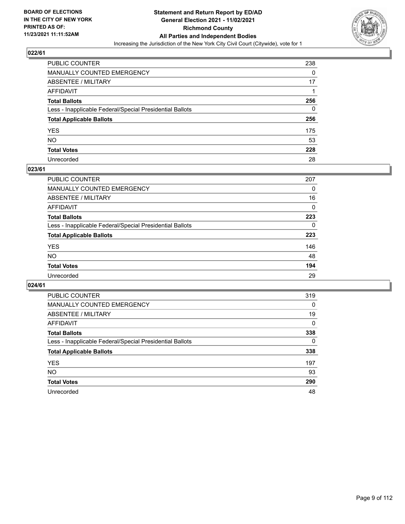

| PUBLIC COUNTER                                           | 238 |
|----------------------------------------------------------|-----|
| <b>MANUALLY COUNTED EMERGENCY</b>                        | 0   |
| <b>ABSENTEE / MILITARY</b>                               | 17  |
| AFFIDAVIT                                                |     |
| <b>Total Ballots</b>                                     | 256 |
| Less - Inapplicable Federal/Special Presidential Ballots | 0   |
| <b>Total Applicable Ballots</b>                          | 256 |
| YES                                                      | 175 |
| NO.                                                      | 53  |
| <b>Total Votes</b>                                       | 228 |
| Unrecorded                                               | 28  |

#### **023/61**

| <b>PUBLIC COUNTER</b>                                    | 207      |
|----------------------------------------------------------|----------|
| MANUALLY COUNTED EMERGENCY                               | 0        |
| ABSENTEE / MILITARY                                      | 16       |
| AFFIDAVIT                                                | 0        |
| <b>Total Ballots</b>                                     | 223      |
| Less - Inapplicable Federal/Special Presidential Ballots | $\Omega$ |
| <b>Total Applicable Ballots</b>                          | 223      |
| <b>YES</b>                                               | 146      |
| <b>NO</b>                                                | 48       |
| <b>Total Votes</b>                                       | 194      |
| Unrecorded                                               | 29       |

| <b>PUBLIC COUNTER</b>                                    | 319      |
|----------------------------------------------------------|----------|
| <b>MANUALLY COUNTED EMERGENCY</b>                        | $\Omega$ |
| ABSENTEE / MILITARY                                      | 19       |
| AFFIDAVIT                                                | $\Omega$ |
| <b>Total Ballots</b>                                     | 338      |
| Less - Inapplicable Federal/Special Presidential Ballots | $\Omega$ |
| <b>Total Applicable Ballots</b>                          | 338      |
| <b>YES</b>                                               | 197      |
| <b>NO</b>                                                | 93       |
| <b>Total Votes</b>                                       | 290      |
| Unrecorded                                               | 48       |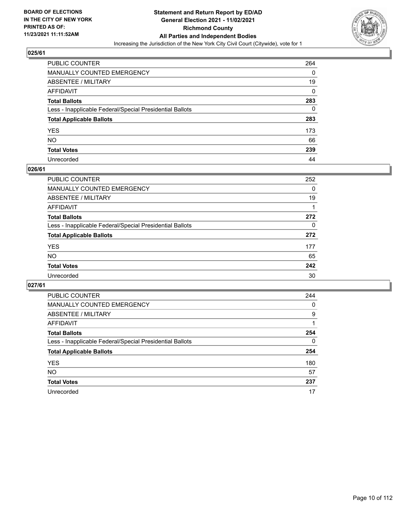

| PUBLIC COUNTER                                           | 264 |
|----------------------------------------------------------|-----|
| MANUALLY COUNTED EMERGENCY                               | 0   |
| ABSENTEE / MILITARY                                      | 19  |
| AFFIDAVIT                                                | 0   |
| Total Ballots                                            | 283 |
| Less - Inapplicable Federal/Special Presidential Ballots | 0   |
| <b>Total Applicable Ballots</b>                          | 283 |
| YES                                                      | 173 |
| NO.                                                      | 66  |
| <b>Total Votes</b>                                       | 239 |
| Unrecorded                                               | 44  |

#### **026/61**

| <b>PUBLIC COUNTER</b>                                    | 252      |
|----------------------------------------------------------|----------|
| MANUALLY COUNTED EMERGENCY                               | 0        |
| ABSENTEE / MILITARY                                      | 19       |
| AFFIDAVIT                                                |          |
| <b>Total Ballots</b>                                     | 272      |
| Less - Inapplicable Federal/Special Presidential Ballots | $\Omega$ |
| <b>Total Applicable Ballots</b>                          | 272      |
| <b>YES</b>                                               | 177      |
| <b>NO</b>                                                | 65       |
| <b>Total Votes</b>                                       | 242      |
| Unrecorded                                               | 30       |

| <b>PUBLIC COUNTER</b>                                    | 244      |
|----------------------------------------------------------|----------|
| <b>MANUALLY COUNTED EMERGENCY</b>                        | 0        |
| ABSENTEE / MILITARY                                      | 9        |
| AFFIDAVIT                                                |          |
| <b>Total Ballots</b>                                     | 254      |
| Less - Inapplicable Federal/Special Presidential Ballots | $\Omega$ |
| <b>Total Applicable Ballots</b>                          | 254      |
| <b>YES</b>                                               | 180      |
| <b>NO</b>                                                | 57       |
| <b>Total Votes</b>                                       | 237      |
| Unrecorded                                               | 17       |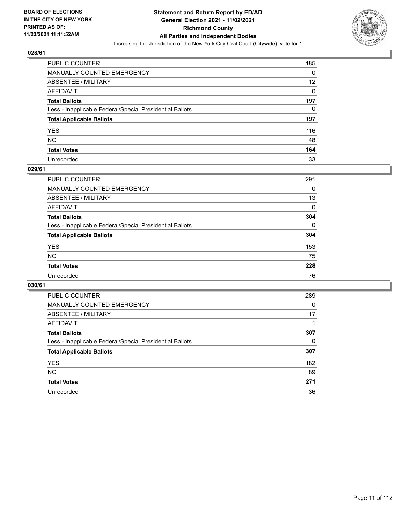

| PUBLIC COUNTER                                           | 185               |
|----------------------------------------------------------|-------------------|
| <b>MANUALLY COUNTED EMERGENCY</b>                        | 0                 |
| <b>ABSENTEE / MILITARY</b>                               | $12 \overline{ }$ |
| AFFIDAVIT                                                | $\Omega$          |
| <b>Total Ballots</b>                                     | 197               |
| Less - Inapplicable Federal/Special Presidential Ballots | 0                 |
| <b>Total Applicable Ballots</b>                          | 197               |
| YES.                                                     | 116               |
| NO                                                       | 48                |
| <b>Total Votes</b>                                       | 164               |
| Unrecorded                                               | 33                |

#### **029/61**

| <b>PUBLIC COUNTER</b>                                    | 291          |
|----------------------------------------------------------|--------------|
| <b>MANUALLY COUNTED EMERGENCY</b>                        | 0            |
| ABSENTEE / MILITARY                                      | 13           |
| AFFIDAVIT                                                | $\Omega$     |
| <b>Total Ballots</b>                                     | 304          |
| Less - Inapplicable Federal/Special Presidential Ballots | $\mathbf{0}$ |
| <b>Total Applicable Ballots</b>                          | 304          |
| <b>YES</b>                                               | 153          |
| <b>NO</b>                                                | 75           |
| <b>Total Votes</b>                                       | 228          |
| Unrecorded                                               | 76           |

| <b>PUBLIC COUNTER</b>                                    | 289 |
|----------------------------------------------------------|-----|
| MANUALLY COUNTED EMERGENCY                               | 0   |
| ABSENTEE / MILITARY                                      | 17  |
| AFFIDAVIT                                                |     |
| <b>Total Ballots</b>                                     | 307 |
| Less - Inapplicable Federal/Special Presidential Ballots | 0   |
| <b>Total Applicable Ballots</b>                          | 307 |
| <b>YES</b>                                               | 182 |
| <b>NO</b>                                                | 89  |
| <b>Total Votes</b>                                       | 271 |
| Unrecorded                                               | 36  |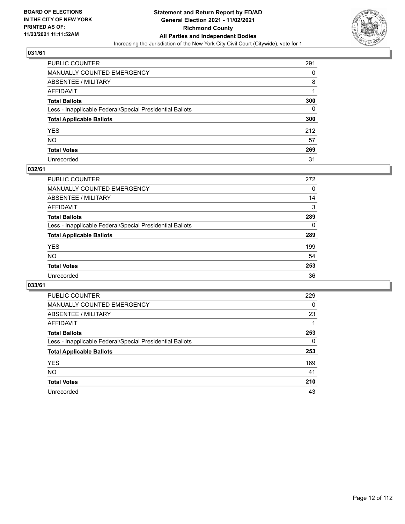

| PUBLIC COUNTER                                           | 291 |
|----------------------------------------------------------|-----|
| MANUALLY COUNTED EMERGENCY                               | 0   |
| ABSENTEE / MILITARY                                      | 8   |
| AFFIDAVIT                                                |     |
| Total Ballots                                            | 300 |
| Less - Inapplicable Federal/Special Presidential Ballots | 0   |
| <b>Total Applicable Ballots</b>                          | 300 |
| YES                                                      | 212 |
| NO.                                                      | 57  |
| <b>Total Votes</b>                                       | 269 |
| Unrecorded                                               | 31  |

#### **032/61**

| <b>PUBLIC COUNTER</b>                                    | 272      |
|----------------------------------------------------------|----------|
| <b>MANUALLY COUNTED EMERGENCY</b>                        | $\Omega$ |
| ABSENTEE / MILITARY                                      | 14       |
| AFFIDAVIT                                                | 3        |
| <b>Total Ballots</b>                                     | 289      |
| Less - Inapplicable Federal/Special Presidential Ballots | $\Omega$ |
| <b>Total Applicable Ballots</b>                          | 289      |
| <b>YES</b>                                               | 199      |
| <b>NO</b>                                                | 54       |
| <b>Total Votes</b>                                       | 253      |
| Unrecorded                                               | 36       |

| <b>PUBLIC COUNTER</b>                                    | 229 |
|----------------------------------------------------------|-----|
| MANUALLY COUNTED EMERGENCY                               | 0   |
| ABSENTEE / MILITARY                                      | 23  |
| AFFIDAVIT                                                |     |
| <b>Total Ballots</b>                                     | 253 |
| Less - Inapplicable Federal/Special Presidential Ballots | 0   |
| <b>Total Applicable Ballots</b>                          | 253 |
| <b>YES</b>                                               | 169 |
| <b>NO</b>                                                | 41  |
| <b>Total Votes</b>                                       | 210 |
| Unrecorded                                               | 43  |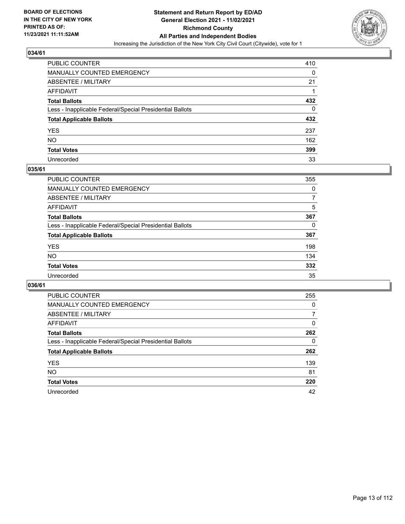

| PUBLIC COUNTER                                           | 410 |
|----------------------------------------------------------|-----|
| MANUALLY COUNTED EMERGENCY                               | 0   |
| ABSENTEE / MILITARY                                      | 21  |
| AFFIDAVIT                                                |     |
| Total Ballots                                            | 432 |
| Less - Inapplicable Federal/Special Presidential Ballots | 0   |
| <b>Total Applicable Ballots</b>                          | 432 |
| YES                                                      | 237 |
| NO.                                                      | 162 |
| <b>Total Votes</b>                                       | 399 |
| Unrecorded                                               | 33  |

#### **035/61**

| <b>PUBLIC COUNTER</b>                                    | 355      |
|----------------------------------------------------------|----------|
| <b>MANUALLY COUNTED EMERGENCY</b>                        | 0        |
| ABSENTEE / MILITARY                                      | 7        |
| AFFIDAVIT                                                | 5        |
| <b>Total Ballots</b>                                     | 367      |
| Less - Inapplicable Federal/Special Presidential Ballots | $\Omega$ |
| <b>Total Applicable Ballots</b>                          | 367      |
| <b>YES</b>                                               | 198      |
| <b>NO</b>                                                | 134      |
| <b>Total Votes</b>                                       | 332      |
| Unrecorded                                               | 35       |

| <b>PUBLIC COUNTER</b>                                    | 255      |
|----------------------------------------------------------|----------|
| MANUALLY COUNTED EMERGENCY                               | 0        |
| ABSENTEE / MILITARY                                      | 7        |
| AFFIDAVIT                                                | $\Omega$ |
| <b>Total Ballots</b>                                     | 262      |
| Less - Inapplicable Federal/Special Presidential Ballots | 0        |
| <b>Total Applicable Ballots</b>                          | 262      |
| <b>YES</b>                                               | 139      |
| <b>NO</b>                                                | 81       |
| <b>Total Votes</b>                                       | 220      |
| Unrecorded                                               | 42       |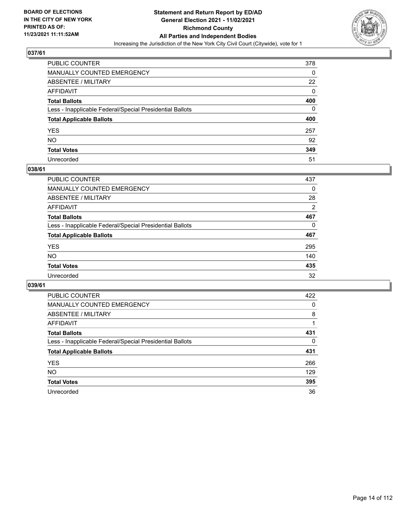

| PUBLIC COUNTER                                           | 378 |
|----------------------------------------------------------|-----|
| MANUALLY COUNTED EMERGENCY                               | 0   |
| ABSENTEE / MILITARY                                      | 22  |
| AFFIDAVIT                                                | 0   |
| Total Ballots                                            | 400 |
| Less - Inapplicable Federal/Special Presidential Ballots | 0   |
| <b>Total Applicable Ballots</b>                          | 400 |
| YES                                                      | 257 |
| NO.                                                      | 92  |
| <b>Total Votes</b>                                       | 349 |
| Unrecorded                                               | 51  |

#### **038/61**

| <b>PUBLIC COUNTER</b>                                    | 437            |
|----------------------------------------------------------|----------------|
| <b>MANUALLY COUNTED EMERGENCY</b>                        | $\Omega$       |
| ABSENTEE / MILITARY                                      | 28             |
| AFFIDAVIT                                                | $\overline{2}$ |
| <b>Total Ballots</b>                                     | 467            |
| Less - Inapplicable Federal/Special Presidential Ballots | 0              |
| <b>Total Applicable Ballots</b>                          | 467            |
| <b>YES</b>                                               | 295            |
| <b>NO</b>                                                | 140            |
| <b>Total Votes</b>                                       | 435            |
| Unrecorded                                               | 32             |

| <b>PUBLIC COUNTER</b>                                    | 422      |
|----------------------------------------------------------|----------|
| MANUALLY COUNTED EMERGENCY                               | 0        |
| ABSENTEE / MILITARY                                      | 8        |
| AFFIDAVIT                                                |          |
| <b>Total Ballots</b>                                     | 431      |
| Less - Inapplicable Federal/Special Presidential Ballots | $\Omega$ |
| <b>Total Applicable Ballots</b>                          | 431      |
| <b>YES</b>                                               | 266      |
| <b>NO</b>                                                | 129      |
| <b>Total Votes</b>                                       | 395      |
| Unrecorded                                               | 36       |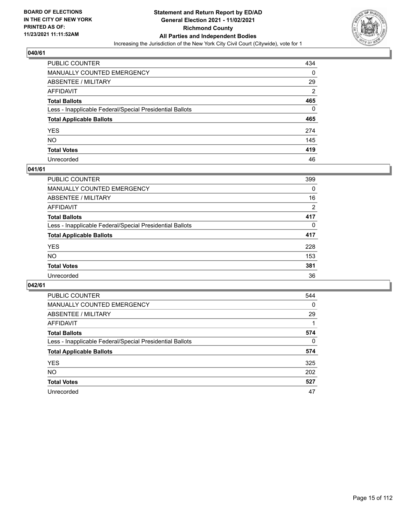

| PUBLIC COUNTER                                           | 434      |
|----------------------------------------------------------|----------|
| MANUALLY COUNTED EMERGENCY                               | 0        |
| ABSENTEE / MILITARY                                      | 29       |
| AFFIDAVIT                                                | 2        |
| Total Ballots                                            | 465      |
| Less - Inapplicable Federal/Special Presidential Ballots | $\Omega$ |
| <b>Total Applicable Ballots</b>                          | 465      |
| YES                                                      | 274      |
| NO.                                                      | 145      |
| <b>Total Votes</b>                                       | 419      |
| Unrecorded                                               | 46       |

#### **041/61**

| <b>PUBLIC COUNTER</b>                                    | 399      |
|----------------------------------------------------------|----------|
| <b>MANUALLY COUNTED EMERGENCY</b>                        | 0        |
| ABSENTEE / MILITARY                                      | 16       |
| AFFIDAVIT                                                | 2        |
| <b>Total Ballots</b>                                     | 417      |
| Less - Inapplicable Federal/Special Presidential Ballots | $\Omega$ |
| <b>Total Applicable Ballots</b>                          | 417      |
| <b>YES</b>                                               | 228      |
| <b>NO</b>                                                | 153      |
| <b>Total Votes</b>                                       | 381      |
| Unrecorded                                               | 36       |

| <b>PUBLIC COUNTER</b>                                    | 544          |
|----------------------------------------------------------|--------------|
| <b>MANUALLY COUNTED EMERGENCY</b>                        | $\mathbf{0}$ |
| ABSENTEE / MILITARY                                      | 29           |
| AFFIDAVIT                                                |              |
| <b>Total Ballots</b>                                     | 574          |
| Less - Inapplicable Federal/Special Presidential Ballots | $\Omega$     |
| <b>Total Applicable Ballots</b>                          | 574          |
| <b>YES</b>                                               | 325          |
| <b>NO</b>                                                | 202          |
| <b>Total Votes</b>                                       | 527          |
| Unrecorded                                               | 47           |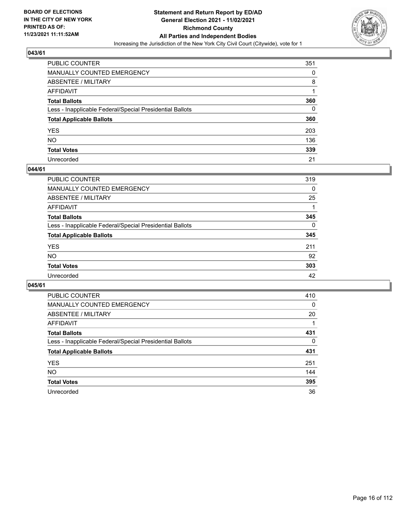

| PUBLIC COUNTER                                           | 351 |
|----------------------------------------------------------|-----|
| MANUALLY COUNTED EMERGENCY                               | 0   |
| ABSENTEE / MILITARY                                      | 8   |
| AFFIDAVIT                                                |     |
| Total Ballots                                            | 360 |
| Less - Inapplicable Federal/Special Presidential Ballots | 0   |
| <b>Total Applicable Ballots</b>                          | 360 |
| YES                                                      | 203 |
| NO.                                                      | 136 |
| <b>Total Votes</b>                                       | 339 |
| Unrecorded                                               | 21  |

#### **044/61**

| <b>PUBLIC COUNTER</b>                                    | 319      |
|----------------------------------------------------------|----------|
| <b>MANUALLY COUNTED EMERGENCY</b>                        | $\Omega$ |
| ABSENTEE / MILITARY                                      | 25       |
| AFFIDAVIT                                                |          |
| <b>Total Ballots</b>                                     | 345      |
| Less - Inapplicable Federal/Special Presidential Ballots | $\Omega$ |
| <b>Total Applicable Ballots</b>                          | 345      |
| <b>YES</b>                                               | 211      |
| <b>NO</b>                                                | 92       |
| <b>Total Votes</b>                                       | 303      |
| Unrecorded                                               | 42       |

| <b>PUBLIC COUNTER</b>                                    | 410      |
|----------------------------------------------------------|----------|
| <b>MANUALLY COUNTED EMERGENCY</b>                        | 0        |
| ABSENTEE / MILITARY                                      | 20       |
| AFFIDAVIT                                                |          |
| <b>Total Ballots</b>                                     | 431      |
| Less - Inapplicable Federal/Special Presidential Ballots | $\Omega$ |
| <b>Total Applicable Ballots</b>                          | 431      |
| <b>YES</b>                                               | 251      |
| NO.                                                      | 144      |
| <b>Total Votes</b>                                       | 395      |
| Unrecorded                                               | 36       |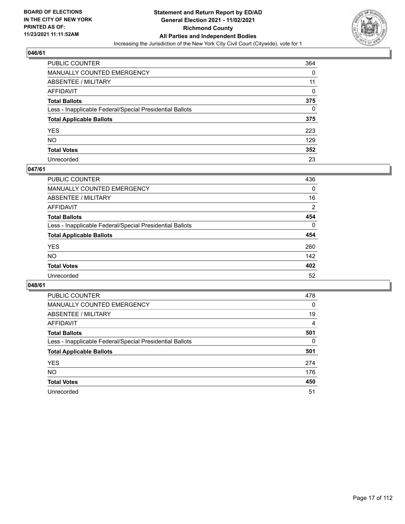

| PUBLIC COUNTER                                           | 364 |
|----------------------------------------------------------|-----|
| MANUALLY COUNTED EMERGENCY                               | 0   |
| ABSENTEE / MILITARY                                      | 11  |
| AFFIDAVIT                                                | 0   |
| Total Ballots                                            | 375 |
| Less - Inapplicable Federal/Special Presidential Ballots | 0   |
| <b>Total Applicable Ballots</b>                          | 375 |
| YES                                                      | 223 |
| NO.                                                      | 129 |
| <b>Total Votes</b>                                       | 352 |
| Unrecorded                                               | 23  |

#### **047/61**

| <b>PUBLIC COUNTER</b>                                    | 436      |
|----------------------------------------------------------|----------|
| <b>MANUALLY COUNTED EMERGENCY</b>                        | $\Omega$ |
| ABSENTEE / MILITARY                                      | 16       |
| AFFIDAVIT                                                | 2        |
| <b>Total Ballots</b>                                     | 454      |
| Less - Inapplicable Federal/Special Presidential Ballots | $\Omega$ |
| <b>Total Applicable Ballots</b>                          | 454      |
| <b>YES</b>                                               | 260      |
| <b>NO</b>                                                | 142      |
| <b>Total Votes</b>                                       | 402      |
| Unrecorded                                               | 52       |

| <b>PUBLIC COUNTER</b>                                    | 478      |
|----------------------------------------------------------|----------|
| <b>MANUALLY COUNTED EMERGENCY</b>                        | $\Omega$ |
| ABSENTEE / MILITARY                                      | 19       |
| AFFIDAVIT                                                | 4        |
| <b>Total Ballots</b>                                     | 501      |
| Less - Inapplicable Federal/Special Presidential Ballots | $\Omega$ |
| <b>Total Applicable Ballots</b>                          | 501      |
| <b>YES</b>                                               | 274      |
| NO.                                                      | 176      |
| <b>Total Votes</b>                                       | 450      |
| Unrecorded                                               |          |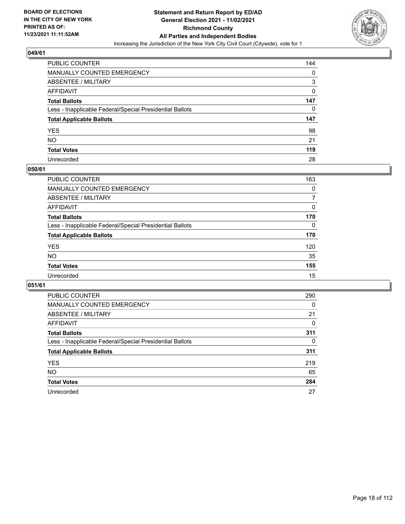

| PUBLIC COUNTER                                           | 144 |
|----------------------------------------------------------|-----|
| MANUALLY COUNTED EMERGENCY                               | 0   |
| ABSENTEE / MILITARY                                      | 3   |
| AFFIDAVIT                                                | 0   |
| Total Ballots                                            | 147 |
| Less - Inapplicable Federal/Special Presidential Ballots | 0   |
| <b>Total Applicable Ballots</b>                          | 147 |
| YES                                                      | 98  |
| NO.                                                      | 21  |
| <b>Total Votes</b>                                       | 119 |
| Unrecorded                                               | 28  |

#### **050/61**

| PUBLIC COUNTER                                           | 163      |
|----------------------------------------------------------|----------|
| MANUALLY COUNTED EMERGENCY                               | 0        |
| ABSENTEE / MILITARY                                      | 7        |
| AFFIDAVIT                                                | $\Omega$ |
| <b>Total Ballots</b>                                     | 170      |
| Less - Inapplicable Federal/Special Presidential Ballots | $\Omega$ |
| <b>Total Applicable Ballots</b>                          | 170      |
| <b>YES</b>                                               | 120      |
| <b>NO</b>                                                | 35       |
| <b>Total Votes</b>                                       | 155      |
| Unrecorded                                               | 15       |

| <b>PUBLIC COUNTER</b>                                    | 290      |
|----------------------------------------------------------|----------|
| MANUALLY COUNTED EMERGENCY                               | $\Omega$ |
| ABSENTEE / MILITARY                                      | 21       |
| AFFIDAVIT                                                | 0        |
| <b>Total Ballots</b>                                     | 311      |
| Less - Inapplicable Federal/Special Presidential Ballots | $\Omega$ |
| <b>Total Applicable Ballots</b>                          | 311      |
| <b>YES</b>                                               | 219      |
| NO.                                                      | 65       |
| <b>Total Votes</b>                                       | 284      |
| Unrecorded                                               | 27       |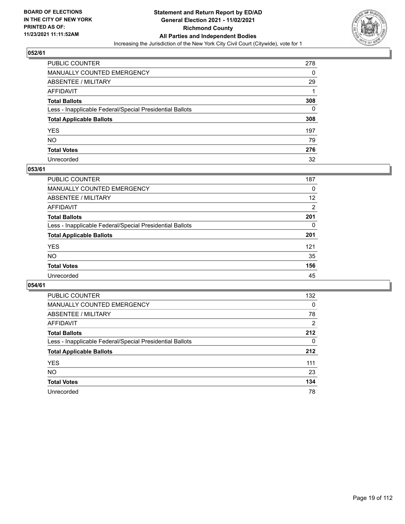

| PUBLIC COUNTER                                           | 278      |
|----------------------------------------------------------|----------|
| MANUALLY COUNTED EMERGENCY                               | 0        |
| ABSENTEE / MILITARY                                      | 29       |
| AFFIDAVIT                                                |          |
| Total Ballots                                            | 308      |
| Less - Inapplicable Federal/Special Presidential Ballots | $\Omega$ |
| <b>Total Applicable Ballots</b>                          | 308      |
| YES                                                      | 197      |
| NO.                                                      | 79       |
| <b>Total Votes</b>                                       | 276      |
| Unrecorded                                               | 32       |

#### **053/61**

| <b>PUBLIC COUNTER</b>                                    | 187 |
|----------------------------------------------------------|-----|
| MANUALLY COUNTED EMERGENCY                               | 0   |
| ABSENTEE / MILITARY                                      | 12  |
| AFFIDAVIT                                                | 2   |
| <b>Total Ballots</b>                                     | 201 |
| Less - Inapplicable Federal/Special Presidential Ballots | 0   |
| <b>Total Applicable Ballots</b>                          | 201 |
| <b>YES</b>                                               | 121 |
| <b>NO</b>                                                | 35  |
| <b>Total Votes</b>                                       | 156 |
| Unrecorded                                               | 45  |

| <b>PUBLIC COUNTER</b>                                    | 132      |
|----------------------------------------------------------|----------|
| MANUALLY COUNTED EMERGENCY                               | $\Omega$ |
| ABSENTEE / MILITARY                                      | 78       |
| AFFIDAVIT                                                | 2        |
| <b>Total Ballots</b>                                     | 212      |
| Less - Inapplicable Federal/Special Presidential Ballots | $\Omega$ |
| <b>Total Applicable Ballots</b>                          | 212      |
| <b>YES</b>                                               | 111      |
| <b>NO</b>                                                | 23       |
| <b>Total Votes</b>                                       | 134      |
| Unrecorded                                               | 78       |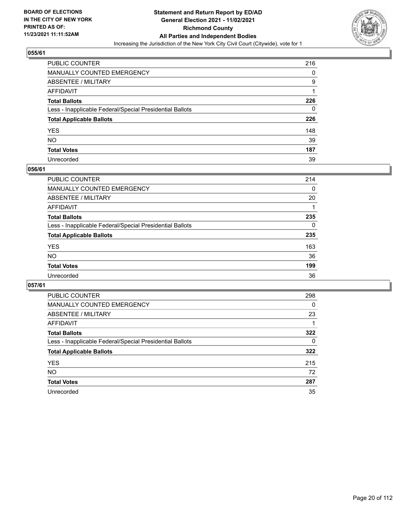

| PUBLIC COUNTER                                           | 216 |
|----------------------------------------------------------|-----|
| MANUALLY COUNTED EMERGENCY                               | 0   |
| ABSENTEE / MILITARY                                      | 9   |
| AFFIDAVIT                                                |     |
| Total Ballots                                            | 226 |
| Less - Inapplicable Federal/Special Presidential Ballots | 0   |
| <b>Total Applicable Ballots</b>                          | 226 |
| YES                                                      | 148 |
| NO.                                                      | 39  |
| <b>Total Votes</b>                                       | 187 |
| Unrecorded                                               | 39  |

#### **056/61**

| <b>PUBLIC COUNTER</b>                                    | 214      |
|----------------------------------------------------------|----------|
| <b>MANUALLY COUNTED EMERGENCY</b>                        | $\Omega$ |
| ABSENTEE / MILITARY                                      | 20       |
| AFFIDAVIT                                                |          |
| <b>Total Ballots</b>                                     | 235      |
| Less - Inapplicable Federal/Special Presidential Ballots | $\Omega$ |
| <b>Total Applicable Ballots</b>                          | 235      |
| <b>YES</b>                                               | 163      |
| <b>NO</b>                                                | 36       |
| <b>Total Votes</b>                                       | 199      |
| Unrecorded                                               | 36       |

| <b>PUBLIC COUNTER</b>                                    | 298      |
|----------------------------------------------------------|----------|
| MANUALLY COUNTED EMERGENCY                               | $\Omega$ |
| ABSENTEE / MILITARY                                      | 23       |
| AFFIDAVIT                                                |          |
| <b>Total Ballots</b>                                     | 322      |
| Less - Inapplicable Federal/Special Presidential Ballots | 0        |
| <b>Total Applicable Ballots</b>                          | 322      |
| <b>YES</b>                                               | 215      |
| NO.                                                      | 72       |
| <b>Total Votes</b>                                       | 287      |
| Unrecorded                                               | 35       |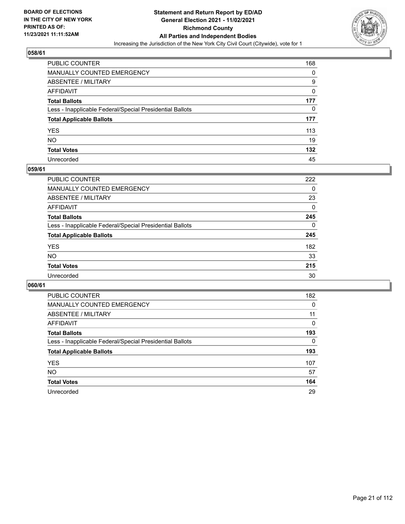

| PUBLIC COUNTER                                           | 168 |
|----------------------------------------------------------|-----|
| MANUALLY COUNTED EMERGENCY                               | 0   |
| ABSENTEE / MILITARY                                      | 9   |
| AFFIDAVIT                                                | 0   |
| Total Ballots                                            | 177 |
| Less - Inapplicable Federal/Special Presidential Ballots | 0   |
| <b>Total Applicable Ballots</b>                          | 177 |
| YES                                                      | 113 |
| NO.                                                      | 19  |
| <b>Total Votes</b>                                       | 132 |
| Unrecorded                                               | 45  |

#### **059/61**

| <b>PUBLIC COUNTER</b>                                    | 222      |
|----------------------------------------------------------|----------|
| <b>MANUALLY COUNTED EMERGENCY</b>                        | $\Omega$ |
| ABSENTEE / MILITARY                                      | 23       |
| AFFIDAVIT                                                | 0        |
| <b>Total Ballots</b>                                     | 245      |
| Less - Inapplicable Federal/Special Presidential Ballots | $\Omega$ |
| <b>Total Applicable Ballots</b>                          | 245      |
| <b>YES</b>                                               | 182      |
| <b>NO</b>                                                | 33       |
| <b>Total Votes</b>                                       | 215      |
| Unrecorded                                               | 30       |

| <b>PUBLIC COUNTER</b>                                    | 182      |
|----------------------------------------------------------|----------|
| MANUALLY COUNTED EMERGENCY                               | 0        |
| ABSENTEE / MILITARY                                      | 11       |
| AFFIDAVIT                                                | $\Omega$ |
| <b>Total Ballots</b>                                     | 193      |
| Less - Inapplicable Federal/Special Presidential Ballots | $\Omega$ |
| <b>Total Applicable Ballots</b>                          | 193      |
| <b>YES</b>                                               | 107      |
| <b>NO</b>                                                | 57       |
| <b>Total Votes</b>                                       | 164      |
| Unrecorded                                               | 29       |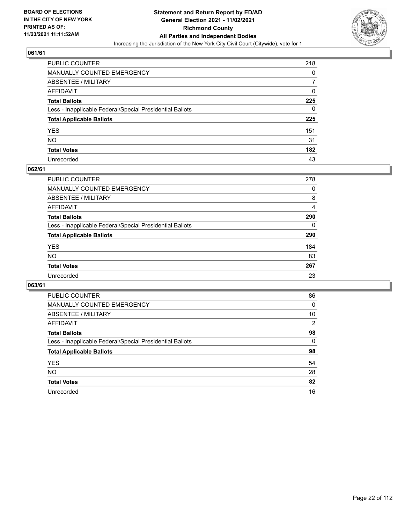

| PUBLIC COUNTER                                           | 218 |
|----------------------------------------------------------|-----|
| MANUALLY COUNTED EMERGENCY                               | 0   |
| ABSENTEE / MILITARY                                      |     |
| AFFIDAVIT                                                | 0   |
| Total Ballots                                            | 225 |
| Less - Inapplicable Federal/Special Presidential Ballots | 0   |
| <b>Total Applicable Ballots</b>                          | 225 |
| YES                                                      | 151 |
| NO.                                                      | 31  |
| <b>Total Votes</b>                                       | 182 |
| Unrecorded                                               | 43  |

#### **062/61**

| <b>PUBLIC COUNTER</b>                                    | 278      |
|----------------------------------------------------------|----------|
| <b>MANUALLY COUNTED EMERGENCY</b>                        | 0        |
| ABSENTEE / MILITARY                                      | 8        |
| AFFIDAVIT                                                | 4        |
| <b>Total Ballots</b>                                     | 290      |
| Less - Inapplicable Federal/Special Presidential Ballots | $\Omega$ |
| <b>Total Applicable Ballots</b>                          | 290      |
| <b>YES</b>                                               | 184      |
| <b>NO</b>                                                | 83       |
| <b>Total Votes</b>                                       | 267      |
| Unrecorded                                               | 23       |

| <b>PUBLIC COUNTER</b>                                    | 86             |
|----------------------------------------------------------|----------------|
| <b>MANUALLY COUNTED EMERGENCY</b>                        | 0              |
| ABSENTEE / MILITARY                                      | 10             |
| AFFIDAVIT                                                | $\overline{2}$ |
| <b>Total Ballots</b>                                     | 98             |
| Less - Inapplicable Federal/Special Presidential Ballots | $\Omega$       |
| <b>Total Applicable Ballots</b>                          | 98             |
| <b>YES</b>                                               | 54             |
| NO.                                                      | 28             |
| <b>Total Votes</b>                                       | 82             |
| Unrecorded                                               | 16             |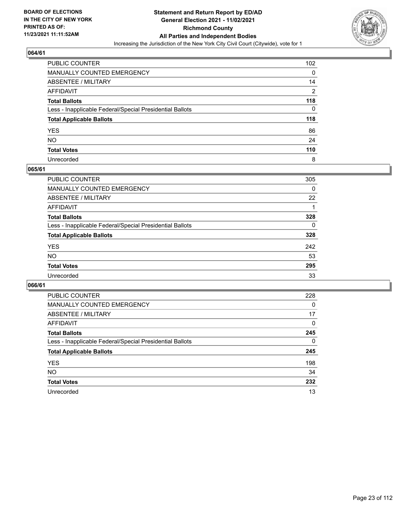

| PUBLIC COUNTER                                           | 102            |
|----------------------------------------------------------|----------------|
| MANUALLY COUNTED EMERGENCY                               | 0              |
| ABSENTEE / MILITARY                                      | 14             |
| AFFIDAVIT                                                | $\overline{2}$ |
| Total Ballots                                            | 118            |
| Less - Inapplicable Federal/Special Presidential Ballots | 0              |
| <b>Total Applicable Ballots</b>                          | 118            |
| YES                                                      | 86             |
| NO.                                                      | 24             |
| <b>Total Votes</b>                                       | 110            |
| Unrecorded                                               | 8              |

#### **065/61**

| <b>PUBLIC COUNTER</b>                                    | 305      |
|----------------------------------------------------------|----------|
| <b>MANUALLY COUNTED EMERGENCY</b>                        | 0        |
| ABSENTEE / MILITARY                                      | 22       |
| AFFIDAVIT                                                |          |
| <b>Total Ballots</b>                                     | 328      |
| Less - Inapplicable Federal/Special Presidential Ballots | $\Omega$ |
| <b>Total Applicable Ballots</b>                          | 328      |
| <b>YES</b>                                               | 242      |
| <b>NO</b>                                                | 53       |
| <b>Total Votes</b>                                       | 295      |
| Unrecorded                                               | 33       |

| <b>PUBLIC COUNTER</b>                                    | 228      |
|----------------------------------------------------------|----------|
| <b>MANUALLY COUNTED EMERGENCY</b>                        | $\Omega$ |
| ABSENTEE / MILITARY                                      | 17       |
| <b>AFFIDAVIT</b>                                         | $\Omega$ |
| <b>Total Ballots</b>                                     | 245      |
| Less - Inapplicable Federal/Special Presidential Ballots | $\Omega$ |
| <b>Total Applicable Ballots</b>                          | 245      |
| <b>YES</b>                                               | 198      |
| NO.                                                      | 34       |
| <b>Total Votes</b>                                       | 232      |
| Unrecorded                                               | 13       |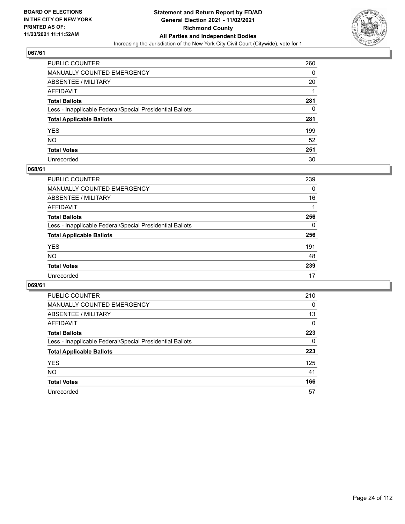

| PUBLIC COUNTER                                           | 260 |
|----------------------------------------------------------|-----|
| MANUALLY COUNTED EMERGENCY                               | 0   |
| ABSENTEE / MILITARY                                      | 20  |
| AFFIDAVIT                                                |     |
| Total Ballots                                            | 281 |
| Less - Inapplicable Federal/Special Presidential Ballots | 0   |
| <b>Total Applicable Ballots</b>                          | 281 |
| YES                                                      | 199 |
| NO.                                                      | 52  |
| <b>Total Votes</b>                                       | 251 |
| Unrecorded                                               | 30  |

#### **068/61**

| PUBLIC COUNTER                                           | 239      |
|----------------------------------------------------------|----------|
| <b>MANUALLY COUNTED EMERGENCY</b>                        | $\Omega$ |
| <b>ABSENTEE / MILITARY</b>                               | 16       |
| <b>AFFIDAVIT</b>                                         |          |
| <b>Total Ballots</b>                                     | 256      |
| Less - Inapplicable Federal/Special Presidential Ballots | $\Omega$ |
| <b>Total Applicable Ballots</b>                          | 256      |
| <b>YES</b>                                               | 191      |
| <b>NO</b>                                                | 48       |
| <b>Total Votes</b>                                       | 239      |
| Unrecorded                                               | 17       |

| <b>PUBLIC COUNTER</b>                                    | 210      |
|----------------------------------------------------------|----------|
| <b>MANUALLY COUNTED EMERGENCY</b>                        | 0        |
| ABSENTEE / MILITARY                                      | 13       |
| AFFIDAVIT                                                | $\Omega$ |
| <b>Total Ballots</b>                                     | 223      |
| Less - Inapplicable Federal/Special Presidential Ballots | $\Omega$ |
| <b>Total Applicable Ballots</b>                          | 223      |
| <b>YES</b>                                               | 125      |
| NO.                                                      | 41       |
| <b>Total Votes</b>                                       | 166      |
| Unrecorded                                               | 57       |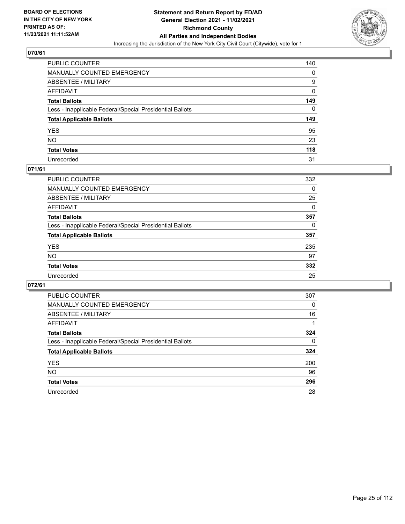

| PUBLIC COUNTER                                           | 140 |
|----------------------------------------------------------|-----|
| MANUALLY COUNTED EMERGENCY                               | 0   |
| ABSENTEE / MILITARY                                      | 9   |
| AFFIDAVIT                                                | 0   |
| Total Ballots                                            | 149 |
| Less - Inapplicable Federal/Special Presidential Ballots | 0   |
| <b>Total Applicable Ballots</b>                          | 149 |
| YES                                                      | 95  |
| NO.                                                      | 23  |
| <b>Total Votes</b>                                       | 118 |
| Unrecorded                                               | 31  |

#### **071/61**

| <b>PUBLIC COUNTER</b>                                    | 332      |
|----------------------------------------------------------|----------|
| MANUALLY COUNTED EMERGENCY                               | 0        |
| ABSENTEE / MILITARY                                      | 25       |
| AFFIDAVIT                                                | $\Omega$ |
| <b>Total Ballots</b>                                     | 357      |
| Less - Inapplicable Federal/Special Presidential Ballots | $\Omega$ |
| <b>Total Applicable Ballots</b>                          | 357      |
| <b>YES</b>                                               | 235      |
| <b>NO</b>                                                | 97       |
| <b>Total Votes</b>                                       | 332      |
| Unrecorded                                               | 25       |

| <b>PUBLIC COUNTER</b>                                    | 307      |
|----------------------------------------------------------|----------|
| MANUALLY COUNTED EMERGENCY                               | 0        |
| ABSENTEE / MILITARY                                      | 16       |
| AFFIDAVIT                                                |          |
| <b>Total Ballots</b>                                     | 324      |
| Less - Inapplicable Federal/Special Presidential Ballots | $\Omega$ |
| <b>Total Applicable Ballots</b>                          | 324      |
| <b>YES</b>                                               | 200      |
| <b>NO</b>                                                | 96       |
| <b>Total Votes</b>                                       | 296      |
| Unrecorded                                               | 28       |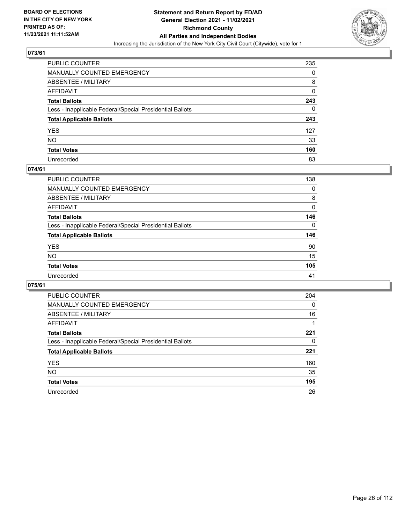

| PUBLIC COUNTER                                           | 235 |
|----------------------------------------------------------|-----|
| MANUALLY COUNTED EMERGENCY                               | 0   |
| ABSENTEE / MILITARY                                      | 8   |
| AFFIDAVIT                                                | 0   |
| Total Ballots                                            | 243 |
| Less - Inapplicable Federal/Special Presidential Ballots | 0   |
| <b>Total Applicable Ballots</b>                          | 243 |
| YES                                                      | 127 |
| NO.                                                      | 33  |
| <b>Total Votes</b>                                       | 160 |
| Unrecorded                                               | 83  |

#### **074/61**

| <b>PUBLIC COUNTER</b>                                    | 138      |
|----------------------------------------------------------|----------|
| MANUALLY COUNTED EMERGENCY                               | 0        |
| ABSENTEE / MILITARY                                      | 8        |
| AFFIDAVIT                                                | 0        |
| <b>Total Ballots</b>                                     | 146      |
| Less - Inapplicable Federal/Special Presidential Ballots | $\Omega$ |
| <b>Total Applicable Ballots</b>                          | 146      |
| <b>YES</b>                                               | 90       |
| <b>NO</b>                                                | 15       |
| <b>Total Votes</b>                                       | 105      |
| Unrecorded                                               | 41       |

| <b>PUBLIC COUNTER</b>                                    | 204      |
|----------------------------------------------------------|----------|
| <b>MANUALLY COUNTED EMERGENCY</b>                        | $\Omega$ |
| ABSENTEE / MILITARY                                      | 16       |
| AFFIDAVIT                                                |          |
| <b>Total Ballots</b>                                     | 221      |
| Less - Inapplicable Federal/Special Presidential Ballots | 0        |
| <b>Total Applicable Ballots</b>                          | 221      |
| <b>YES</b>                                               | 160      |
| NO.                                                      | 35       |
| <b>Total Votes</b>                                       | 195      |
| Unrecorded                                               | 26       |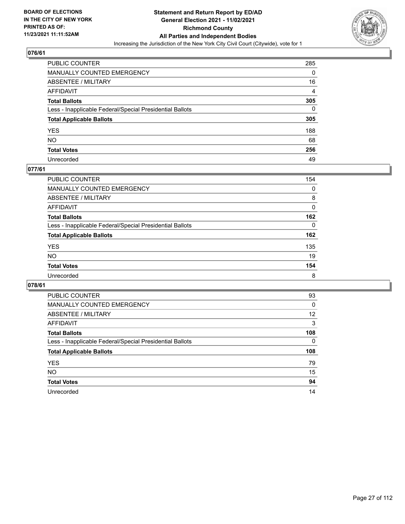

| PUBLIC COUNTER                                           | 285            |
|----------------------------------------------------------|----------------|
| MANUALLY COUNTED EMERGENCY                               | 0              |
| <b>ABSENTEE / MILITARY</b>                               | 16             |
| AFFIDAVIT                                                | $\overline{4}$ |
| Total Ballots                                            | 305            |
| Less - Inapplicable Federal/Special Presidential Ballots | $\Omega$       |
| <b>Total Applicable Ballots</b>                          | 305            |
| YES                                                      | 188            |
| NO.                                                      | 68             |
| <b>Total Votes</b>                                       | 256            |
| Unrecorded                                               | 49             |

#### **077/61**

| <b>PUBLIC COUNTER</b>                                    | 154      |
|----------------------------------------------------------|----------|
| MANUALLY COUNTED EMERGENCY                               | $\Omega$ |
| ABSENTEE / MILITARY                                      | 8        |
| AFFIDAVIT                                                | 0        |
| <b>Total Ballots</b>                                     | 162      |
| Less - Inapplicable Federal/Special Presidential Ballots | $\Omega$ |
| <b>Total Applicable Ballots</b>                          | 162      |
| <b>YES</b>                                               | 135      |
| <b>NO</b>                                                | 19       |
| <b>Total Votes</b>                                       | 154      |
| Unrecorded                                               | 8        |

| <b>PUBLIC COUNTER</b>                                    | 93           |
|----------------------------------------------------------|--------------|
| <b>MANUALLY COUNTED EMERGENCY</b>                        | $\mathbf{0}$ |
| ABSENTEE / MILITARY                                      | 12           |
| AFFIDAVIT                                                | 3            |
| <b>Total Ballots</b>                                     | 108          |
| Less - Inapplicable Federal/Special Presidential Ballots | $\Omega$     |
| <b>Total Applicable Ballots</b>                          | 108          |
| <b>YES</b>                                               | 79           |
| <b>NO</b>                                                | 15           |
| <b>Total Votes</b>                                       | 94           |
| Unrecorded                                               | 14           |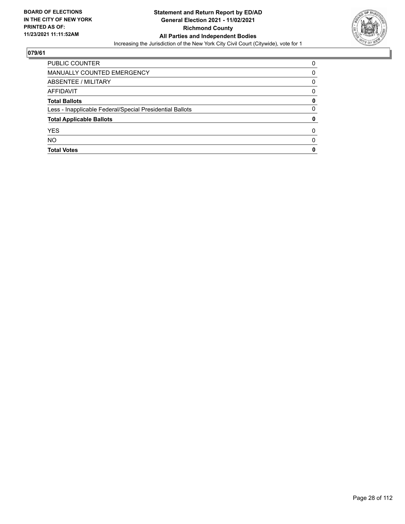

| <b>PUBLIC COUNTER</b>                                    | 0            |
|----------------------------------------------------------|--------------|
| MANUALLY COUNTED EMERGENCY                               | 0            |
| ABSENTEE / MILITARY                                      | 0            |
| AFFIDAVIT                                                | 0            |
| <b>Total Ballots</b>                                     | 0            |
| Less - Inapplicable Federal/Special Presidential Ballots | 0            |
| <b>Total Applicable Ballots</b>                          | 0            |
| <b>YES</b>                                               | 0            |
| <b>NO</b>                                                | <sup>0</sup> |
| <b>Total Votes</b>                                       | 0            |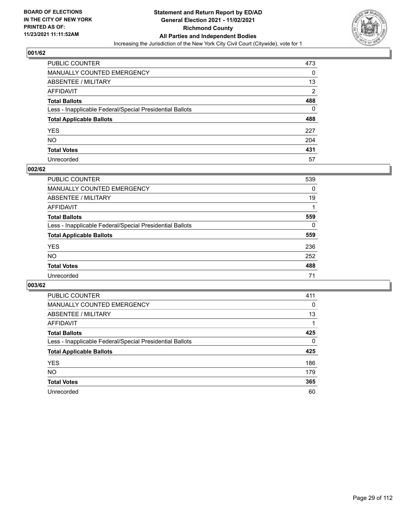

| PUBLIC COUNTER                                           | 473 |
|----------------------------------------------------------|-----|
| MANUALLY COUNTED EMERGENCY                               | 0   |
| ABSENTEE / MILITARY                                      | 13  |
| AFFIDAVIT                                                | 2   |
| Total Ballots                                            | 488 |
| Less - Inapplicable Federal/Special Presidential Ballots | 0   |
| <b>Total Applicable Ballots</b>                          | 488 |
| YES                                                      | 227 |
| NO.                                                      | 204 |
| <b>Total Votes</b>                                       | 431 |
| Unrecorded                                               | 57  |

#### **002/62**

| <b>PUBLIC COUNTER</b>                                    | 539      |
|----------------------------------------------------------|----------|
| <b>MANUALLY COUNTED EMERGENCY</b>                        | 0        |
| ABSENTEE / MILITARY                                      | 19       |
| AFFIDAVIT                                                |          |
| <b>Total Ballots</b>                                     | 559      |
| Less - Inapplicable Federal/Special Presidential Ballots | $\Omega$ |
| <b>Total Applicable Ballots</b>                          | 559      |
| <b>YES</b>                                               | 236      |
| <b>NO</b>                                                | 252      |
| <b>Total Votes</b>                                       | 488      |
| Unrecorded                                               | 71       |

| <b>PUBLIC COUNTER</b>                                    | 411      |
|----------------------------------------------------------|----------|
| MANUALLY COUNTED EMERGENCY                               | 0        |
| ABSENTEE / MILITARY                                      | 13       |
| AFFIDAVIT                                                |          |
| <b>Total Ballots</b>                                     | 425      |
| Less - Inapplicable Federal/Special Presidential Ballots | $\Omega$ |
| <b>Total Applicable Ballots</b>                          | 425      |
| <b>YES</b>                                               | 186      |
| <b>NO</b>                                                | 179      |
| <b>Total Votes</b>                                       | 365      |
| Unrecorded                                               | 60       |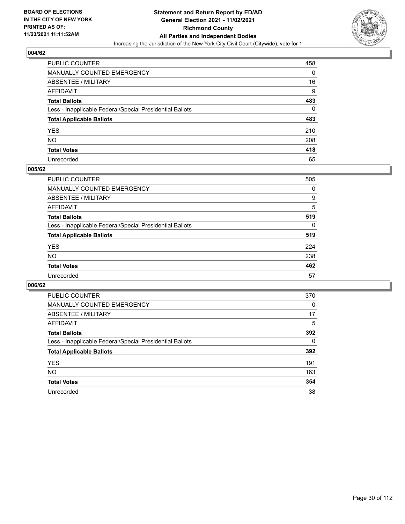

| PUBLIC COUNTER                                           | 458 |
|----------------------------------------------------------|-----|
| MANUALLY COUNTED EMERGENCY                               | 0   |
| ABSENTEE / MILITARY                                      | 16  |
| AFFIDAVIT                                                | 9   |
| <b>Total Ballots</b>                                     | 483 |
| Less - Inapplicable Federal/Special Presidential Ballots | 0   |
| <b>Total Applicable Ballots</b>                          | 483 |
| YES                                                      | 210 |
| NO.                                                      | 208 |
| <b>Total Votes</b>                                       | 418 |
| Unrecorded                                               | 65  |

#### **005/62**

| <b>PUBLIC COUNTER</b>                                    | 505      |
|----------------------------------------------------------|----------|
| <b>MANUALLY COUNTED EMERGENCY</b>                        | 0        |
| ABSENTEE / MILITARY                                      | 9        |
| AFFIDAVIT                                                | 5        |
| <b>Total Ballots</b>                                     | 519      |
| Less - Inapplicable Federal/Special Presidential Ballots | $\Omega$ |
| <b>Total Applicable Ballots</b>                          | 519      |
| <b>YES</b>                                               | 224      |
| <b>NO</b>                                                | 238      |
| <b>Total Votes</b>                                       | 462      |
| Unrecorded                                               | 57       |

| <b>PUBLIC COUNTER</b>                                    | 370      |
|----------------------------------------------------------|----------|
| <b>MANUALLY COUNTED EMERGENCY</b>                        | 0        |
| ABSENTEE / MILITARY                                      | 17       |
| AFFIDAVIT                                                | 5        |
| <b>Total Ballots</b>                                     | 392      |
| Less - Inapplicable Federal/Special Presidential Ballots | $\Omega$ |
| <b>Total Applicable Ballots</b>                          | 392      |
| <b>YES</b>                                               | 191      |
| <b>NO</b>                                                | 163      |
| <b>Total Votes</b>                                       | 354      |
| Unrecorded                                               | 38       |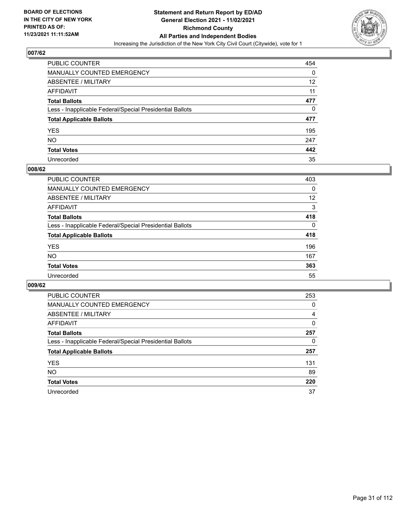

| PUBLIC COUNTER                                           | 454 |
|----------------------------------------------------------|-----|
| <b>MANUALLY COUNTED EMERGENCY</b>                        | 0   |
| ABSENTEE / MILITARY                                      | 12  |
| AFFIDAVIT                                                | 11  |
| <b>Total Ballots</b>                                     | 477 |
| Less - Inapplicable Federal/Special Presidential Ballots | 0   |
| <b>Total Applicable Ballots</b>                          | 477 |
| YES                                                      | 195 |
| NO.                                                      | 247 |
| <b>Total Votes</b>                                       | 442 |
| Unrecorded                                               | 35  |

#### **008/62**

| <b>PUBLIC COUNTER</b>                                    | 403      |
|----------------------------------------------------------|----------|
| MANUALLY COUNTED EMERGENCY                               | 0        |
| ABSENTEE / MILITARY                                      | 12       |
| AFFIDAVIT                                                | 3        |
| <b>Total Ballots</b>                                     | 418      |
| Less - Inapplicable Federal/Special Presidential Ballots | $\Omega$ |
| <b>Total Applicable Ballots</b>                          | 418      |
| <b>YES</b>                                               | 196      |
| <b>NO</b>                                                | 167      |
| <b>Total Votes</b>                                       | 363      |
| Unrecorded                                               | 55       |

| <b>PUBLIC COUNTER</b>                                    | 253      |
|----------------------------------------------------------|----------|
| <b>MANUALLY COUNTED EMERGENCY</b>                        | 0        |
| ABSENTEE / MILITARY                                      | 4        |
| AFFIDAVIT                                                | $\Omega$ |
| <b>Total Ballots</b>                                     | 257      |
| Less - Inapplicable Federal/Special Presidential Ballots | 0        |
| <b>Total Applicable Ballots</b>                          | 257      |
| <b>YES</b>                                               | 131      |
| <b>NO</b>                                                | 89       |
| <b>Total Votes</b>                                       | 220      |
|                                                          |          |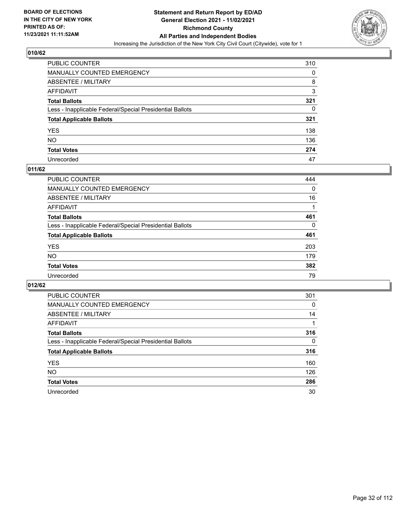

| PUBLIC COUNTER                                           | 310 |
|----------------------------------------------------------|-----|
| MANUALLY COUNTED EMERGENCY                               | 0   |
| ABSENTEE / MILITARY                                      | 8   |
| AFFIDAVIT                                                | 3   |
| Total Ballots                                            | 321 |
| Less - Inapplicable Federal/Special Presidential Ballots | 0   |
| <b>Total Applicable Ballots</b>                          | 321 |
| YES                                                      | 138 |
| NO.                                                      | 136 |
| <b>Total Votes</b>                                       | 274 |
| Unrecorded                                               | 47  |

#### **011/62**

| <b>PUBLIC COUNTER</b>                                    | 444      |
|----------------------------------------------------------|----------|
| MANUALLY COUNTED EMERGENCY                               | 0        |
| ABSENTEE / MILITARY                                      | 16       |
| AFFIDAVIT                                                |          |
| <b>Total Ballots</b>                                     | 461      |
| Less - Inapplicable Federal/Special Presidential Ballots | $\Omega$ |
| <b>Total Applicable Ballots</b>                          | 461      |
| <b>YES</b>                                               | 203      |
| <b>NO</b>                                                | 179      |
| <b>Total Votes</b>                                       | 382      |
| Unrecorded                                               | 79       |

| <b>PUBLIC COUNTER</b>                                    | 301      |
|----------------------------------------------------------|----------|
| MANUALLY COUNTED EMERGENCY                               | 0        |
| ABSENTEE / MILITARY                                      | 14       |
| <b>AFFIDAVIT</b>                                         |          |
| <b>Total Ballots</b>                                     | 316      |
| Less - Inapplicable Federal/Special Presidential Ballots | $\Omega$ |
| <b>Total Applicable Ballots</b>                          | 316      |
| <b>YES</b>                                               | 160      |
| <b>NO</b>                                                | 126      |
| <b>Total Votes</b>                                       | 286      |
| Unrecorded                                               | 30       |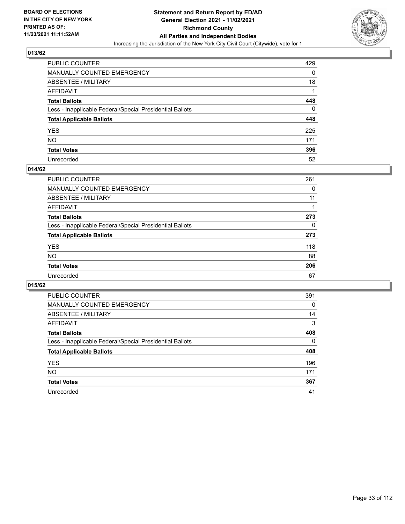

| PUBLIC COUNTER                                           | 429 |
|----------------------------------------------------------|-----|
| MANUALLY COUNTED EMERGENCY                               | 0   |
| ABSENTEE / MILITARY                                      | 18  |
| AFFIDAVIT                                                |     |
| Total Ballots                                            | 448 |
| Less - Inapplicable Federal/Special Presidential Ballots | 0   |
| <b>Total Applicable Ballots</b>                          | 448 |
| YES                                                      | 225 |
| NO.                                                      | 171 |
| <b>Total Votes</b>                                       | 396 |
| Unrecorded                                               | 52  |

#### **014/62**

| <b>PUBLIC COUNTER</b>                                    | 261      |
|----------------------------------------------------------|----------|
| MANUALLY COUNTED EMERGENCY                               | 0        |
| ABSENTEE / MILITARY                                      | 11       |
| AFFIDAVIT                                                |          |
| <b>Total Ballots</b>                                     | 273      |
| Less - Inapplicable Federal/Special Presidential Ballots | $\Omega$ |
| <b>Total Applicable Ballots</b>                          | 273      |
| <b>YES</b>                                               | 118      |
| <b>NO</b>                                                | 88       |
| <b>Total Votes</b>                                       | 206      |
| Unrecorded                                               | 67       |

| <b>PUBLIC COUNTER</b>                                    | 391      |
|----------------------------------------------------------|----------|
| <b>MANUALLY COUNTED EMERGENCY</b>                        | 0        |
| ABSENTEE / MILITARY                                      | 14       |
| AFFIDAVIT                                                | 3        |
| <b>Total Ballots</b>                                     | 408      |
| Less - Inapplicable Federal/Special Presidential Ballots | $\Omega$ |
| <b>Total Applicable Ballots</b>                          | 408      |
| <b>YES</b>                                               | 196      |
| <b>NO</b>                                                | 171      |
| <b>Total Votes</b>                                       | 367      |
| Unrecorded                                               | 41       |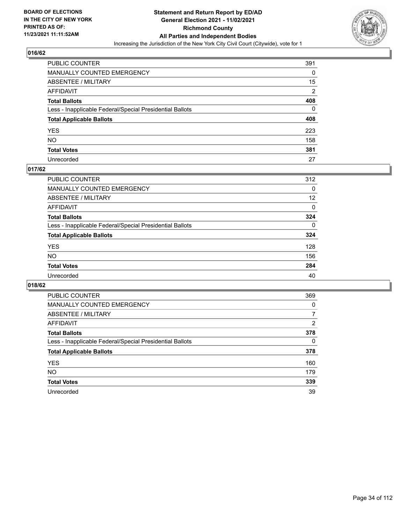

| PUBLIC COUNTER                                           | 391            |
|----------------------------------------------------------|----------------|
| MANUALLY COUNTED EMERGENCY                               | 0              |
| ABSENTEE / MILITARY                                      | 15             |
| AFFIDAVIT                                                | $\overline{2}$ |
| Total Ballots                                            | 408            |
| Less - Inapplicable Federal/Special Presidential Ballots | 0              |
| <b>Total Applicable Ballots</b>                          | 408            |
| YES                                                      | 223            |
| NO.                                                      | 158            |
| <b>Total Votes</b>                                       | 381            |
| Unrecorded                                               | 27             |

#### **017/62**

| <b>PUBLIC COUNTER</b>                                    | 312      |
|----------------------------------------------------------|----------|
| <b>MANUALLY COUNTED EMERGENCY</b>                        | 0        |
| ABSENTEE / MILITARY                                      | 12       |
| AFFIDAVIT                                                | 0        |
| <b>Total Ballots</b>                                     | 324      |
| Less - Inapplicable Federal/Special Presidential Ballots | $\Omega$ |
| <b>Total Applicable Ballots</b>                          | 324      |
| <b>YES</b>                                               | 128      |
| <b>NO</b>                                                | 156      |
| <b>Total Votes</b>                                       | 284      |
| Unrecorded                                               | 40       |

| <b>PUBLIC COUNTER</b>                                    | 369      |
|----------------------------------------------------------|----------|
| MANUALLY COUNTED EMERGENCY                               | 0        |
| ABSENTEE / MILITARY                                      | 7        |
| AFFIDAVIT                                                | 2        |
| <b>Total Ballots</b>                                     | 378      |
| Less - Inapplicable Federal/Special Presidential Ballots | $\Omega$ |
| <b>Total Applicable Ballots</b>                          | 378      |
| <b>YES</b>                                               | 160      |
| <b>NO</b>                                                | 179      |
| <b>Total Votes</b>                                       | 339      |
| Unrecorded                                               | 39       |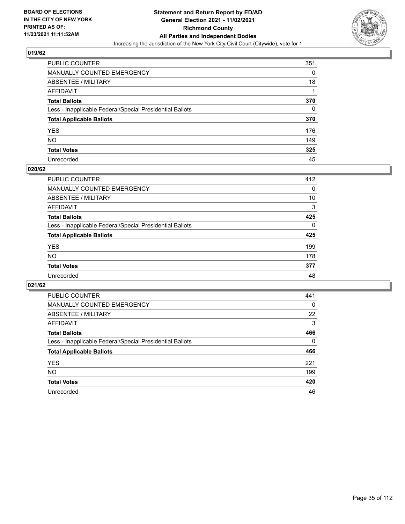

| PUBLIC COUNTER                                           | 351 |
|----------------------------------------------------------|-----|
| MANUALLY COUNTED EMERGENCY                               | 0   |
| ABSENTEE / MILITARY                                      | 18  |
| AFFIDAVIT                                                |     |
| <b>Total Ballots</b>                                     | 370 |
| Less - Inapplicable Federal/Special Presidential Ballots | 0   |
| <b>Total Applicable Ballots</b>                          | 370 |
| YES                                                      | 176 |
| NO.                                                      | 149 |
| <b>Total Votes</b>                                       | 325 |
| Unrecorded                                               | 45  |

#### **020/62**

| <b>PUBLIC COUNTER</b>                                    | 412      |
|----------------------------------------------------------|----------|
| <b>MANUALLY COUNTED EMERGENCY</b>                        | 0        |
| ABSENTEE / MILITARY                                      | 10       |
| AFFIDAVIT                                                | 3        |
| <b>Total Ballots</b>                                     | 425      |
| Less - Inapplicable Federal/Special Presidential Ballots | $\Omega$ |
| <b>Total Applicable Ballots</b>                          | 425      |
| <b>YES</b>                                               | 199      |
| <b>NO</b>                                                | 178      |
| <b>Total Votes</b>                                       | 377      |
| Unrecorded                                               | 48       |

| PUBLIC COUNTER                                           | 441      |
|----------------------------------------------------------|----------|
| <b>MANUALLY COUNTED EMERGENCY</b>                        | $\Omega$ |
| ABSENTEE / MILITARY                                      | 22       |
| AFFIDAVIT                                                | 3        |
| <b>Total Ballots</b>                                     | 466      |
| Less - Inapplicable Federal/Special Presidential Ballots | $\Omega$ |
| <b>Total Applicable Ballots</b>                          | 466      |
| <b>YES</b>                                               | 221      |
| <b>NO</b>                                                | 199      |
| <b>Total Votes</b>                                       | 420      |
| Unrecorded                                               | 46       |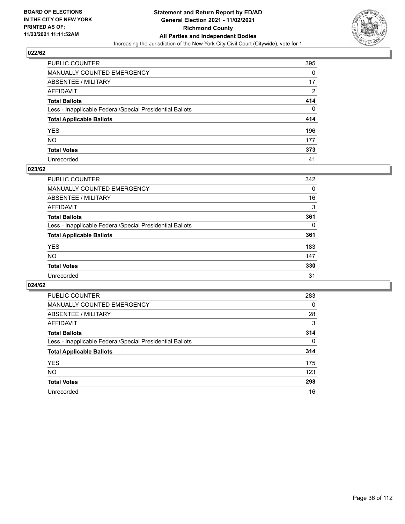

| PUBLIC COUNTER                                           | 395            |
|----------------------------------------------------------|----------------|
| MANUALLY COUNTED EMERGENCY                               | 0              |
| ABSENTEE / MILITARY                                      | 17             |
| AFFIDAVIT                                                | $\overline{2}$ |
| Total Ballots                                            | 414            |
| Less - Inapplicable Federal/Special Presidential Ballots | 0              |
| <b>Total Applicable Ballots</b>                          | 414            |
| YES                                                      | 196            |
| NO.                                                      | 177            |
| <b>Total Votes</b>                                       | 373            |
| Unrecorded                                               | 41             |

#### **023/62**

| <b>PUBLIC COUNTER</b>                                    | 342      |
|----------------------------------------------------------|----------|
| <b>MANUALLY COUNTED EMERGENCY</b>                        | $\Omega$ |
| ABSENTEE / MILITARY                                      | 16       |
| AFFIDAVIT                                                | 3        |
| <b>Total Ballots</b>                                     | 361      |
| Less - Inapplicable Federal/Special Presidential Ballots | 0        |
| <b>Total Applicable Ballots</b>                          | 361      |
| <b>YES</b>                                               | 183      |
| <b>NO</b>                                                | 147      |
| <b>Total Votes</b>                                       | 330      |
| Unrecorded                                               | 31       |

| PUBLIC COUNTER                                           | 283      |
|----------------------------------------------------------|----------|
| <b>MANUALLY COUNTED EMERGENCY</b>                        | $\Omega$ |
| ABSENTEE / MILITARY                                      | 28       |
| AFFIDAVIT                                                | 3        |
| <b>Total Ballots</b>                                     | 314      |
| Less - Inapplicable Federal/Special Presidential Ballots | $\Omega$ |
| <b>Total Applicable Ballots</b>                          | 314      |
| <b>YES</b>                                               | 175      |
| <b>NO</b>                                                | 123      |
| <b>Total Votes</b>                                       | 298      |
| Unrecorded                                               | 16       |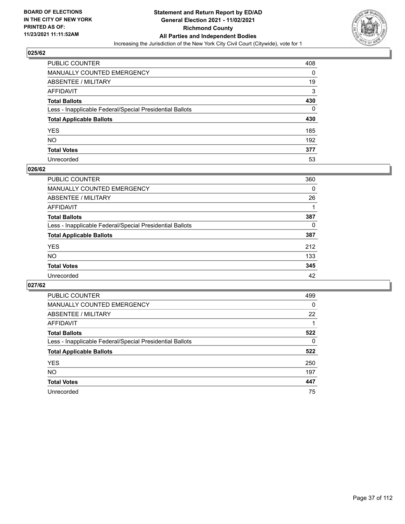

| PUBLIC COUNTER                                           | 408      |
|----------------------------------------------------------|----------|
| MANUALLY COUNTED EMERGENCY                               | 0        |
| ABSENTEE / MILITARY                                      | 19       |
| AFFIDAVIT                                                | 3        |
| Total Ballots                                            | 430      |
| Less - Inapplicable Federal/Special Presidential Ballots | $\Omega$ |
| <b>Total Applicable Ballots</b>                          | 430      |
| YES                                                      | 185      |
| NO.                                                      | 192      |
| <b>Total Votes</b>                                       | 377      |
| Unrecorded                                               | 53       |

### **026/62**

| <b>PUBLIC COUNTER</b>                                    | 360 |
|----------------------------------------------------------|-----|
| <b>MANUALLY COUNTED EMERGENCY</b>                        | 0   |
| <b>ABSENTEE / MILITARY</b>                               | 26  |
| AFFIDAVIT                                                |     |
| <b>Total Ballots</b>                                     | 387 |
| Less - Inapplicable Federal/Special Presidential Ballots | 0   |
| <b>Total Applicable Ballots</b>                          | 387 |
| <b>YES</b>                                               | 212 |
| NO                                                       | 133 |
| <b>Total Votes</b>                                       | 345 |
| Unrecorded                                               | 42  |

| <b>PUBLIC COUNTER</b>                                    | 499      |
|----------------------------------------------------------|----------|
| MANUALLY COUNTED EMERGENCY                               | $\Omega$ |
| ABSENTEE / MILITARY                                      | 22       |
| AFFIDAVIT                                                |          |
| <b>Total Ballots</b>                                     | 522      |
| Less - Inapplicable Federal/Special Presidential Ballots | 0        |
| <b>Total Applicable Ballots</b>                          | 522      |
| <b>YES</b>                                               | 250      |
| NO.                                                      | 197      |
| <b>Total Votes</b>                                       | 447      |
| Unrecorded                                               | 75       |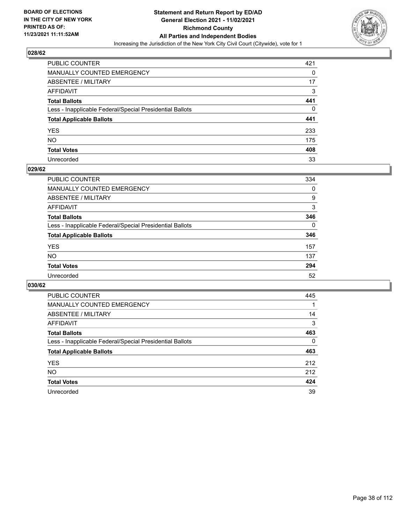

| PUBLIC COUNTER                                           | 421      |
|----------------------------------------------------------|----------|
| MANUALLY COUNTED EMERGENCY                               | $\Omega$ |
| <b>ABSENTEE / MILITARY</b>                               | 17       |
| AFFIDAVIT                                                | 3        |
| <b>Total Ballots</b>                                     | 441      |
| Less - Inapplicable Federal/Special Presidential Ballots | 0        |
| <b>Total Applicable Ballots</b>                          | 441      |
| YES                                                      | 233      |
| NO.                                                      | 175      |
| <b>Total Votes</b>                                       | 408      |
| Unrecorded                                               | 33       |

### **029/62**

| PUBLIC COUNTER                                           | 334      |
|----------------------------------------------------------|----------|
| <b>MANUALLY COUNTED EMERGENCY</b>                        | 0        |
| ABSENTEE / MILITARY                                      | 9        |
| AFFIDAVIT                                                | 3        |
| <b>Total Ballots</b>                                     | 346      |
| Less - Inapplicable Federal/Special Presidential Ballots | $\Omega$ |
| <b>Total Applicable Ballots</b>                          | 346      |
| <b>YES</b>                                               | 157      |
| <b>NO</b>                                                | 137      |
| <b>Total Votes</b>                                       | 294      |
| Unrecorded                                               | 52       |

| <b>PUBLIC COUNTER</b>                                    | 445      |
|----------------------------------------------------------|----------|
| <b>MANUALLY COUNTED EMERGENCY</b>                        |          |
| ABSENTEE / MILITARY                                      | 14       |
| AFFIDAVIT                                                | 3        |
| <b>Total Ballots</b>                                     | 463      |
| Less - Inapplicable Federal/Special Presidential Ballots | $\Omega$ |
| <b>Total Applicable Ballots</b>                          | 463      |
| <b>YES</b>                                               | 212      |
| <b>NO</b>                                                | 212      |
| <b>Total Votes</b>                                       | 424      |
| Unrecorded                                               | 39       |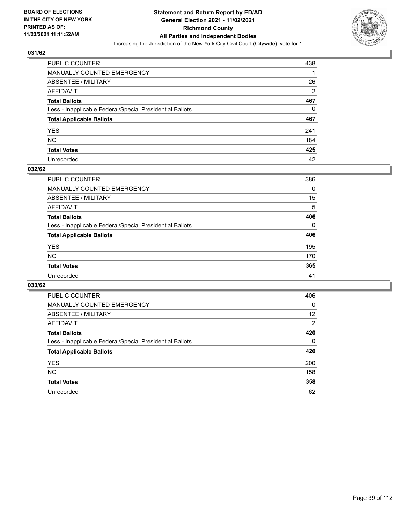

| PUBLIC COUNTER                                           | 438            |
|----------------------------------------------------------|----------------|
| MANUALLY COUNTED EMERGENCY                               |                |
| ABSENTEE / MILITARY                                      | 26             |
| AFFIDAVIT                                                | $\overline{2}$ |
| Total Ballots                                            | 467            |
| Less - Inapplicable Federal/Special Presidential Ballots | 0              |
| <b>Total Applicable Ballots</b>                          | 467            |
| YES                                                      | 241            |
| NO.                                                      | 184            |
| <b>Total Votes</b>                                       | 425            |
| Unrecorded                                               | 42             |

### **032/62**

| <b>PUBLIC COUNTER</b>                                    | 386      |
|----------------------------------------------------------|----------|
| MANUALLY COUNTED EMERGENCY                               | $\Omega$ |
| ABSENTEE / MILITARY                                      | 15       |
| AFFIDAVIT                                                | 5        |
| <b>Total Ballots</b>                                     | 406      |
| Less - Inapplicable Federal/Special Presidential Ballots | $\Omega$ |
| <b>Total Applicable Ballots</b>                          | 406      |
| <b>YES</b>                                               | 195      |
| <b>NO</b>                                                | 170      |
| <b>Total Votes</b>                                       | 365      |
| Unrecorded                                               | 41       |

| <b>PUBLIC COUNTER</b>                                    | 406      |
|----------------------------------------------------------|----------|
| MANUALLY COUNTED EMERGENCY                               | $\Omega$ |
| ABSENTEE / MILITARY                                      | 12       |
| AFFIDAVIT                                                | 2        |
| <b>Total Ballots</b>                                     | 420      |
| Less - Inapplicable Federal/Special Presidential Ballots | $\Omega$ |
| <b>Total Applicable Ballots</b>                          | 420      |
| <b>YES</b>                                               | 200      |
| NO.                                                      | 158      |
| <b>Total Votes</b>                                       | 358      |
| Unrecorded                                               | 62       |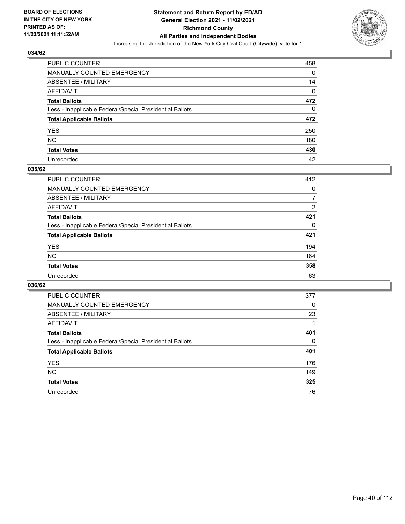

| PUBLIC COUNTER                                           | 458 |
|----------------------------------------------------------|-----|
| MANUALLY COUNTED EMERGENCY                               | 0   |
| ABSENTEE / MILITARY                                      | 14  |
| AFFIDAVIT                                                | 0   |
| <b>Total Ballots</b>                                     | 472 |
| Less - Inapplicable Federal/Special Presidential Ballots | 0   |
| <b>Total Applicable Ballots</b>                          | 472 |
| YES                                                      | 250 |
| NO.                                                      | 180 |
| <b>Total Votes</b>                                       | 430 |
| Unrecorded                                               | 42  |

### **035/62**

| <b>PUBLIC COUNTER</b>                                    | 412      |
|----------------------------------------------------------|----------|
| <b>MANUALLY COUNTED EMERGENCY</b>                        | 0        |
| ABSENTEE / MILITARY                                      | 7        |
| AFFIDAVIT                                                | 2        |
| <b>Total Ballots</b>                                     | 421      |
| Less - Inapplicable Federal/Special Presidential Ballots | $\Omega$ |
| <b>Total Applicable Ballots</b>                          | 421      |
| <b>YES</b>                                               | 194      |
| <b>NO</b>                                                | 164      |
| <b>Total Votes</b>                                       | 358      |
| Unrecorded                                               | 63       |

| <b>PUBLIC COUNTER</b>                                    | 377      |
|----------------------------------------------------------|----------|
| MANUALLY COUNTED EMERGENCY                               | 0        |
| ABSENTEE / MILITARY                                      | 23       |
| AFFIDAVIT                                                |          |
| <b>Total Ballots</b>                                     | 401      |
| Less - Inapplicable Federal/Special Presidential Ballots | $\Omega$ |
| <b>Total Applicable Ballots</b>                          | 401      |
| <b>YES</b>                                               | 176      |
| <b>NO</b>                                                | 149      |
| <b>Total Votes</b>                                       | 325      |
| Unrecorded                                               | 76       |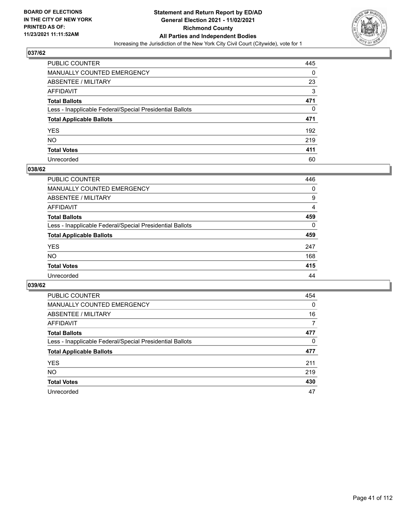

| PUBLIC COUNTER                                           | 445 |
|----------------------------------------------------------|-----|
| <b>MANUALLY COUNTED EMERGENCY</b>                        | 0   |
| <b>ABSENTEE / MILITARY</b>                               | 23  |
| AFFIDAVIT                                                | 3   |
| <b>Total Ballots</b>                                     | 471 |
| Less - Inapplicable Federal/Special Presidential Ballots | 0   |
| <b>Total Applicable Ballots</b>                          | 471 |
| YES.                                                     | 192 |
| NO.                                                      | 219 |
| <b>Total Votes</b>                                       | 411 |
| Unrecorded                                               | 60  |

### **038/62**

| <b>PUBLIC COUNTER</b>                                    | 446      |
|----------------------------------------------------------|----------|
| <b>MANUALLY COUNTED EMERGENCY</b>                        | $\Omega$ |
| ABSENTEE / MILITARY                                      | 9        |
| AFFIDAVIT                                                | 4        |
| <b>Total Ballots</b>                                     | 459      |
| Less - Inapplicable Federal/Special Presidential Ballots | $\Omega$ |
| <b>Total Applicable Ballots</b>                          | 459      |
| <b>YES</b>                                               | 247      |
| <b>NO</b>                                                | 168      |
| <b>Total Votes</b>                                       | 415      |
| Unrecorded                                               | 44       |

| <b>PUBLIC COUNTER</b>                                    | 454 |
|----------------------------------------------------------|-----|
| MANUALLY COUNTED EMERGENCY                               | 0   |
| ABSENTEE / MILITARY                                      | 16  |
| AFFIDAVIT                                                | 7   |
| <b>Total Ballots</b>                                     | 477 |
| Less - Inapplicable Federal/Special Presidential Ballots | 0   |
| <b>Total Applicable Ballots</b>                          | 477 |
| <b>YES</b>                                               | 211 |
| <b>NO</b>                                                | 219 |
| <b>Total Votes</b>                                       | 430 |
| Unrecorded                                               | 47  |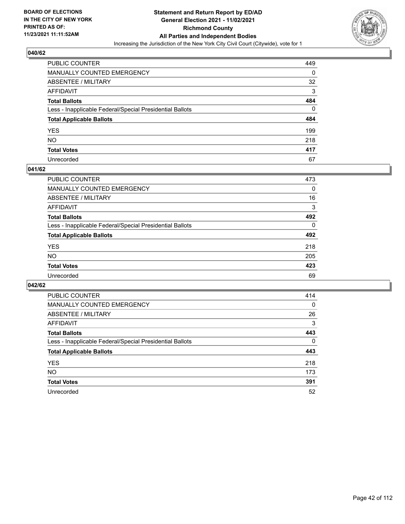

| PUBLIC COUNTER                                           | 449 |
|----------------------------------------------------------|-----|
| MANUALLY COUNTED EMERGENCY                               | 0   |
| ABSENTEE / MILITARY                                      | 32  |
| AFFIDAVIT                                                | 3   |
| Total Ballots                                            | 484 |
| Less - Inapplicable Federal/Special Presidential Ballots | 0   |
| <b>Total Applicable Ballots</b>                          | 484 |
| YES                                                      | 199 |
| NO.                                                      | 218 |
| <b>Total Votes</b>                                       | 417 |
| Unrecorded                                               | 67  |

### **041/62**

| <b>PUBLIC COUNTER</b>                                    | 473      |
|----------------------------------------------------------|----------|
| <b>MANUALLY COUNTED EMERGENCY</b>                        | 0        |
| ABSENTEE / MILITARY                                      | 16       |
| AFFIDAVIT                                                | 3        |
| <b>Total Ballots</b>                                     | 492      |
| Less - Inapplicable Federal/Special Presidential Ballots | $\Omega$ |
| <b>Total Applicable Ballots</b>                          | 492      |
| <b>YES</b>                                               | 218      |
| <b>NO</b>                                                | 205      |
| <b>Total Votes</b>                                       | 423      |
| Unrecorded                                               | 69       |

| <b>PUBLIC COUNTER</b>                                    | 414      |
|----------------------------------------------------------|----------|
| <b>MANUALLY COUNTED EMERGENCY</b>                        | $\Omega$ |
| ABSENTEE / MILITARY                                      | 26       |
| AFFIDAVIT                                                | 3        |
| <b>Total Ballots</b>                                     | 443      |
| Less - Inapplicable Federal/Special Presidential Ballots | $\Omega$ |
| <b>Total Applicable Ballots</b>                          | 443      |
| <b>YES</b>                                               | 218      |
| NO.                                                      | 173      |
| <b>Total Votes</b>                                       | 391      |
| Unrecorded                                               | 52       |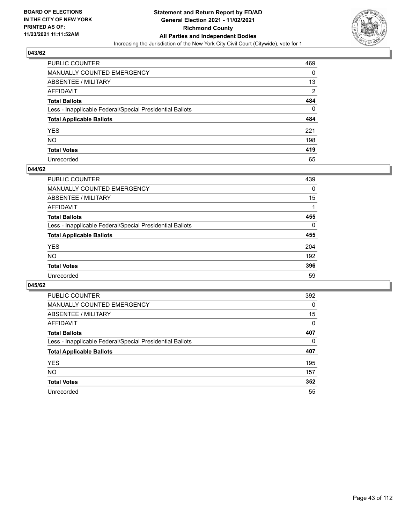

| PUBLIC COUNTER                                           | 469 |
|----------------------------------------------------------|-----|
| MANUALLY COUNTED EMERGENCY                               | 0   |
| ABSENTEE / MILITARY                                      | 13  |
| AFFIDAVIT                                                | 2   |
| <b>Total Ballots</b>                                     | 484 |
| Less - Inapplicable Federal/Special Presidential Ballots | 0   |
| <b>Total Applicable Ballots</b>                          | 484 |
| YES                                                      | 221 |
| NO.                                                      | 198 |
| <b>Total Votes</b>                                       | 419 |
| Unrecorded                                               | 65  |

#### **044/62**

| <b>PUBLIC COUNTER</b>                                    | 439      |
|----------------------------------------------------------|----------|
| MANUALLY COUNTED EMERGENCY                               | 0        |
| ABSENTEE / MILITARY                                      | 15       |
| AFFIDAVIT                                                |          |
| <b>Total Ballots</b>                                     | 455      |
| Less - Inapplicable Federal/Special Presidential Ballots | $\Omega$ |
| <b>Total Applicable Ballots</b>                          | 455      |
| <b>YES</b>                                               | 204      |
| <b>NO</b>                                                | 192      |
| <b>Total Votes</b>                                       | 396      |
| Unrecorded                                               | 59       |

| <b>PUBLIC COUNTER</b>                                    | 392      |
|----------------------------------------------------------|----------|
| <b>MANUALLY COUNTED EMERGENCY</b>                        | $\Omega$ |
| ABSENTEE / MILITARY                                      | 15       |
| AFFIDAVIT                                                | $\Omega$ |
| <b>Total Ballots</b>                                     | 407      |
| Less - Inapplicable Federal/Special Presidential Ballots | $\Omega$ |
| <b>Total Applicable Ballots</b>                          | 407      |
| <b>YES</b>                                               | 195      |
| NO.                                                      | 157      |
| <b>Total Votes</b>                                       | 352      |
| Unrecorded                                               | 55       |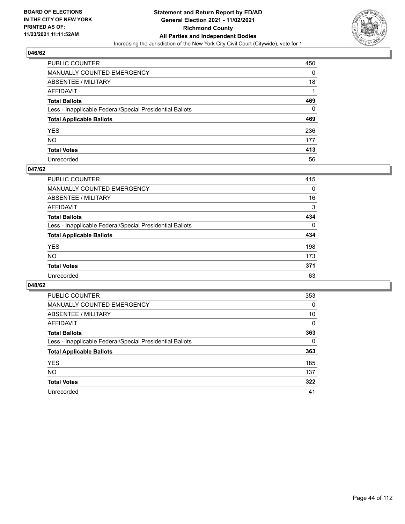

| PUBLIC COUNTER                                           | 450 |
|----------------------------------------------------------|-----|
| MANUALLY COUNTED EMERGENCY                               | 0   |
| ABSENTEE / MILITARY                                      | 18  |
| AFFIDAVIT                                                |     |
| <b>Total Ballots</b>                                     | 469 |
| Less - Inapplicable Federal/Special Presidential Ballots | 0   |
| <b>Total Applicable Ballots</b>                          | 469 |
| YES                                                      | 236 |
| NO.                                                      | 177 |
| <b>Total Votes</b>                                       | 413 |
| Unrecorded                                               | 56  |

### **047/62**

| <b>PUBLIC COUNTER</b>                                    | 415      |
|----------------------------------------------------------|----------|
| <b>MANUALLY COUNTED EMERGENCY</b>                        | $\Omega$ |
| ABSENTEE / MILITARY                                      | 16       |
| AFFIDAVIT                                                | 3        |
| <b>Total Ballots</b>                                     | 434      |
| Less - Inapplicable Federal/Special Presidential Ballots | $\Omega$ |
| <b>Total Applicable Ballots</b>                          | 434      |
| <b>YES</b>                                               | 198      |
| <b>NO</b>                                                | 173      |
| <b>Total Votes</b>                                       | 371      |
| Unrecorded                                               | 63       |

| <b>PUBLIC COUNTER</b>                                    | 353      |
|----------------------------------------------------------|----------|
| <b>MANUALLY COUNTED EMERGENCY</b>                        | 0        |
| ABSENTEE / MILITARY                                      | 10       |
| AFFIDAVIT                                                | $\Omega$ |
| <b>Total Ballots</b>                                     | 363      |
| Less - Inapplicable Federal/Special Presidential Ballots | $\Omega$ |
| <b>Total Applicable Ballots</b>                          | 363      |
| <b>YES</b>                                               | 185      |
| <b>NO</b>                                                | 137      |
| <b>Total Votes</b>                                       | 322      |
| Unrecorded                                               | 41       |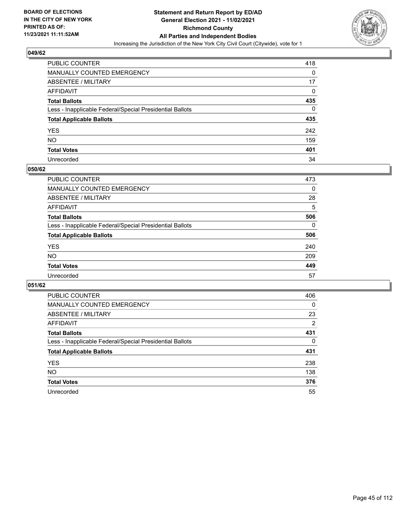

| PUBLIC COUNTER                                           | 418 |
|----------------------------------------------------------|-----|
| MANUALLY COUNTED EMERGENCY                               | 0   |
| ABSENTEE / MILITARY                                      | 17  |
| AFFIDAVIT                                                | 0   |
| <b>Total Ballots</b>                                     | 435 |
| Less - Inapplicable Federal/Special Presidential Ballots | 0   |
| <b>Total Applicable Ballots</b>                          | 435 |
| YES                                                      | 242 |
| NO.                                                      | 159 |
| <b>Total Votes</b>                                       | 401 |
| Unrecorded                                               | 34  |

### **050/62**

| PUBLIC COUNTER                                           | 473      |
|----------------------------------------------------------|----------|
| <b>MANUALLY COUNTED EMERGENCY</b>                        | $\Omega$ |
| ABSENTEE / MILITARY                                      | 28       |
| AFFIDAVIT                                                | 5        |
| <b>Total Ballots</b>                                     | 506      |
| Less - Inapplicable Federal/Special Presidential Ballots | $\Omega$ |
| <b>Total Applicable Ballots</b>                          | 506      |
| <b>YES</b>                                               | 240      |
| <b>NO</b>                                                | 209      |
| <b>Total Votes</b>                                       | 449      |
| Unrecorded                                               | 57       |

| <b>PUBLIC COUNTER</b>                                    | 406      |
|----------------------------------------------------------|----------|
| MANUALLY COUNTED EMERGENCY                               | $\Omega$ |
| ABSENTEE / MILITARY                                      | 23       |
| AFFIDAVIT                                                | 2        |
| <b>Total Ballots</b>                                     | 431      |
| Less - Inapplicable Federal/Special Presidential Ballots | $\Omega$ |
| <b>Total Applicable Ballots</b>                          | 431      |
| <b>YES</b>                                               | 238      |
| NO.                                                      | 138      |
| <b>Total Votes</b>                                       | 376      |
| Unrecorded                                               | 55       |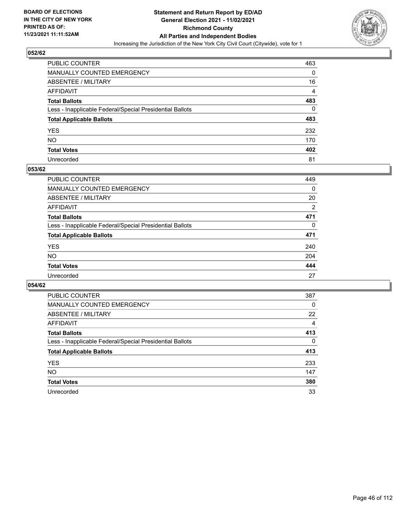

| PUBLIC COUNTER                                           | 463 |
|----------------------------------------------------------|-----|
| <b>MANUALLY COUNTED EMERGENCY</b>                        | 0   |
| <b>ABSENTEE / MILITARY</b>                               | 16  |
| AFFIDAVIT                                                | 4   |
| <b>Total Ballots</b>                                     | 483 |
| Less - Inapplicable Federal/Special Presidential Ballots | 0   |
| <b>Total Applicable Ballots</b>                          | 483 |
| YES                                                      | 232 |
| NO.                                                      | 170 |
| <b>Total Votes</b>                                       | 402 |
| Unrecorded                                               | 81  |

### **053/62**

| <b>PUBLIC COUNTER</b>                                    | 449            |
|----------------------------------------------------------|----------------|
| <b>MANUALLY COUNTED EMERGENCY</b>                        | $\Omega$       |
| ABSENTEE / MILITARY                                      | 20             |
| <b>AFFIDAVIT</b>                                         | $\overline{2}$ |
| <b>Total Ballots</b>                                     | 471            |
| Less - Inapplicable Federal/Special Presidential Ballots | 0              |
| <b>Total Applicable Ballots</b>                          | 471            |
| <b>YES</b>                                               | 240            |
| <b>NO</b>                                                | 204            |
| <b>Total Votes</b>                                       | 444            |
| Unrecorded                                               | 27             |

| <b>PUBLIC COUNTER</b>                                    | 387      |
|----------------------------------------------------------|----------|
| MANUALLY COUNTED EMERGENCY                               | $\Omega$ |
| ABSENTEE / MILITARY                                      | 22       |
| AFFIDAVIT                                                | 4        |
| <b>Total Ballots</b>                                     | 413      |
| Less - Inapplicable Federal/Special Presidential Ballots | $\Omega$ |
| <b>Total Applicable Ballots</b>                          | 413      |
| <b>YES</b>                                               | 233      |
| NO.                                                      | 147      |
| <b>Total Votes</b>                                       | 380      |
| Unrecorded                                               | 33       |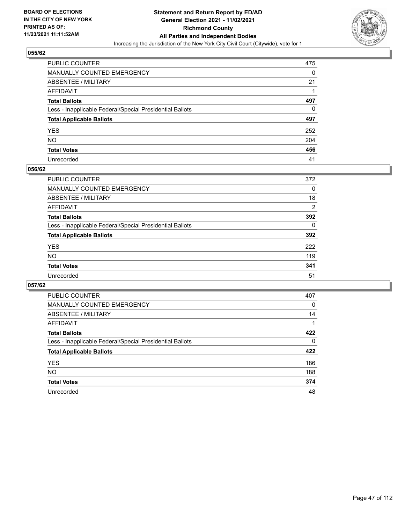

| PUBLIC COUNTER                                           | 475 |
|----------------------------------------------------------|-----|
| MANUALLY COUNTED EMERGENCY                               | 0   |
| ABSENTEE / MILITARY                                      | 21  |
| AFFIDAVIT                                                |     |
| <b>Total Ballots</b>                                     | 497 |
| Less - Inapplicable Federal/Special Presidential Ballots | 0   |
| <b>Total Applicable Ballots</b>                          | 497 |
| YES                                                      | 252 |
| NO.                                                      | 204 |
| <b>Total Votes</b>                                       | 456 |
| Unrecorded                                               | 41  |

### **056/62**

| PUBLIC COUNTER                                           | 372      |
|----------------------------------------------------------|----------|
| MANUALLY COUNTED EMERGENCY                               | 0        |
| ABSENTEE / MILITARY                                      | 18       |
| AFFIDAVIT                                                | 2        |
| <b>Total Ballots</b>                                     | 392      |
| Less - Inapplicable Federal/Special Presidential Ballots | $\Omega$ |
| <b>Total Applicable Ballots</b>                          | 392      |
| <b>YES</b>                                               | 222      |
| <b>NO</b>                                                | 119      |
| <b>Total Votes</b>                                       | 341      |
| Unrecorded                                               | 51       |

| PUBLIC COUNTER                                           | 407      |
|----------------------------------------------------------|----------|
| <b>MANUALLY COUNTED EMERGENCY</b>                        | $\Omega$ |
| ABSENTEE / MILITARY                                      | 14       |
| AFFIDAVIT                                                |          |
| <b>Total Ballots</b>                                     | 422      |
| Less - Inapplicable Federal/Special Presidential Ballots | $\Omega$ |
| <b>Total Applicable Ballots</b>                          | 422      |
| <b>YES</b>                                               | 186      |
| <b>NO</b>                                                | 188      |
| <b>Total Votes</b>                                       | 374      |
| Unrecorded                                               | 48       |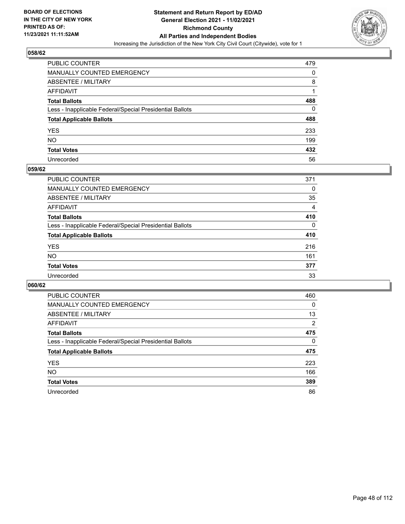

| PUBLIC COUNTER                                           | 479 |
|----------------------------------------------------------|-----|
| MANUALLY COUNTED EMERGENCY                               | 0   |
| ABSENTEE / MILITARY                                      | 8   |
| AFFIDAVIT                                                |     |
| Total Ballots                                            | 488 |
| Less - Inapplicable Federal/Special Presidential Ballots | 0   |
| <b>Total Applicable Ballots</b>                          | 488 |
| YES                                                      | 233 |
| NO.                                                      | 199 |
| <b>Total Votes</b>                                       | 432 |
| Unrecorded                                               | 56  |

### **059/62**

| <b>PUBLIC COUNTER</b>                                    | 371      |
|----------------------------------------------------------|----------|
| <b>MANUALLY COUNTED EMERGENCY</b>                        | 0        |
| ABSENTEE / MILITARY                                      | 35       |
| AFFIDAVIT                                                | 4        |
| <b>Total Ballots</b>                                     | 410      |
| Less - Inapplicable Federal/Special Presidential Ballots | $\Omega$ |
| <b>Total Applicable Ballots</b>                          | 410      |
| <b>YES</b>                                               | 216      |
| <b>NO</b>                                                | 161      |
| <b>Total Votes</b>                                       | 377      |
| Unrecorded                                               | 33       |

| <b>PUBLIC COUNTER</b>                                    | 460            |
|----------------------------------------------------------|----------------|
| <b>MANUALLY COUNTED EMERGENCY</b>                        | $\Omega$       |
| ABSENTEE / MILITARY                                      | 13             |
| AFFIDAVIT                                                | $\overline{2}$ |
| <b>Total Ballots</b>                                     | 475            |
| Less - Inapplicable Federal/Special Presidential Ballots | $\Omega$       |
| <b>Total Applicable Ballots</b>                          | 475            |
| <b>YES</b>                                               | 223            |
| <b>NO</b>                                                | 166            |
| <b>Total Votes</b>                                       | 389            |
| Unrecorded                                               | 86             |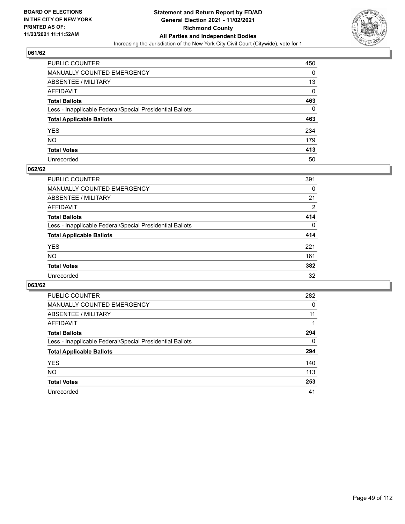

| PUBLIC COUNTER                                           | 450 |
|----------------------------------------------------------|-----|
| MANUALLY COUNTED EMERGENCY                               | 0   |
| ABSENTEE / MILITARY                                      | 13  |
| AFFIDAVIT                                                | 0   |
| <b>Total Ballots</b>                                     | 463 |
| Less - Inapplicable Federal/Special Presidential Ballots | 0   |
| <b>Total Applicable Ballots</b>                          | 463 |
| YES                                                      | 234 |
| NO.                                                      | 179 |
| <b>Total Votes</b>                                       | 413 |
| Unrecorded                                               | 50  |

### **062/62**

| <b>PUBLIC COUNTER</b>                                    | 391            |
|----------------------------------------------------------|----------------|
| <b>MANUALLY COUNTED EMERGENCY</b>                        | 0              |
| ABSENTEE / MILITARY                                      | 21             |
| AFFIDAVIT                                                | $\overline{2}$ |
| <b>Total Ballots</b>                                     | 414            |
| Less - Inapplicable Federal/Special Presidential Ballots | $\Omega$       |
| <b>Total Applicable Ballots</b>                          | 414            |
| <b>YES</b>                                               | 221            |
| <b>NO</b>                                                | 161            |
| <b>Total Votes</b>                                       | 382            |
| Unrecorded                                               | 32             |

| <b>PUBLIC COUNTER</b>                                    | 282      |
|----------------------------------------------------------|----------|
| <b>MANUALLY COUNTED EMERGENCY</b>                        | 0        |
| ABSENTEE / MILITARY                                      | 11       |
| AFFIDAVIT                                                |          |
| <b>Total Ballots</b>                                     | 294      |
| Less - Inapplicable Federal/Special Presidential Ballots | $\Omega$ |
| <b>Total Applicable Ballots</b>                          | 294      |
| <b>YES</b>                                               | 140      |
| <b>NO</b>                                                | 113      |
| <b>Total Votes</b>                                       | 253      |
| Unrecorded                                               | 41       |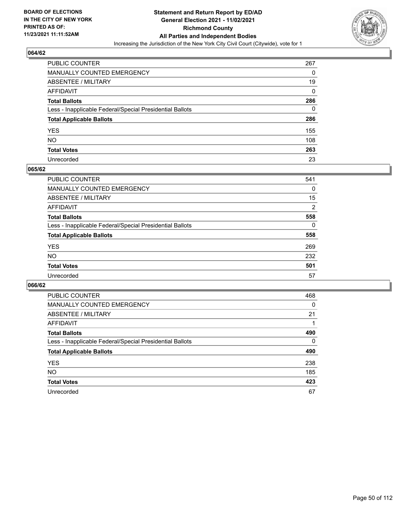

| PUBLIC COUNTER                                           | 267 |
|----------------------------------------------------------|-----|
| MANUALLY COUNTED EMERGENCY                               | 0   |
| ABSENTEE / MILITARY                                      | 19  |
| AFFIDAVIT                                                | 0   |
| Total Ballots                                            | 286 |
| Less - Inapplicable Federal/Special Presidential Ballots | 0   |
| <b>Total Applicable Ballots</b>                          | 286 |
| YES                                                      | 155 |
| NO.                                                      | 108 |
| <b>Total Votes</b>                                       | 263 |
| Unrecorded                                               | 23  |

### **065/62**

| PUBLIC COUNTER                                           | 541      |
|----------------------------------------------------------|----------|
| MANUALLY COUNTED EMERGENCY                               | 0        |
| ABSENTEE / MILITARY                                      | 15       |
| AFFIDAVIT                                                | 2        |
| <b>Total Ballots</b>                                     | 558      |
| Less - Inapplicable Federal/Special Presidential Ballots | $\Omega$ |
| <b>Total Applicable Ballots</b>                          | 558      |
| <b>YES</b>                                               | 269      |
| <b>NO</b>                                                | 232      |
| <b>Total Votes</b>                                       | 501      |
| Unrecorded                                               | 57       |

| <b>PUBLIC COUNTER</b>                                    | 468      |
|----------------------------------------------------------|----------|
| <b>MANUALLY COUNTED EMERGENCY</b>                        | 0        |
| ABSENTEE / MILITARY                                      | 21       |
| AFFIDAVIT                                                |          |
| <b>Total Ballots</b>                                     | 490      |
| Less - Inapplicable Federal/Special Presidential Ballots | $\Omega$ |
| <b>Total Applicable Ballots</b>                          | 490      |
| <b>YES</b>                                               | 238      |
| NO.                                                      | 185      |
| <b>Total Votes</b>                                       | 423      |
| Unrecorded                                               | 67       |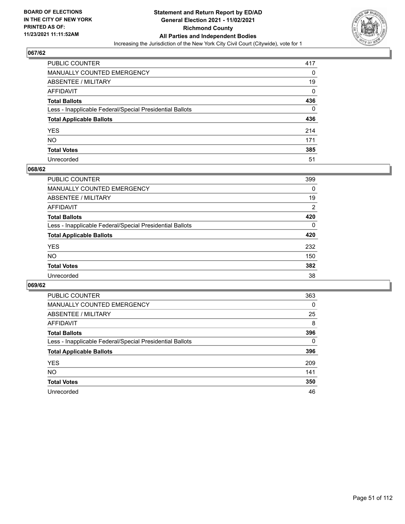

| PUBLIC COUNTER                                           | 417 |
|----------------------------------------------------------|-----|
| MANUALLY COUNTED EMERGENCY                               | 0   |
| ABSENTEE / MILITARY                                      | 19  |
| AFFIDAVIT                                                | 0   |
| Total Ballots                                            | 436 |
| Less - Inapplicable Federal/Special Presidential Ballots | 0   |
| <b>Total Applicable Ballots</b>                          | 436 |
| YES                                                      | 214 |
| NO.                                                      | 171 |
| <b>Total Votes</b>                                       | 385 |
| Unrecorded                                               | 51  |

### **068/62**

| PUBLIC COUNTER                                           | 399            |
|----------------------------------------------------------|----------------|
| <b>MANUALLY COUNTED EMERGENCY</b>                        | $\Omega$       |
| ABSENTEE / MILITARY                                      | 19             |
| AFFIDAVIT                                                | $\overline{2}$ |
| <b>Total Ballots</b>                                     | 420            |
| Less - Inapplicable Federal/Special Presidential Ballots | $\Omega$       |
| <b>Total Applicable Ballots</b>                          | 420            |
| <b>YES</b>                                               | 232            |
| <b>NO</b>                                                | 150            |
| <b>Total Votes</b>                                       | 382            |
| Unrecorded                                               | 38             |

| <b>PUBLIC COUNTER</b>                                    | 363      |
|----------------------------------------------------------|----------|
| <b>MANUALLY COUNTED EMERGENCY</b>                        | 0        |
| ABSENTEE / MILITARY                                      | 25       |
| AFFIDAVIT                                                | 8        |
| <b>Total Ballots</b>                                     | 396      |
| Less - Inapplicable Federal/Special Presidential Ballots | $\Omega$ |
| <b>Total Applicable Ballots</b>                          | 396      |
| <b>YES</b>                                               | 209      |
| <b>NO</b>                                                | 141      |
| <b>Total Votes</b>                                       | 350      |
| Unrecorded                                               | 46       |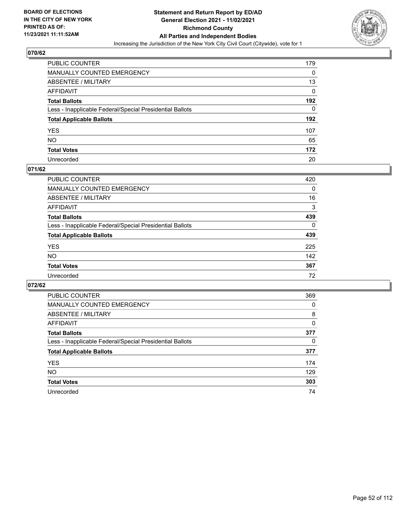

| PUBLIC COUNTER                                           | 179 |
|----------------------------------------------------------|-----|
| MANUALLY COUNTED EMERGENCY                               | 0   |
| ABSENTEE / MILITARY                                      | 13  |
| AFFIDAVIT                                                | 0   |
| Total Ballots                                            | 192 |
| Less - Inapplicable Federal/Special Presidential Ballots | 0   |
| <b>Total Applicable Ballots</b>                          | 192 |
| YES                                                      | 107 |
| NO.                                                      | 65  |
| <b>Total Votes</b>                                       | 172 |
| Unrecorded                                               | 20  |

### **071/62**

| <b>PUBLIC COUNTER</b>                                    | 420      |
|----------------------------------------------------------|----------|
| <b>MANUALLY COUNTED EMERGENCY</b>                        | 0        |
| ABSENTEE / MILITARY                                      | 16       |
| AFFIDAVIT                                                | 3        |
| <b>Total Ballots</b>                                     | 439      |
| Less - Inapplicable Federal/Special Presidential Ballots | $\Omega$ |
| <b>Total Applicable Ballots</b>                          | 439      |
| <b>YES</b>                                               | 225      |
| <b>NO</b>                                                | 142      |
| <b>Total Votes</b>                                       | 367      |
| Unrecorded                                               | 72       |

| PUBLIC COUNTER                                           | 369 |
|----------------------------------------------------------|-----|
| <b>MANUALLY COUNTED EMERGENCY</b>                        | 0   |
| ABSENTEE / MILITARY                                      | 8   |
| AFFIDAVIT                                                | 0   |
| <b>Total Ballots</b>                                     | 377 |
| Less - Inapplicable Federal/Special Presidential Ballots | 0   |
| <b>Total Applicable Ballots</b>                          | 377 |
| <b>YES</b>                                               | 174 |
| <b>NO</b>                                                | 129 |
| <b>Total Votes</b>                                       | 303 |
| Unrecorded                                               | 74  |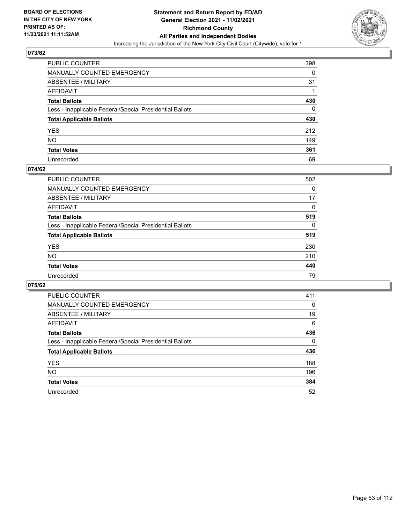

| PUBLIC COUNTER                                           | 398      |
|----------------------------------------------------------|----------|
| MANUALLY COUNTED EMERGENCY                               | 0        |
| ABSENTEE / MILITARY                                      | 31       |
| AFFIDAVIT                                                |          |
| Total Ballots                                            | 430      |
| Less - Inapplicable Federal/Special Presidential Ballots | $\Omega$ |
| <b>Total Applicable Ballots</b>                          | 430      |
| YES                                                      | 212      |
| NO.                                                      | 149      |
| <b>Total Votes</b>                                       | 361      |
| Unrecorded                                               | 69       |

### **074/62**

| <b>PUBLIC COUNTER</b>                                    | 502      |
|----------------------------------------------------------|----------|
| <b>MANUALLY COUNTED EMERGENCY</b>                        | 0        |
| ABSENTEE / MILITARY                                      | 17       |
| AFFIDAVIT                                                | 0        |
| <b>Total Ballots</b>                                     | 519      |
| Less - Inapplicable Federal/Special Presidential Ballots | $\Omega$ |
| <b>Total Applicable Ballots</b>                          | 519      |
| <b>YES</b>                                               | 230      |
| <b>NO</b>                                                | 210      |
| <b>Total Votes</b>                                       | 440      |
| Unrecorded                                               | 79       |

| <b>PUBLIC COUNTER</b>                                    | 411      |
|----------------------------------------------------------|----------|
| MANUALLY COUNTED EMERGENCY                               | $\Omega$ |
| ABSENTEE / MILITARY                                      | 19       |
| AFFIDAVIT                                                | 6        |
| <b>Total Ballots</b>                                     | 436      |
| Less - Inapplicable Federal/Special Presidential Ballots | $\Omega$ |
| <b>Total Applicable Ballots</b>                          | 436      |
| <b>YES</b>                                               | 188      |
| NO.                                                      | 196      |
| <b>Total Votes</b>                                       | 384      |
| Unrecorded                                               | 52       |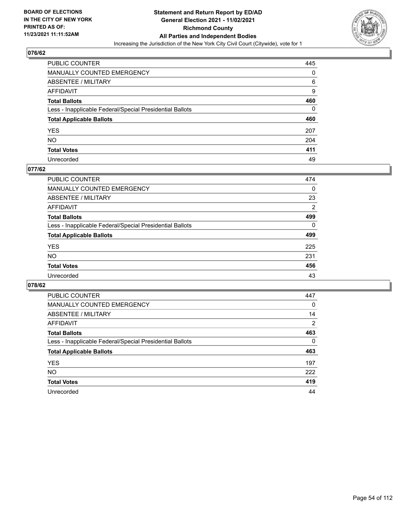

| PUBLIC COUNTER                                           | 445 |
|----------------------------------------------------------|-----|
| MANUALLY COUNTED EMERGENCY                               | 0   |
| ABSENTEE / MILITARY                                      | 6   |
| AFFIDAVIT                                                | 9   |
| Total Ballots                                            | 460 |
| Less - Inapplicable Federal/Special Presidential Ballots | 0   |
| <b>Total Applicable Ballots</b>                          | 460 |
| YES                                                      | 207 |
| NO.                                                      | 204 |
| <b>Total Votes</b>                                       | 411 |
| Unrecorded                                               | 49  |

### **077/62**

| PUBLIC COUNTER                                           | 474            |
|----------------------------------------------------------|----------------|
| <b>MANUALLY COUNTED EMERGENCY</b>                        | $\Omega$       |
| ABSENTEE / MILITARY                                      | 23             |
| AFFIDAVIT                                                | $\overline{2}$ |
| <b>Total Ballots</b>                                     | 499            |
| Less - Inapplicable Federal/Special Presidential Ballots | $\Omega$       |
| <b>Total Applicable Ballots</b>                          | 499            |
| <b>YES</b>                                               | 225            |
| <b>NO</b>                                                | 231            |
| <b>Total Votes</b>                                       | 456            |
| Unrecorded                                               | 43             |

| <b>PUBLIC COUNTER</b>                                    | 447            |
|----------------------------------------------------------|----------------|
| <b>MANUALLY COUNTED EMERGENCY</b>                        | 0              |
| ABSENTEE / MILITARY                                      | 14             |
| AFFIDAVIT                                                | $\overline{2}$ |
| <b>Total Ballots</b>                                     | 463            |
| Less - Inapplicable Federal/Special Presidential Ballots | $\Omega$       |
| <b>Total Applicable Ballots</b>                          | 463            |
| <b>YES</b>                                               | 197            |
| <b>NO</b>                                                | 222            |
| <b>Total Votes</b>                                       | 419            |
| Unrecorded                                               | 44             |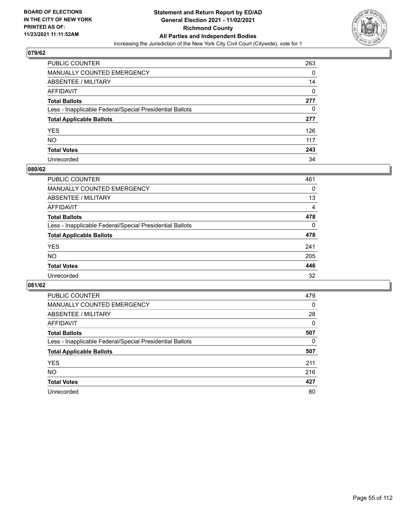

| PUBLIC COUNTER                                           | 263      |
|----------------------------------------------------------|----------|
| <b>MANUALLY COUNTED EMERGENCY</b>                        | 0        |
| ABSENTEE / MILITARY                                      | 14       |
| AFFIDAVIT                                                | $\Omega$ |
| <b>Total Ballots</b>                                     | 277      |
| Less - Inapplicable Federal/Special Presidential Ballots | 0        |
| <b>Total Applicable Ballots</b>                          | 277      |
| YES                                                      | 126      |
| NO.                                                      | 117      |
| <b>Total Votes</b>                                       | 243      |
| Unrecorded                                               | 34       |

### **080/62**

| <b>PUBLIC COUNTER</b>                                    | 461      |
|----------------------------------------------------------|----------|
| <b>MANUALLY COUNTED EMERGENCY</b>                        | 0        |
| ABSENTEE / MILITARY                                      | 13       |
| AFFIDAVIT                                                | 4        |
| <b>Total Ballots</b>                                     | 478      |
| Less - Inapplicable Federal/Special Presidential Ballots | $\Omega$ |
| <b>Total Applicable Ballots</b>                          | 478      |
| <b>YES</b>                                               | 241      |
| <b>NO</b>                                                | 205      |
| <b>Total Votes</b>                                       | 446      |
| Unrecorded                                               | 32       |

| <b>PUBLIC COUNTER</b>                                    | 479      |
|----------------------------------------------------------|----------|
| <b>MANUALLY COUNTED EMERGENCY</b>                        | $\Omega$ |
| ABSENTEE / MILITARY                                      | 28       |
| AFFIDAVIT                                                | 0        |
| <b>Total Ballots</b>                                     | 507      |
| Less - Inapplicable Federal/Special Presidential Ballots | 0        |
| <b>Total Applicable Ballots</b>                          | 507      |
| <b>YES</b>                                               | 211      |
| NO.                                                      | 216      |
| <b>Total Votes</b>                                       | 427      |
| Unrecorded                                               | 80       |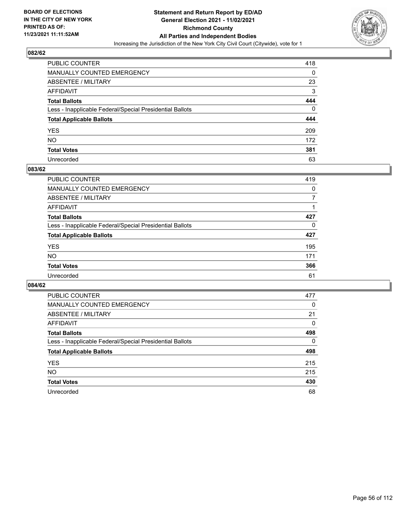

| PUBLIC COUNTER                                           | 418 |
|----------------------------------------------------------|-----|
| MANUALLY COUNTED EMERGENCY                               | 0   |
| <b>ABSENTEE / MILITARY</b>                               | 23  |
| AFFIDAVIT                                                | 3   |
| <b>Total Ballots</b>                                     | 444 |
| Less - Inapplicable Federal/Special Presidential Ballots | 0   |
| <b>Total Applicable Ballots</b>                          | 444 |
| YES                                                      | 209 |
| NO.                                                      | 172 |
| <b>Total Votes</b>                                       | 381 |
| Unrecorded                                               | 63  |

### **083/62**

| PUBLIC COUNTER                                           | 419      |
|----------------------------------------------------------|----------|
| <b>MANUALLY COUNTED EMERGENCY</b>                        | $\Omega$ |
| ABSENTEE / MILITARY                                      | 7        |
| AFFIDAVIT                                                |          |
| <b>Total Ballots</b>                                     | 427      |
| Less - Inapplicable Federal/Special Presidential Ballots | 0        |
| <b>Total Applicable Ballots</b>                          | 427      |
| <b>YES</b>                                               | 195      |
| <b>NO</b>                                                | 171      |
| <b>Total Votes</b>                                       | 366      |
| Unrecorded                                               | 61       |

| <b>PUBLIC COUNTER</b>                                    | 477 |
|----------------------------------------------------------|-----|
| <b>MANUALLY COUNTED EMERGENCY</b>                        | 0   |
| ABSENTEE / MILITARY                                      | 21  |
| AFFIDAVIT                                                | 0   |
| <b>Total Ballots</b>                                     | 498 |
| Less - Inapplicable Federal/Special Presidential Ballots | 0   |
| <b>Total Applicable Ballots</b>                          | 498 |
| <b>YES</b>                                               | 215 |
| NO.                                                      | 215 |
| <b>Total Votes</b>                                       | 430 |
| Unrecorded                                               | 68  |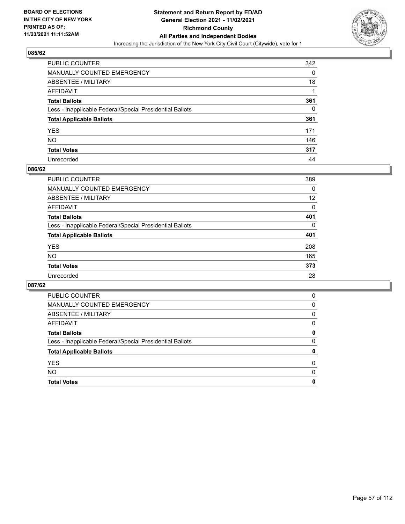

| PUBLIC COUNTER                                           | 342 |
|----------------------------------------------------------|-----|
| MANUALLY COUNTED EMERGENCY                               | 0   |
| ABSENTEE / MILITARY                                      | 18  |
| AFFIDAVIT                                                |     |
| <b>Total Ballots</b>                                     | 361 |
| Less - Inapplicable Federal/Special Presidential Ballots | 0   |
| <b>Total Applicable Ballots</b>                          | 361 |
| YES                                                      | 171 |
| NO.                                                      | 146 |
| <b>Total Votes</b>                                       | 317 |
| Unrecorded                                               | 44  |

### **086/62**

| PUBLIC COUNTER                                           | 389      |
|----------------------------------------------------------|----------|
| <b>MANUALLY COUNTED EMERGENCY</b>                        | $\Omega$ |
| ABSENTEE / MILITARY                                      | 12       |
| AFFIDAVIT                                                | 0        |
| <b>Total Ballots</b>                                     | 401      |
| Less - Inapplicable Federal/Special Presidential Ballots | 0        |
| <b>Total Applicable Ballots</b>                          | 401      |
| <b>YES</b>                                               | 208      |
| <b>NO</b>                                                | 165      |
| <b>Total Votes</b>                                       | 373      |
| Unrecorded                                               | 28       |

| <b>Total Votes</b>                                       | 0            |
|----------------------------------------------------------|--------------|
| <b>NO</b>                                                | <sup>0</sup> |
| <b>YES</b>                                               | 0            |
| <b>Total Applicable Ballots</b>                          | 0            |
| Less - Inapplicable Federal/Special Presidential Ballots | 0            |
| <b>Total Ballots</b>                                     | 0            |
| AFFIDAVIT                                                | 0            |
| ABSENTEE / MILITARY                                      | 0            |
| <b>MANUALLY COUNTED EMERGENCY</b>                        | 0            |
| PUBLIC COUNTER                                           | 0            |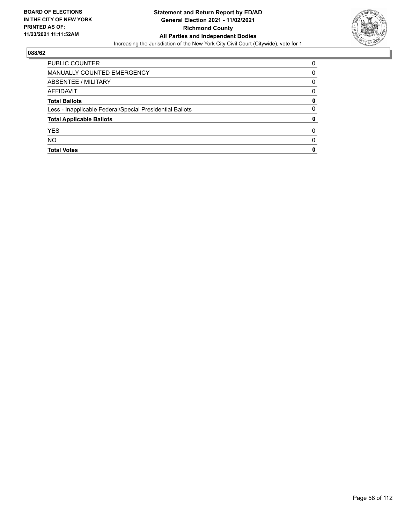

| <b>PUBLIC COUNTER</b>                                    | 0            |
|----------------------------------------------------------|--------------|
| MANUALLY COUNTED EMERGENCY                               | 0            |
| ABSENTEE / MILITARY                                      | 0            |
| AFFIDAVIT                                                | 0            |
| <b>Total Ballots</b>                                     | 0            |
| Less - Inapplicable Federal/Special Presidential Ballots | 0            |
| <b>Total Applicable Ballots</b>                          | 0            |
| <b>YES</b>                                               | 0            |
| <b>NO</b>                                                | <sup>0</sup> |
| <b>Total Votes</b>                                       | 0            |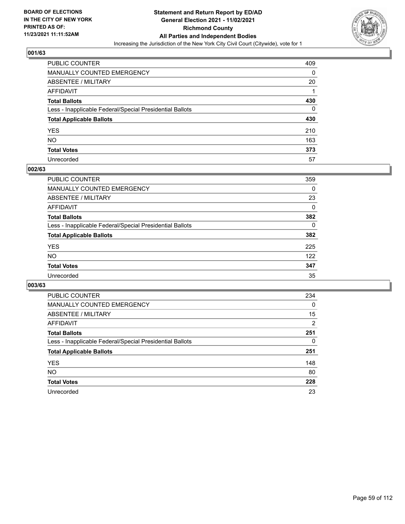

| PUBLIC COUNTER                                           | 409 |
|----------------------------------------------------------|-----|
| MANUALLY COUNTED EMERGENCY                               | 0   |
| ABSENTEE / MILITARY                                      | 20  |
| AFFIDAVIT                                                |     |
| Total Ballots                                            | 430 |
| Less - Inapplicable Federal/Special Presidential Ballots | 0   |
| <b>Total Applicable Ballots</b>                          | 430 |
| YES                                                      | 210 |
| NO.                                                      | 163 |
| <b>Total Votes</b>                                       | 373 |
| Unrecorded                                               | 57  |

### **002/63**

| <b>PUBLIC COUNTER</b>                                    | 359      |
|----------------------------------------------------------|----------|
| <b>MANUALLY COUNTED EMERGENCY</b>                        | $\Omega$ |
| ABSENTEE / MILITARY                                      | 23       |
| AFFIDAVIT                                                | 0        |
| <b>Total Ballots</b>                                     | 382      |
| Less - Inapplicable Federal/Special Presidential Ballots | $\Omega$ |
| <b>Total Applicable Ballots</b>                          | 382      |
| <b>YES</b>                                               | 225      |
| <b>NO</b>                                                | 122      |
| <b>Total Votes</b>                                       | 347      |
| Unrecorded                                               | 35       |

| <b>PUBLIC COUNTER</b>                                    | 234      |
|----------------------------------------------------------|----------|
| MANUALLY COUNTED EMERGENCY                               | $\Omega$ |
| ABSENTEE / MILITARY                                      | 15       |
| AFFIDAVIT                                                | 2        |
| <b>Total Ballots</b>                                     | 251      |
| Less - Inapplicable Federal/Special Presidential Ballots | 0        |
| <b>Total Applicable Ballots</b>                          | 251      |
| <b>YES</b>                                               | 148      |
| NO.                                                      | 80       |
| <b>Total Votes</b>                                       | 228      |
| Unrecorded                                               | 23       |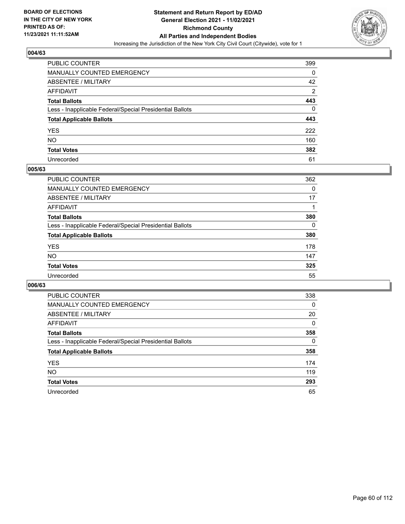

| PUBLIC COUNTER                                           | 399            |
|----------------------------------------------------------|----------------|
| MANUALLY COUNTED EMERGENCY                               | 0              |
| ABSENTEE / MILITARY                                      | 42             |
| AFFIDAVIT                                                | $\overline{2}$ |
| Total Ballots                                            | 443            |
| Less - Inapplicable Federal/Special Presidential Ballots | 0              |
| <b>Total Applicable Ballots</b>                          | 443            |
| YES                                                      | 222            |
| NO.                                                      | 160            |
| <b>Total Votes</b>                                       | 382            |
| Unrecorded                                               | 61             |

### **005/63**

| PUBLIC COUNTER                                           | 362      |
|----------------------------------------------------------|----------|
| MANUALLY COUNTED EMERGENCY                               | 0        |
| ABSENTEE / MILITARY                                      | 17       |
| AFFIDAVIT                                                |          |
| <b>Total Ballots</b>                                     | 380      |
| Less - Inapplicable Federal/Special Presidential Ballots | $\Omega$ |
| <b>Total Applicable Ballots</b>                          | 380      |
| <b>YES</b>                                               | 178      |
| <b>NO</b>                                                | 147      |
| <b>Total Votes</b>                                       | 325      |
| Unrecorded                                               | 55       |

| <b>PUBLIC COUNTER</b>                                    | 338      |
|----------------------------------------------------------|----------|
| <b>MANUALLY COUNTED EMERGENCY</b>                        | 0        |
| ABSENTEE / MILITARY                                      | 20       |
| AFFIDAVIT                                                | $\Omega$ |
| <b>Total Ballots</b>                                     | 358      |
| Less - Inapplicable Federal/Special Presidential Ballots | $\Omega$ |
| <b>Total Applicable Ballots</b>                          | 358      |
| <b>YES</b>                                               | 174      |
| <b>NO</b>                                                | 119      |
| <b>Total Votes</b>                                       | 293      |
| Unrecorded                                               | 65       |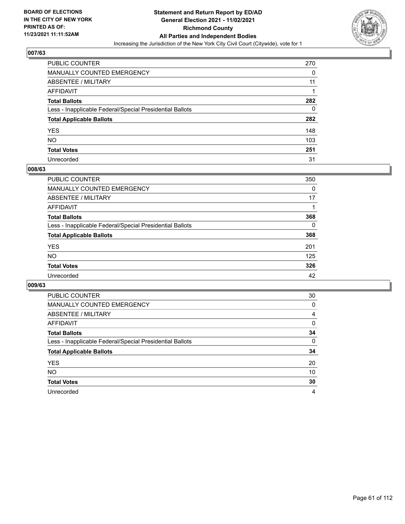

| PUBLIC COUNTER                                           | 270 |
|----------------------------------------------------------|-----|
| MANUALLY COUNTED EMERGENCY                               | 0   |
| ABSENTEE / MILITARY                                      | 11  |
| AFFIDAVIT                                                |     |
| Total Ballots                                            | 282 |
| Less - Inapplicable Federal/Special Presidential Ballots | 0   |
| <b>Total Applicable Ballots</b>                          | 282 |
| YES                                                      | 148 |
| NO.                                                      | 103 |
| <b>Total Votes</b>                                       | 251 |
| Unrecorded                                               | 31  |

### **008/63**

| PUBLIC COUNTER                                           | 350      |
|----------------------------------------------------------|----------|
| <b>MANUALLY COUNTED EMERGENCY</b>                        | 0        |
| ABSENTEE / MILITARY                                      | 17       |
| AFFIDAVIT                                                |          |
| <b>Total Ballots</b>                                     | 368      |
| Less - Inapplicable Federal/Special Presidential Ballots | $\Omega$ |
| <b>Total Applicable Ballots</b>                          | 368      |
| <b>YES</b>                                               | 201      |
| <b>NO</b>                                                | 125      |
| <b>Total Votes</b>                                       | 326      |
| Unrecorded                                               | 42       |

| <b>PUBLIC COUNTER</b>                                    | 30       |
|----------------------------------------------------------|----------|
| <b>MANUALLY COUNTED EMERGENCY</b>                        | 0        |
| ABSENTEE / MILITARY                                      | 4        |
| AFFIDAVIT                                                | $\Omega$ |
| <b>Total Ballots</b>                                     | 34       |
| Less - Inapplicable Federal/Special Presidential Ballots | $\Omega$ |
| <b>Total Applicable Ballots</b>                          | 34       |
| <b>YES</b>                                               | 20       |
| <b>NO</b>                                                | 10       |
| <b>Total Votes</b>                                       | 30       |
| Unrecorded                                               | 4        |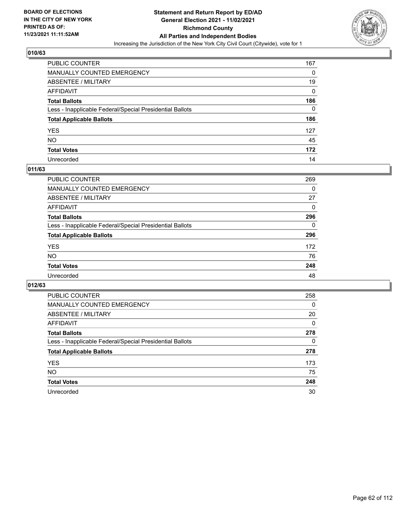

| PUBLIC COUNTER                                           | 167 |
|----------------------------------------------------------|-----|
| MANUALLY COUNTED EMERGENCY                               | 0   |
| ABSENTEE / MILITARY                                      | 19  |
| AFFIDAVIT                                                | 0   |
| Total Ballots                                            | 186 |
| Less - Inapplicable Federal/Special Presidential Ballots | 0   |
| <b>Total Applicable Ballots</b>                          | 186 |
| YES                                                      | 127 |
| NO.                                                      | 45  |
| <b>Total Votes</b>                                       | 172 |
| Unrecorded                                               | 14  |

#### **011/63**

| PUBLIC COUNTER                                           | 269      |
|----------------------------------------------------------|----------|
| MANUALLY COUNTED EMERGENCY                               | $\Omega$ |
| ABSENTEE / MILITARY                                      | 27       |
| AFFIDAVIT                                                | $\Omega$ |
| <b>Total Ballots</b>                                     | 296      |
| Less - Inapplicable Federal/Special Presidential Ballots | $\Omega$ |
| <b>Total Applicable Ballots</b>                          | 296      |
| <b>YES</b>                                               | 172      |
| <b>NO</b>                                                | 76       |
| <b>Total Votes</b>                                       | 248      |
| Unrecorded                                               | 48       |

| <b>PUBLIC COUNTER</b>                                    | 258      |
|----------------------------------------------------------|----------|
| MANUALLY COUNTED EMERGENCY                               | 0        |
| ABSENTEE / MILITARY                                      | 20       |
| AFFIDAVIT                                                | $\Omega$ |
| <b>Total Ballots</b>                                     | 278      |
| Less - Inapplicable Federal/Special Presidential Ballots | 0        |
| <b>Total Applicable Ballots</b>                          | 278      |
| <b>YES</b>                                               | 173      |
| <b>NO</b>                                                | 75       |
| <b>Total Votes</b>                                       | 248      |
| Unrecorded                                               | 30       |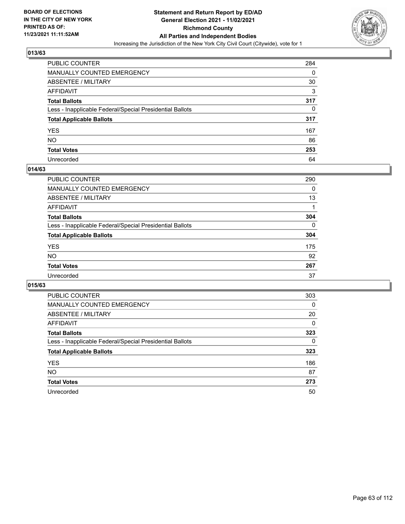

| PUBLIC COUNTER                                           | 284 |
|----------------------------------------------------------|-----|
| MANUALLY COUNTED EMERGENCY                               | 0   |
| ABSENTEE / MILITARY                                      | 30  |
| AFFIDAVIT                                                | 3   |
| <b>Total Ballots</b>                                     | 317 |
| Less - Inapplicable Federal/Special Presidential Ballots | 0   |
| <b>Total Applicable Ballots</b>                          | 317 |
| YES                                                      | 167 |
| NO.                                                      | 86  |
| <b>Total Votes</b>                                       | 253 |
| Unrecorded                                               | 64  |

#### **014/63**

| <b>PUBLIC COUNTER</b>                                    | 290      |
|----------------------------------------------------------|----------|
| <b>MANUALLY COUNTED EMERGENCY</b>                        | 0        |
| <b>ABSENTEE / MILITARY</b>                               | 13       |
| AFFIDAVIT                                                |          |
| <b>Total Ballots</b>                                     | 304      |
| Less - Inapplicable Federal/Special Presidential Ballots | $\Omega$ |
| <b>Total Applicable Ballots</b>                          | 304      |
| <b>YES</b>                                               | 175      |
| NO                                                       | 92       |
| <b>Total Votes</b>                                       | 267      |
| Unrecorded                                               | 37       |

| <b>PUBLIC COUNTER</b>                                    | 303      |
|----------------------------------------------------------|----------|
| MANUALLY COUNTED EMERGENCY                               | 0        |
| ABSENTEE / MILITARY                                      | 20       |
| AFFIDAVIT                                                | $\Omega$ |
| <b>Total Ballots</b>                                     | 323      |
| Less - Inapplicable Federal/Special Presidential Ballots | $\Omega$ |
| <b>Total Applicable Ballots</b>                          | 323      |
| <b>YES</b>                                               | 186      |
| <b>NO</b>                                                | 87       |
| <b>Total Votes</b>                                       | 273      |
| Unrecorded                                               | 50       |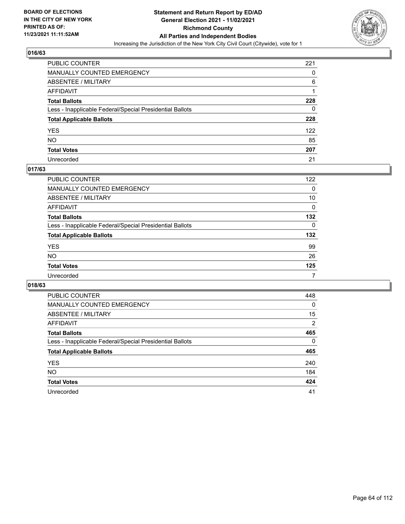

| PUBLIC COUNTER                                           | 221 |
|----------------------------------------------------------|-----|
| MANUALLY COUNTED EMERGENCY                               | 0   |
| ABSENTEE / MILITARY                                      | 6   |
| AFFIDAVIT                                                |     |
| Total Ballots                                            | 228 |
| Less - Inapplicable Federal/Special Presidential Ballots | 0   |
| <b>Total Applicable Ballots</b>                          | 228 |
| YES                                                      | 122 |
| NO.                                                      | 85  |
| <b>Total Votes</b>                                       | 207 |
| Unrecorded                                               | 21  |

### **017/63**

| <b>PUBLIC COUNTER</b>                                    | 122      |
|----------------------------------------------------------|----------|
| <b>MANUALLY COUNTED EMERGENCY</b>                        | $\Omega$ |
| ABSENTEE / MILITARY                                      | 10       |
| AFFIDAVIT                                                | 0        |
| <b>Total Ballots</b>                                     | 132      |
| Less - Inapplicable Federal/Special Presidential Ballots | $\Omega$ |
| <b>Total Applicable Ballots</b>                          | 132      |
| <b>YES</b>                                               | 99       |
| <b>NO</b>                                                | 26       |
| <b>Total Votes</b>                                       | 125      |
| Unrecorded                                               | 7        |

| <b>PUBLIC COUNTER</b>                                    | 448            |
|----------------------------------------------------------|----------------|
| <b>MANUALLY COUNTED EMERGENCY</b>                        | $\Omega$       |
| ABSENTEE / MILITARY                                      | 15             |
| AFFIDAVIT                                                | $\overline{2}$ |
| <b>Total Ballots</b>                                     | 465            |
| Less - Inapplicable Federal/Special Presidential Ballots | $\Omega$       |
| <b>Total Applicable Ballots</b>                          | 465            |
| <b>YES</b>                                               | 240            |
| <b>NO</b>                                                | 184            |
| <b>Total Votes</b>                                       | 424            |
| Unrecorded                                               | 41             |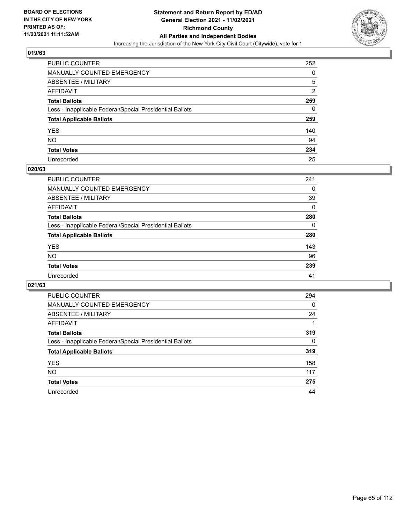

| PUBLIC COUNTER                                           | 252            |
|----------------------------------------------------------|----------------|
| MANUALLY COUNTED EMERGENCY                               | 0              |
| ABSENTEE / MILITARY                                      | 5              |
| AFFIDAVIT                                                | $\overline{2}$ |
| Total Ballots                                            | 259            |
| Less - Inapplicable Federal/Special Presidential Ballots | 0              |
| <b>Total Applicable Ballots</b>                          | 259            |
| YES                                                      | 140            |
| NO.                                                      | 94             |
| <b>Total Votes</b>                                       | 234            |
| Unrecorded                                               | 25             |

### **020/63**

| <b>PUBLIC COUNTER</b>                                    | 241      |
|----------------------------------------------------------|----------|
| <b>MANUALLY COUNTED EMERGENCY</b>                        | 0        |
| ABSENTEE / MILITARY                                      | 39       |
| AFFIDAVIT                                                | 0        |
| <b>Total Ballots</b>                                     | 280      |
| Less - Inapplicable Federal/Special Presidential Ballots | $\Omega$ |
| <b>Total Applicable Ballots</b>                          | 280      |
| <b>YES</b>                                               | 143      |
| <b>NO</b>                                                | 96       |
| <b>Total Votes</b>                                       | 239      |
| Unrecorded                                               | 41       |

| <b>PUBLIC COUNTER</b>                                    | 294      |
|----------------------------------------------------------|----------|
| <b>MANUALLY COUNTED EMERGENCY</b>                        | $\Omega$ |
| ABSENTEE / MILITARY                                      | 24       |
| AFFIDAVIT                                                |          |
| <b>Total Ballots</b>                                     | 319      |
| Less - Inapplicable Federal/Special Presidential Ballots | $\Omega$ |
| <b>Total Applicable Ballots</b>                          | 319      |
| <b>YES</b>                                               | 158      |
| <b>NO</b>                                                | 117      |
| <b>Total Votes</b>                                       | 275      |
| Unrecorded                                               | 44       |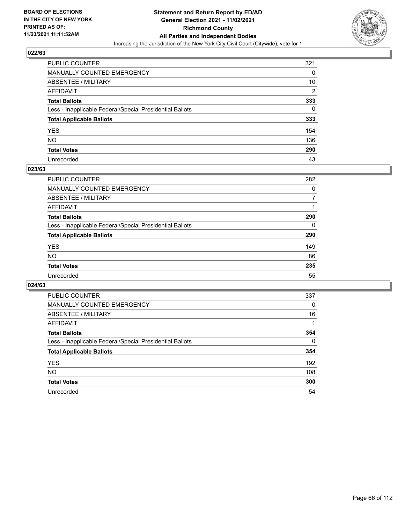

| PUBLIC COUNTER                                           | 321            |
|----------------------------------------------------------|----------------|
| MANUALLY COUNTED EMERGENCY                               | 0              |
| ABSENTEE / MILITARY                                      | 10             |
| AFFIDAVIT                                                | $\overline{2}$ |
| Total Ballots                                            | 333            |
| Less - Inapplicable Federal/Special Presidential Ballots | 0              |
| <b>Total Applicable Ballots</b>                          | 333            |
| YES                                                      | 154            |
| NO.                                                      | 136            |
| <b>Total Votes</b>                                       | 290            |
| Unrecorded                                               | 43             |

### **023/63**

| <b>PUBLIC COUNTER</b>                                    | 282      |
|----------------------------------------------------------|----------|
| MANUALLY COUNTED EMERGENCY                               | 0        |
| ABSENTEE / MILITARY                                      | 7        |
| AFFIDAVIT                                                |          |
| <b>Total Ballots</b>                                     | 290      |
| Less - Inapplicable Federal/Special Presidential Ballots | $\Omega$ |
| <b>Total Applicable Ballots</b>                          | 290      |
| <b>YES</b>                                               | 149      |
| <b>NO</b>                                                | 86       |
| <b>Total Votes</b>                                       | 235      |
| Unrecorded                                               | 55       |

| <b>PUBLIC COUNTER</b>                                    | 337      |
|----------------------------------------------------------|----------|
| <b>MANUALLY COUNTED EMERGENCY</b>                        | 0        |
| ABSENTEE / MILITARY                                      | 16       |
| AFFIDAVIT                                                |          |
| <b>Total Ballots</b>                                     | 354      |
| Less - Inapplicable Federal/Special Presidential Ballots | $\Omega$ |
| <b>Total Applicable Ballots</b>                          | 354      |
| <b>YES</b>                                               | 192      |
| NO.                                                      | 108      |
| <b>Total Votes</b>                                       | 300      |
| Unrecorded                                               | 54       |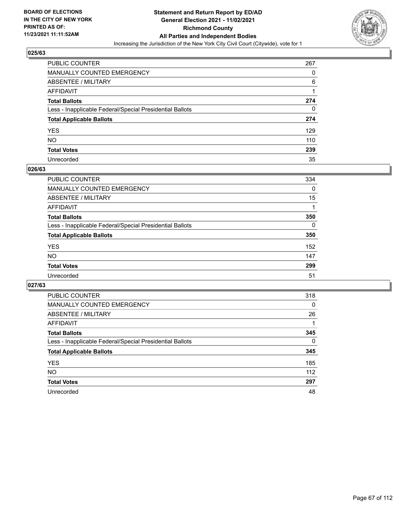

| PUBLIC COUNTER                                           | 267      |
|----------------------------------------------------------|----------|
| MANUALLY COUNTED EMERGENCY                               | 0        |
| ABSENTEE / MILITARY                                      | 6        |
| AFFIDAVIT                                                |          |
| Total Ballots                                            | 274      |
| Less - Inapplicable Federal/Special Presidential Ballots | $\Omega$ |
| <b>Total Applicable Ballots</b>                          | 274      |
| YES                                                      | 129      |
| NO.                                                      | 110      |
| <b>Total Votes</b>                                       | 239      |
| Unrecorded                                               | 35       |

### **026/63**

| PUBLIC COUNTER                                           | 334      |
|----------------------------------------------------------|----------|
| <b>MANUALLY COUNTED EMERGENCY</b>                        | $\Omega$ |
| <b>ABSENTEE / MILITARY</b>                               | 15       |
| AFFIDAVIT                                                |          |
| <b>Total Ballots</b>                                     | 350      |
| Less - Inapplicable Federal/Special Presidential Ballots | $\Omega$ |
| <b>Total Applicable Ballots</b>                          | 350      |
| <b>YES</b>                                               | 152      |
| <b>NO</b>                                                | 147      |
| <b>Total Votes</b>                                       | 299      |
| Unrecorded                                               | 51       |

| <b>PUBLIC COUNTER</b>                                    | 318      |
|----------------------------------------------------------|----------|
| <b>MANUALLY COUNTED EMERGENCY</b>                        | $\Omega$ |
| ABSENTEE / MILITARY                                      | 26       |
| AFFIDAVIT                                                |          |
| <b>Total Ballots</b>                                     | 345      |
| Less - Inapplicable Federal/Special Presidential Ballots | $\Omega$ |
| <b>Total Applicable Ballots</b>                          | 345      |
| <b>YES</b>                                               | 185      |
| NO.                                                      | 112      |
| <b>Total Votes</b>                                       | 297      |
| Unrecorded                                               | 48       |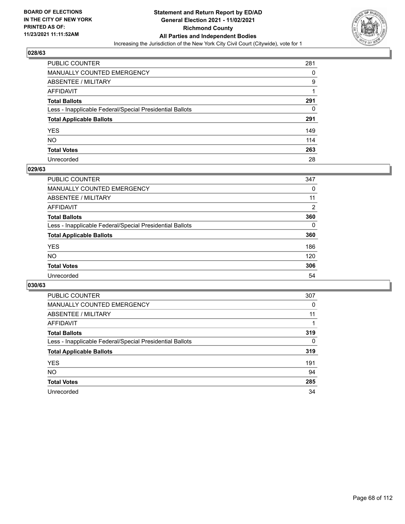

| PUBLIC COUNTER                                           | 281 |
|----------------------------------------------------------|-----|
| MANUALLY COUNTED EMERGENCY                               | 0   |
| <b>ABSENTEE / MILITARY</b>                               | 9   |
| AFFIDAVIT                                                |     |
| <b>Total Ballots</b>                                     | 291 |
| Less - Inapplicable Federal/Special Presidential Ballots | 0   |
| <b>Total Applicable Ballots</b>                          | 291 |
| YES                                                      | 149 |
| NO.                                                      | 114 |
| <b>Total Votes</b>                                       | 263 |
| Unrecorded                                               | 28  |

### **029/63**

| <b>PUBLIC COUNTER</b>                                    | 347            |
|----------------------------------------------------------|----------------|
| <b>MANUALLY COUNTED EMERGENCY</b>                        | 0              |
| ABSENTEE / MILITARY                                      | 11             |
| AFFIDAVIT                                                | $\overline{2}$ |
| <b>Total Ballots</b>                                     | 360            |
| Less - Inapplicable Federal/Special Presidential Ballots | $\Omega$       |
| <b>Total Applicable Ballots</b>                          | 360            |
| <b>YES</b>                                               | 186            |
| <b>NO</b>                                                | 120            |
| <b>Total Votes</b>                                       | 306            |
| Unrecorded                                               | 54             |

| <b>PUBLIC COUNTER</b>                                    | 307      |
|----------------------------------------------------------|----------|
| <b>MANUALLY COUNTED EMERGENCY</b>                        | $\Omega$ |
| ABSENTEE / MILITARY                                      | 11       |
| AFFIDAVIT                                                |          |
| <b>Total Ballots</b>                                     | 319      |
| Less - Inapplicable Federal/Special Presidential Ballots | $\Omega$ |
| <b>Total Applicable Ballots</b>                          | 319      |
| <b>YES</b>                                               | 191      |
| <b>NO</b>                                                | 94       |
| <b>Total Votes</b>                                       | 285      |
| Unrecorded                                               | 34       |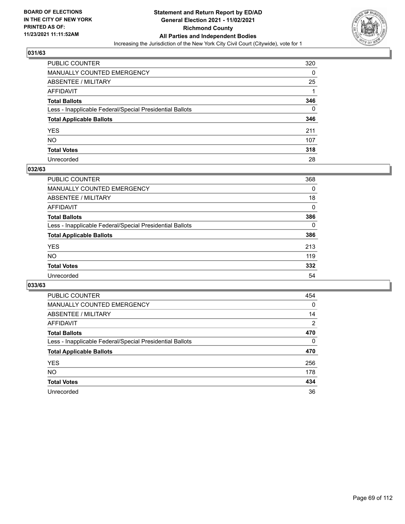

| PUBLIC COUNTER                                           | 320 |
|----------------------------------------------------------|-----|
| MANUALLY COUNTED EMERGENCY                               | 0   |
| ABSENTEE / MILITARY                                      | 25  |
| AFFIDAVIT                                                |     |
| Total Ballots                                            | 346 |
| Less - Inapplicable Federal/Special Presidential Ballots | 0   |
| <b>Total Applicable Ballots</b>                          | 346 |
| YES                                                      | 211 |
| NO.                                                      | 107 |
| <b>Total Votes</b>                                       | 318 |
| Unrecorded                                               | 28  |

### **032/63**

| <b>PUBLIC COUNTER</b>                                    | 368      |
|----------------------------------------------------------|----------|
| <b>MANUALLY COUNTED EMERGENCY</b>                        | 0        |
| ABSENTEE / MILITARY                                      | 18       |
| AFFIDAVIT                                                | $\Omega$ |
| <b>Total Ballots</b>                                     | 386      |
| Less - Inapplicable Federal/Special Presidential Ballots | $\Omega$ |
| <b>Total Applicable Ballots</b>                          | 386      |
| <b>YES</b>                                               | 213      |
| <b>NO</b>                                                | 119      |
| <b>Total Votes</b>                                       | 332      |
| Unrecorded                                               | 54       |

| <b>PUBLIC COUNTER</b>                                    | 454            |
|----------------------------------------------------------|----------------|
| <b>MANUALLY COUNTED EMERGENCY</b>                        | 0              |
| ABSENTEE / MILITARY                                      | 14             |
| AFFIDAVIT                                                | $\overline{2}$ |
| <b>Total Ballots</b>                                     | 470            |
| Less - Inapplicable Federal/Special Presidential Ballots | $\Omega$       |
| <b>Total Applicable Ballots</b>                          | 470            |
| <b>YES</b>                                               | 256            |
| NO.                                                      | 178            |
| <b>Total Votes</b>                                       | 434            |
| Unrecorded                                               | 36             |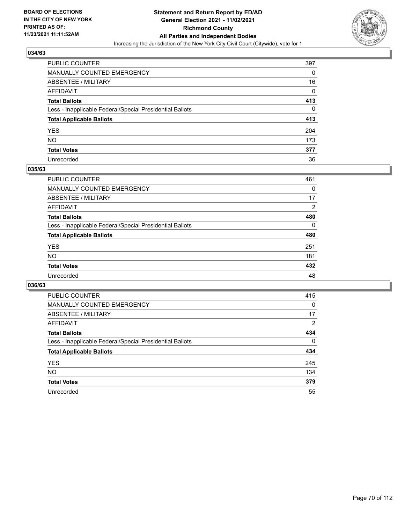

| PUBLIC COUNTER                                           | 397 |
|----------------------------------------------------------|-----|
| MANUALLY COUNTED EMERGENCY                               | 0   |
| ABSENTEE / MILITARY                                      | 16  |
| AFFIDAVIT                                                | 0   |
| Total Ballots                                            | 413 |
| Less - Inapplicable Federal/Special Presidential Ballots | 0   |
| <b>Total Applicable Ballots</b>                          | 413 |
| YES                                                      | 204 |
| NO.                                                      | 173 |
| <b>Total Votes</b>                                       | 377 |
| Unrecorded                                               | 36  |

### **035/63**

| <b>PUBLIC COUNTER</b>                                    | 461            |
|----------------------------------------------------------|----------------|
| <b>MANUALLY COUNTED EMERGENCY</b>                        | 0              |
| ABSENTEE / MILITARY                                      | 17             |
| AFFIDAVIT                                                | $\overline{2}$ |
| <b>Total Ballots</b>                                     | 480            |
| Less - Inapplicable Federal/Special Presidential Ballots | $\Omega$       |
| <b>Total Applicable Ballots</b>                          | 480            |
| <b>YES</b>                                               | 251            |
| <b>NO</b>                                                | 181            |
| <b>Total Votes</b>                                       | 432            |
| Unrecorded                                               | 48             |

| <b>PUBLIC COUNTER</b>                                    | 415            |
|----------------------------------------------------------|----------------|
| <b>MANUALLY COUNTED EMERGENCY</b>                        | 0              |
| ABSENTEE / MILITARY                                      | 17             |
| AFFIDAVIT                                                | $\overline{2}$ |
| <b>Total Ballots</b>                                     | 434            |
| Less - Inapplicable Federal/Special Presidential Ballots | $\Omega$       |
| <b>Total Applicable Ballots</b>                          | 434            |
| <b>YES</b>                                               | 245            |
| NO.                                                      | 134            |
| <b>Total Votes</b>                                       | 379            |
| Unrecorded                                               | 55             |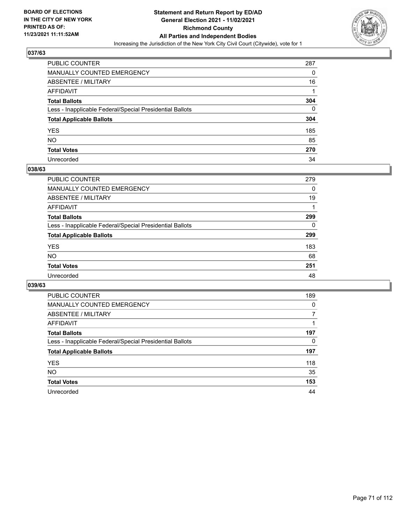

| PUBLIC COUNTER                                           | 287      |
|----------------------------------------------------------|----------|
| MANUALLY COUNTED EMERGENCY                               | 0        |
| <b>ABSENTEE / MILITARY</b>                               | 16       |
| AFFIDAVIT                                                |          |
| <b>Total Ballots</b>                                     | 304      |
| Less - Inapplicable Federal/Special Presidential Ballots | $\Omega$ |
| <b>Total Applicable Ballots</b>                          | 304      |
| YES                                                      | 185      |
| NO.                                                      | 85       |
| <b>Total Votes</b>                                       | 270      |
| Unrecorded                                               | 34       |

### **038/63**

| 279 |
|-----|
| 0   |
| 19  |
|     |
| 299 |
| 0   |
| 299 |
| 183 |
| 68  |
| 251 |
| 48  |
|     |

| <b>PUBLIC COUNTER</b>                                    | 189      |
|----------------------------------------------------------|----------|
| <b>MANUALLY COUNTED EMERGENCY</b>                        | $\Omega$ |
| ABSENTEE / MILITARY                                      | 7        |
| AFFIDAVIT                                                |          |
| <b>Total Ballots</b>                                     | 197      |
| Less - Inapplicable Federal/Special Presidential Ballots | 0        |
| <b>Total Applicable Ballots</b>                          | 197      |
| <b>YES</b>                                               | 118      |
| <b>NO</b>                                                | 35       |
| <b>Total Votes</b>                                       | 153      |
| Unrecorded                                               | 44       |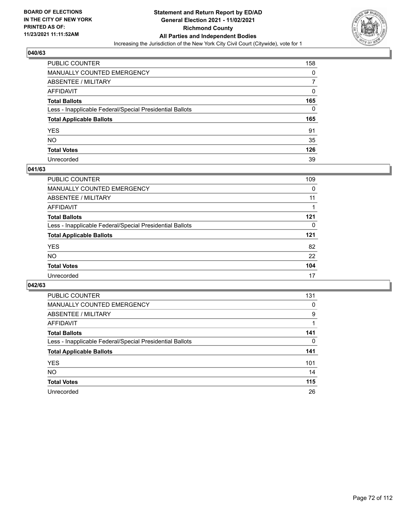

| PUBLIC COUNTER                                           | 158 |
|----------------------------------------------------------|-----|
| MANUALLY COUNTED EMERGENCY                               | 0   |
| ABSENTEE / MILITARY                                      | 7   |
| AFFIDAVIT                                                | 0   |
| Total Ballots                                            | 165 |
| Less - Inapplicable Federal/Special Presidential Ballots | 0   |
| <b>Total Applicable Ballots</b>                          | 165 |
| YES                                                      | 91  |
| NO.                                                      | 35  |
| <b>Total Votes</b>                                       | 126 |
| Unrecorded                                               | 39  |

### **041/63**

| PUBLIC COUNTER                                           | 109      |
|----------------------------------------------------------|----------|
| MANUALLY COUNTED EMERGENCY                               | 0        |
| ABSENTEE / MILITARY                                      | 11       |
| AFFIDAVIT                                                |          |
| <b>Total Ballots</b>                                     | 121      |
| Less - Inapplicable Federal/Special Presidential Ballots | $\Omega$ |
| <b>Total Applicable Ballots</b>                          | 121      |
| <b>YES</b>                                               | 82       |
| <b>NO</b>                                                | 22       |
| <b>Total Votes</b>                                       | 104      |
| Unrecorded                                               | 17       |

| <b>PUBLIC COUNTER</b>                                    | 131 |
|----------------------------------------------------------|-----|
| MANUALLY COUNTED EMERGENCY                               | 0   |
| ABSENTEE / MILITARY                                      | 9   |
| AFFIDAVIT                                                |     |
| <b>Total Ballots</b>                                     | 141 |
| Less - Inapplicable Federal/Special Presidential Ballots | 0   |
| <b>Total Applicable Ballots</b>                          | 141 |
| <b>YES</b>                                               | 101 |
| NO.                                                      | 14  |
| <b>Total Votes</b>                                       | 115 |
| Unrecorded                                               | 26  |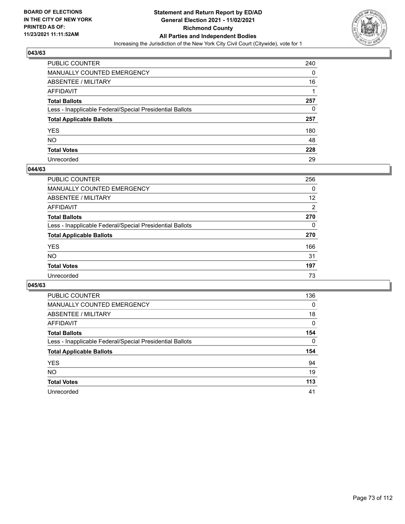

| PUBLIC COUNTER                                           | 240 |
|----------------------------------------------------------|-----|
| <b>MANUALLY COUNTED EMERGENCY</b>                        | 0   |
| <b>ABSENTEE / MILITARY</b>                               | 16  |
| <b>AFFIDAVIT</b>                                         |     |
| <b>Total Ballots</b>                                     | 257 |
| Less - Inapplicable Federal/Special Presidential Ballots | 0   |
| <b>Total Applicable Ballots</b>                          | 257 |
| <b>YES</b>                                               | 180 |
| <b>NO</b>                                                | 48  |
| <b>Total Votes</b>                                       | 228 |
| Unrecorded                                               | 29  |

#### **044/63**

| PUBLIC COUNTER                                           | 256      |
|----------------------------------------------------------|----------|
| MANUALLY COUNTED EMERGENCY                               | 0        |
| ABSENTEE / MILITARY                                      | 12       |
| AFFIDAVIT                                                | 2        |
| <b>Total Ballots</b>                                     | 270      |
| Less - Inapplicable Federal/Special Presidential Ballots | $\Omega$ |
| <b>Total Applicable Ballots</b>                          | 270      |
| <b>YES</b>                                               | 166      |
| <b>NO</b>                                                | 31       |
| <b>Total Votes</b>                                       | 197      |
| Unrecorded                                               | 73       |

| <b>PUBLIC COUNTER</b>                                    | 136      |
|----------------------------------------------------------|----------|
| <b>MANUALLY COUNTED EMERGENCY</b>                        | $\Omega$ |
| ABSENTEE / MILITARY                                      | 18       |
| AFFIDAVIT                                                | 0        |
| <b>Total Ballots</b>                                     | 154      |
| Less - Inapplicable Federal/Special Presidential Ballots | $\Omega$ |
| <b>Total Applicable Ballots</b>                          | 154      |
|                                                          | 94       |
| <b>YES</b>                                               |          |
| <b>NO</b>                                                | 19       |
| <b>Total Votes</b>                                       | 113      |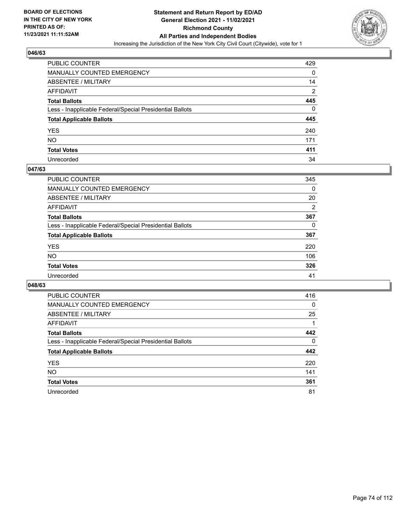

| PUBLIC COUNTER                                           | 429            |
|----------------------------------------------------------|----------------|
| MANUALLY COUNTED EMERGENCY                               | 0              |
| ABSENTEE / MILITARY                                      | 14             |
| AFFIDAVIT                                                | $\overline{2}$ |
| Total Ballots                                            | 445            |
| Less - Inapplicable Federal/Special Presidential Ballots | 0              |
| <b>Total Applicable Ballots</b>                          | 445            |
| YES                                                      | 240            |
| NO.                                                      | 171            |
| <b>Total Votes</b>                                       | 411            |
| Unrecorded                                               | 34             |

#### **047/63**

| PUBLIC COUNTER                                           | 345      |
|----------------------------------------------------------|----------|
| <b>MANUALLY COUNTED EMERGENCY</b>                        | 0        |
| <b>ABSENTEE / MILITARY</b>                               | 20       |
| AFFIDAVIT                                                | 2        |
| <b>Total Ballots</b>                                     | 367      |
| Less - Inapplicable Federal/Special Presidential Ballots | $\Omega$ |
| <b>Total Applicable Ballots</b>                          | 367      |
| <b>YES</b>                                               | 220      |
| <b>NO</b>                                                | 106      |
| <b>Total Votes</b>                                       | 326      |
| Unrecorded                                               | 41       |

| <b>PUBLIC COUNTER</b>                                    | 416      |
|----------------------------------------------------------|----------|
| MANUALLY COUNTED EMERGENCY                               | 0        |
| ABSENTEE / MILITARY                                      | 25       |
| AFFIDAVIT                                                |          |
| <b>Total Ballots</b>                                     | 442      |
| Less - Inapplicable Federal/Special Presidential Ballots | $\Omega$ |
| <b>Total Applicable Ballots</b>                          | 442      |
| <b>YES</b>                                               | 220      |
| <b>NO</b>                                                | 141      |
| <b>Total Votes</b>                                       | 361      |
| Unrecorded                                               | 81       |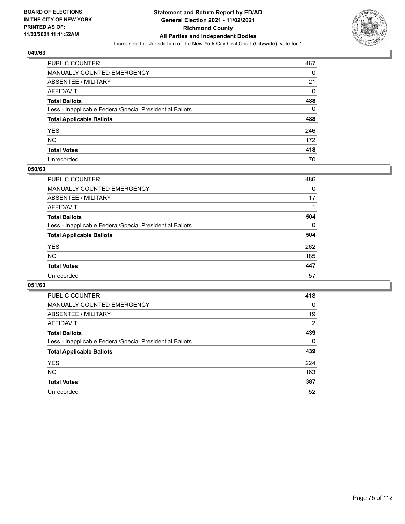

| PUBLIC COUNTER                                           | 467      |
|----------------------------------------------------------|----------|
| MANUALLY COUNTED EMERGENCY                               | 0        |
| ABSENTEE / MILITARY                                      | 21       |
| AFFIDAVIT                                                | $\Omega$ |
| <b>Total Ballots</b>                                     | 488      |
| Less - Inapplicable Federal/Special Presidential Ballots | 0        |
| <b>Total Applicable Ballots</b>                          | 488      |
| YES                                                      | 246      |
| NO.                                                      | 172      |
| <b>Total Votes</b>                                       | 418      |
| Unrecorded                                               | 70       |

#### **050/63**

| <b>PUBLIC COUNTER</b>                                    | 486      |
|----------------------------------------------------------|----------|
| <b>MANUALLY COUNTED EMERGENCY</b>                        | 0        |
| ABSENTEE / MILITARY                                      | 17       |
| AFFIDAVIT                                                |          |
| <b>Total Ballots</b>                                     | 504      |
| Less - Inapplicable Federal/Special Presidential Ballots | $\Omega$ |
| <b>Total Applicable Ballots</b>                          | 504      |
| <b>YES</b>                                               | 262      |
| <b>NO</b>                                                | 185      |
| <b>Total Votes</b>                                       | 447      |
| Unrecorded                                               | 57       |

| <b>PUBLIC COUNTER</b>                                    | 418            |
|----------------------------------------------------------|----------------|
| MANUALLY COUNTED EMERGENCY                               | $\Omega$       |
| ABSENTEE / MILITARY                                      | 19             |
| AFFIDAVIT                                                | $\overline{2}$ |
| <b>Total Ballots</b>                                     | 439            |
| Less - Inapplicable Federal/Special Presidential Ballots | $\Omega$       |
| <b>Total Applicable Ballots</b>                          | 439            |
| <b>YES</b>                                               | 224            |
| NO.                                                      | 163            |
| <b>Total Votes</b>                                       | 387            |
| Unrecorded                                               |                |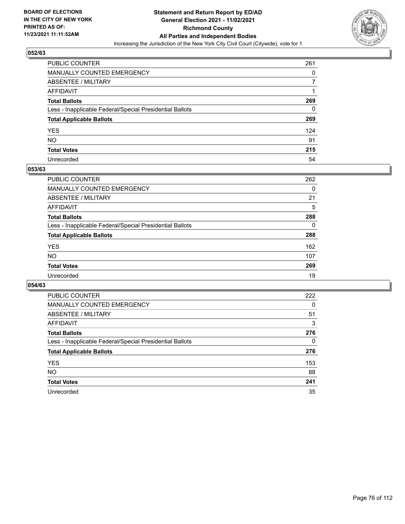

| PUBLIC COUNTER                                           | 261 |
|----------------------------------------------------------|-----|
| MANUALLY COUNTED EMERGENCY                               | 0   |
| ABSENTEE / MILITARY                                      |     |
| AFFIDAVIT                                                |     |
| Total Ballots                                            | 269 |
| Less - Inapplicable Federal/Special Presidential Ballots | 0   |
| <b>Total Applicable Ballots</b>                          | 269 |
| YES                                                      | 124 |
| NO.                                                      | 91  |
| <b>Total Votes</b>                                       | 215 |
| Unrecorded                                               | 54  |

#### **053/63**

| PUBLIC COUNTER                                           | 262      |
|----------------------------------------------------------|----------|
| <b>MANUALLY COUNTED EMERGENCY</b>                        | 0        |
| ABSENTEE / MILITARY                                      | 21       |
| AFFIDAVIT                                                | 5        |
| <b>Total Ballots</b>                                     | 288      |
| Less - Inapplicable Federal/Special Presidential Ballots | $\Omega$ |
| <b>Total Applicable Ballots</b>                          | 288      |
| <b>YES</b>                                               | 162      |
| <b>NO</b>                                                | 107      |
| <b>Total Votes</b>                                       | 269      |
| Unrecorded                                               | 19       |

| <b>PUBLIC COUNTER</b>                                    | 222      |
|----------------------------------------------------------|----------|
| <b>MANUALLY COUNTED EMERGENCY</b>                        | 0        |
| ABSENTEE / MILITARY                                      | 51       |
| AFFIDAVIT                                                | 3        |
| <b>Total Ballots</b>                                     | 276      |
| Less - Inapplicable Federal/Special Presidential Ballots | $\Omega$ |
| <b>Total Applicable Ballots</b>                          | 276      |
| <b>YES</b>                                               | 153      |
| <b>NO</b>                                                | 88       |
| <b>Total Votes</b>                                       | 241      |
| Unrecorded                                               | 35       |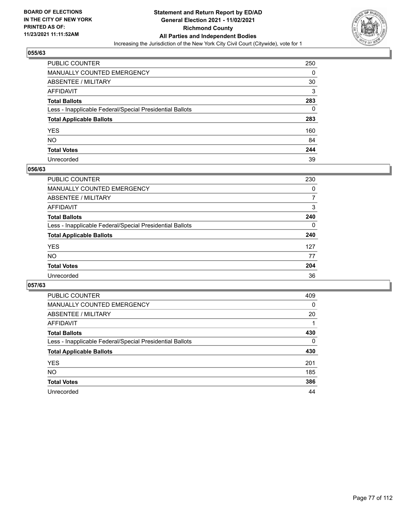

| PUBLIC COUNTER                                           | 250 |
|----------------------------------------------------------|-----|
| MANUALLY COUNTED EMERGENCY                               | 0   |
| ABSENTEE / MILITARY                                      | 30  |
| AFFIDAVIT                                                | 3   |
| Total Ballots                                            | 283 |
| Less - Inapplicable Federal/Special Presidential Ballots | 0   |
| <b>Total Applicable Ballots</b>                          | 283 |
| YES                                                      | 160 |
| NO.                                                      | 84  |
| <b>Total Votes</b>                                       | 244 |
| Unrecorded                                               | 39  |

#### **056/63**

| <b>PUBLIC COUNTER</b>                                    | 230      |
|----------------------------------------------------------|----------|
| <b>MANUALLY COUNTED EMERGENCY</b>                        | 0        |
| ABSENTEE / MILITARY                                      | 7        |
| AFFIDAVIT                                                | 3        |
| <b>Total Ballots</b>                                     | 240      |
| Less - Inapplicable Federal/Special Presidential Ballots | $\Omega$ |
| <b>Total Applicable Ballots</b>                          | 240      |
| <b>YES</b>                                               | 127      |
| <b>NO</b>                                                | 77       |
| <b>Total Votes</b>                                       | 204      |
| Unrecorded                                               | 36       |

| <b>PUBLIC COUNTER</b>                                    | 409      |
|----------------------------------------------------------|----------|
| <b>MANUALLY COUNTED EMERGENCY</b>                        | 0        |
| ABSENTEE / MILITARY                                      | 20       |
| AFFIDAVIT                                                |          |
| <b>Total Ballots</b>                                     | 430      |
| Less - Inapplicable Federal/Special Presidential Ballots | $\Omega$ |
| <b>Total Applicable Ballots</b>                          | 430      |
| <b>YES</b>                                               | 201      |
| <b>NO</b>                                                | 185      |
| <b>Total Votes</b>                                       | 386      |
| Unrecorded                                               | 44       |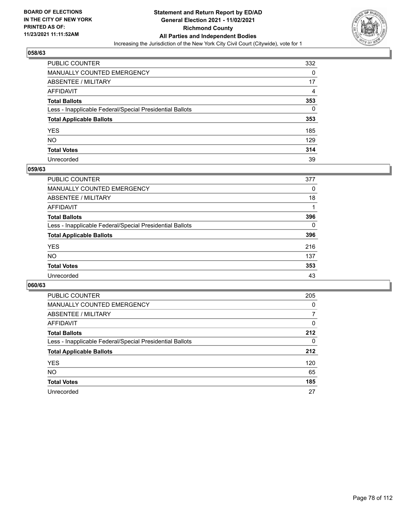

| PUBLIC COUNTER                                           | 332 |
|----------------------------------------------------------|-----|
| MANUALLY COUNTED EMERGENCY                               | 0   |
| ABSENTEE / MILITARY                                      | 17  |
| AFFIDAVIT                                                | 4   |
| Total Ballots                                            | 353 |
| Less - Inapplicable Federal/Special Presidential Ballots | 0   |
| <b>Total Applicable Ballots</b>                          | 353 |
| YES                                                      | 185 |
| NO.                                                      | 129 |
| <b>Total Votes</b>                                       | 314 |
| Unrecorded                                               | 39  |

#### **059/63**

| PUBLIC COUNTER                                           | 377      |
|----------------------------------------------------------|----------|
| <b>MANUALLY COUNTED EMERGENCY</b>                        | 0        |
| ABSENTEE / MILITARY                                      | 18       |
| AFFIDAVIT                                                |          |
| <b>Total Ballots</b>                                     | 396      |
| Less - Inapplicable Federal/Special Presidential Ballots | $\Omega$ |
| <b>Total Applicable Ballots</b>                          | 396      |
| <b>YES</b>                                               | 216      |
| <b>NO</b>                                                | 137      |
| <b>Total Votes</b>                                       | 353      |
| Unrecorded                                               | 43       |

| <b>PUBLIC COUNTER</b>                                    | 205      |
|----------------------------------------------------------|----------|
| <b>MANUALLY COUNTED EMERGENCY</b>                        | 0        |
| ABSENTEE / MILITARY                                      | 7        |
| AFFIDAVIT                                                | $\Omega$ |
| <b>Total Ballots</b>                                     | 212      |
| Less - Inapplicable Federal/Special Presidential Ballots | $\Omega$ |
| <b>Total Applicable Ballots</b>                          | 212      |
| <b>YES</b>                                               | 120      |
| <b>NO</b>                                                | 65       |
| <b>Total Votes</b>                                       | 185      |
| Unrecorded                                               | 27       |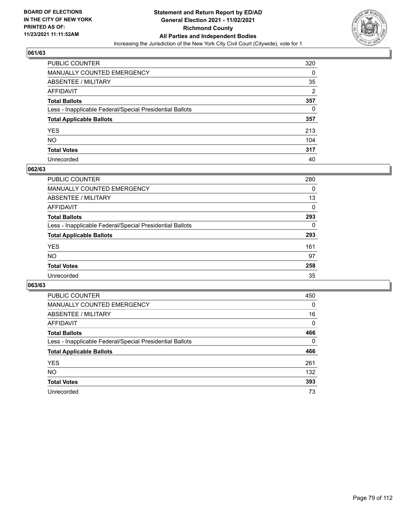

| PUBLIC COUNTER                                           | 320            |
|----------------------------------------------------------|----------------|
| MANUALLY COUNTED EMERGENCY                               | 0              |
| ABSENTEE / MILITARY                                      | 35             |
| AFFIDAVIT                                                | $\overline{2}$ |
| <b>Total Ballots</b>                                     | 357            |
| Less - Inapplicable Federal/Special Presidential Ballots | 0              |
| <b>Total Applicable Ballots</b>                          | 357            |
| YES                                                      | 213            |
| NO.                                                      | 104            |
| <b>Total Votes</b>                                       | 317            |
| Unrecorded                                               | 40             |

#### **062/63**

| <b>PUBLIC COUNTER</b>                                    | 280      |
|----------------------------------------------------------|----------|
| <b>MANUALLY COUNTED EMERGENCY</b>                        | 0        |
| ABSENTEE / MILITARY                                      | 13       |
| AFFIDAVIT                                                | 0        |
| <b>Total Ballots</b>                                     | 293      |
| Less - Inapplicable Federal/Special Presidential Ballots | $\Omega$ |
| <b>Total Applicable Ballots</b>                          | 293      |
| <b>YES</b>                                               | 161      |
| <b>NO</b>                                                | 97       |
| <b>Total Votes</b>                                       | 258      |
| Unrecorded                                               | 35       |

| <b>PUBLIC COUNTER</b>                                    | 450      |
|----------------------------------------------------------|----------|
| <b>MANUALLY COUNTED EMERGENCY</b>                        | 0        |
| ABSENTEE / MILITARY                                      | 16       |
| AFFIDAVIT                                                | $\Omega$ |
| <b>Total Ballots</b>                                     | 466      |
| Less - Inapplicable Federal/Special Presidential Ballots | $\Omega$ |
| <b>Total Applicable Ballots</b>                          | 466      |
| <b>YES</b>                                               | 261      |
| <b>NO</b>                                                | 132      |
| <b>Total Votes</b>                                       | 393      |
| Unrecorded                                               | 73       |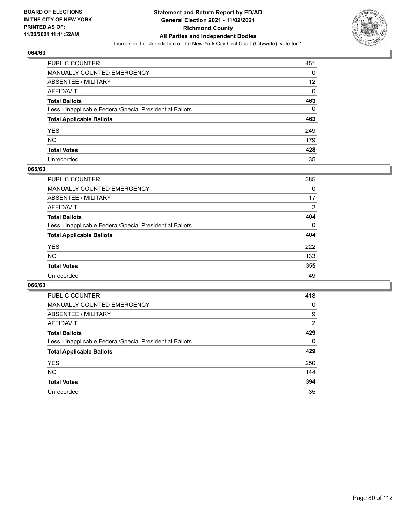

| PUBLIC COUNTER                                           | 451             |
|----------------------------------------------------------|-----------------|
| MANUALLY COUNTED EMERGENCY                               | 0               |
| ABSENTEE / MILITARY                                      | 12 <sup>°</sup> |
| AFFIDAVIT                                                | 0               |
| Total Ballots                                            | 463             |
| Less - Inapplicable Federal/Special Presidential Ballots | 0               |
| <b>Total Applicable Ballots</b>                          | 463             |
| YES                                                      | 249             |
| NO.                                                      | 179             |
| <b>Total Votes</b>                                       | 428             |
| Unrecorded                                               | 35              |

#### **065/63**

| <b>PUBLIC COUNTER</b>                                    | 385            |
|----------------------------------------------------------|----------------|
| <b>MANUALLY COUNTED EMERGENCY</b>                        | 0              |
| <b>ABSENTEE / MILITARY</b>                               | 17             |
| AFFIDAVIT                                                | $\overline{2}$ |
| <b>Total Ballots</b>                                     | 404            |
| Less - Inapplicable Federal/Special Presidential Ballots | $\Omega$       |
| <b>Total Applicable Ballots</b>                          | 404            |
| <b>YES</b>                                               | 222            |
| NO                                                       | 133            |
| <b>Total Votes</b>                                       | 355            |
| Unrecorded                                               | 49             |

| <b>PUBLIC COUNTER</b>                                    | 418            |
|----------------------------------------------------------|----------------|
| <b>MANUALLY COUNTED EMERGENCY</b>                        | 0              |
| ABSENTEE / MILITARY                                      | 9              |
| AFFIDAVIT                                                | $\overline{2}$ |
| <b>Total Ballots</b>                                     | 429            |
| Less - Inapplicable Federal/Special Presidential Ballots | $\Omega$       |
| <b>Total Applicable Ballots</b>                          | 429            |
| <b>YES</b>                                               | 250            |
| NO.                                                      | 144            |
|                                                          |                |
| <b>Total Votes</b>                                       | 394            |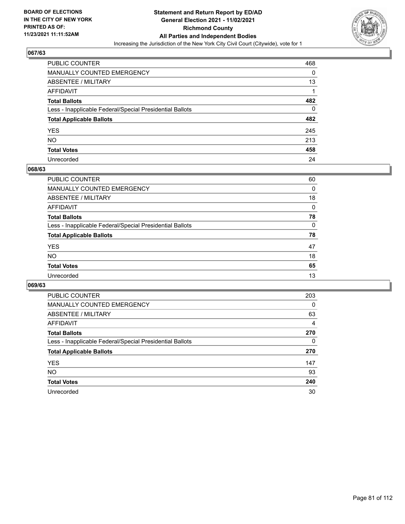

| PUBLIC COUNTER                                           | 468 |
|----------------------------------------------------------|-----|
| MANUALLY COUNTED EMERGENCY                               | 0   |
| ABSENTEE / MILITARY                                      | 13  |
| AFFIDAVIT                                                |     |
| <b>Total Ballots</b>                                     | 482 |
| Less - Inapplicable Federal/Special Presidential Ballots | 0   |
| <b>Total Applicable Ballots</b>                          | 482 |
| YES                                                      | 245 |
| NO.                                                      | 213 |
| <b>Total Votes</b>                                       | 458 |
| Unrecorded                                               | 24  |

#### **068/63**

| <b>PUBLIC COUNTER</b>                                    | 60       |
|----------------------------------------------------------|----------|
| <b>MANUALLY COUNTED EMERGENCY</b>                        | 0        |
| ABSENTEE / MILITARY                                      | 18       |
| AFFIDAVIT                                                | 0        |
| <b>Total Ballots</b>                                     | 78       |
| Less - Inapplicable Federal/Special Presidential Ballots | $\Omega$ |
| <b>Total Applicable Ballots</b>                          | 78       |
| <b>YES</b>                                               | 47       |
| <b>NO</b>                                                | 18       |
| <b>Total Votes</b>                                       | 65       |
| Unrecorded                                               | 13       |

| <b>PUBLIC COUNTER</b>                                    | 203      |
|----------------------------------------------------------|----------|
| <b>MANUALLY COUNTED EMERGENCY</b>                        | 0        |
| ABSENTEE / MILITARY                                      | 63       |
| AFFIDAVIT                                                | 4        |
| <b>Total Ballots</b>                                     | 270      |
| Less - Inapplicable Federal/Special Presidential Ballots | $\Omega$ |
| <b>Total Applicable Ballots</b>                          | 270      |
| <b>YES</b>                                               | 147      |
|                                                          |          |
| <b>NO</b>                                                | 93       |
| <b>Total Votes</b>                                       | 240      |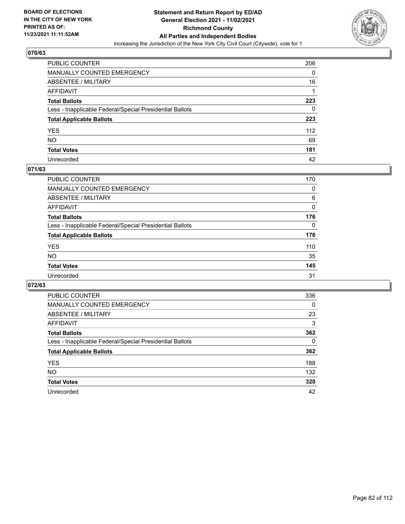

| PUBLIC COUNTER                                           | 206 |
|----------------------------------------------------------|-----|
| MANUALLY COUNTED EMERGENCY                               | 0   |
| <b>ABSENTEE / MILITARY</b>                               | 16  |
| AFFIDAVIT                                                |     |
| <b>Total Ballots</b>                                     | 223 |
| Less - Inapplicable Federal/Special Presidential Ballots | 0   |
| <b>Total Applicable Ballots</b>                          | 223 |
| YES                                                      | 112 |
| NΟ                                                       | 69  |
| <b>Total Votes</b>                                       | 181 |
| Unrecorded                                               | 42  |

#### **071/63**

| <b>PUBLIC COUNTER</b>                                    | 170      |
|----------------------------------------------------------|----------|
| MANUALLY COUNTED EMERGENCY                               | 0        |
| ABSENTEE / MILITARY                                      | 6        |
| AFFIDAVIT                                                | 0        |
| <b>Total Ballots</b>                                     | 176      |
| Less - Inapplicable Federal/Special Presidential Ballots | $\Omega$ |
| <b>Total Applicable Ballots</b>                          | 176      |
| <b>YES</b>                                               | 110      |
| <b>NO</b>                                                | 35       |
| <b>Total Votes</b>                                       | 145      |
| Unrecorded                                               | 31       |

| <b>PUBLIC COUNTER</b>                                    | 336      |
|----------------------------------------------------------|----------|
| <b>MANUALLY COUNTED EMERGENCY</b>                        | $\Omega$ |
| ABSENTEE / MILITARY                                      | 23       |
| AFFIDAVIT                                                | 3        |
| <b>Total Ballots</b>                                     | 362      |
| Less - Inapplicable Federal/Special Presidential Ballots | 0        |
| <b>Total Applicable Ballots</b>                          | 362      |
| <b>YES</b>                                               | 188      |
| NO.                                                      | 132      |
| <b>Total Votes</b>                                       | 320      |
| Unrecorded                                               | 42       |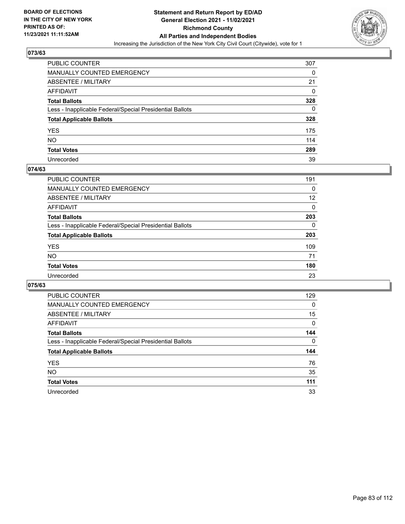

| PUBLIC COUNTER                                           | 307      |
|----------------------------------------------------------|----------|
| MANUALLY COUNTED EMERGENCY                               | 0        |
| <b>ABSENTEE / MILITARY</b>                               | 21       |
| AFFIDAVIT                                                | $\Omega$ |
| Total Ballots                                            | 328      |
| Less - Inapplicable Federal/Special Presidential Ballots | 0        |
| <b>Total Applicable Ballots</b>                          | 328      |
| YES                                                      | 175      |
| NO.                                                      | 114      |
| <b>Total Votes</b>                                       | 289      |
| Unrecorded                                               | 39       |

#### **074/63**

| <b>PUBLIC COUNTER</b>                                    | 191      |
|----------------------------------------------------------|----------|
| <b>MANUALLY COUNTED EMERGENCY</b>                        | $\Omega$ |
| ABSENTEE / MILITARY                                      | 12       |
| AFFIDAVIT                                                | 0        |
| <b>Total Ballots</b>                                     | 203      |
| Less - Inapplicable Federal/Special Presidential Ballots | $\Omega$ |
| <b>Total Applicable Ballots</b>                          | 203      |
| <b>YES</b>                                               | 109      |
| <b>NO</b>                                                | 71       |
| <b>Total Votes</b>                                       | 180      |
| Unrecorded                                               | 23       |

| <b>PUBLIC COUNTER</b>                                    | 129      |
|----------------------------------------------------------|----------|
| <b>MANUALLY COUNTED EMERGENCY</b>                        | $\Omega$ |
| ABSENTEE / MILITARY                                      | 15       |
| AFFIDAVIT                                                | 0        |
| <b>Total Ballots</b>                                     | 144      |
| Less - Inapplicable Federal/Special Presidential Ballots | $\Omega$ |
| <b>Total Applicable Ballots</b>                          | 144      |
| <b>YES</b>                                               | 76       |
| NO.                                                      | 35       |
| <b>Total Votes</b>                                       | 111      |
| Unrecorded                                               | 33       |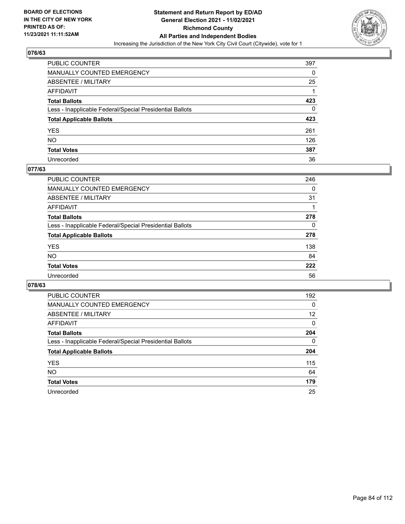

| PUBLIC COUNTER                                           | 397 |
|----------------------------------------------------------|-----|
| MANUALLY COUNTED EMERGENCY                               | 0   |
| ABSENTEE / MILITARY                                      | 25  |
| AFFIDAVIT                                                |     |
| Total Ballots                                            | 423 |
| Less - Inapplicable Federal/Special Presidential Ballots | 0   |
| <b>Total Applicable Ballots</b>                          | 423 |
| YES                                                      | 261 |
| NO.                                                      | 126 |
| <b>Total Votes</b>                                       | 387 |
| Unrecorded                                               | 36  |

#### **077/63**

| PUBLIC COUNTER                                           | 246      |
|----------------------------------------------------------|----------|
| <b>MANUALLY COUNTED EMERGENCY</b>                        | 0        |
| <b>ABSENTEE / MILITARY</b>                               | 31       |
| AFFIDAVIT                                                |          |
| <b>Total Ballots</b>                                     | 278      |
| Less - Inapplicable Federal/Special Presidential Ballots | $\Omega$ |
| <b>Total Applicable Ballots</b>                          | 278      |
| <b>YES</b>                                               | 138      |
| <b>NO</b>                                                | 84       |
| <b>Total Votes</b>                                       | 222      |
| Unrecorded                                               | 56       |

| <b>PUBLIC COUNTER</b>                                    | 192 |
|----------------------------------------------------------|-----|
| <b>MANUALLY COUNTED EMERGENCY</b>                        | 0   |
| ABSENTEE / MILITARY                                      | 12  |
| AFFIDAVIT                                                | 0   |
| <b>Total Ballots</b>                                     | 204 |
| Less - Inapplicable Federal/Special Presidential Ballots | 0   |
| <b>Total Applicable Ballots</b>                          | 204 |
| <b>YES</b>                                               | 115 |
| <b>NO</b>                                                | 64  |
| <b>Total Votes</b>                                       | 179 |
| Unrecorded                                               | 25  |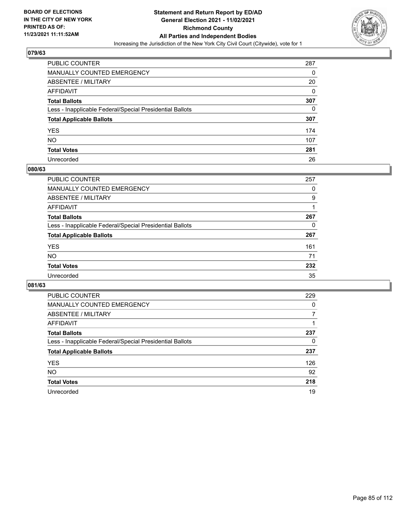

| PUBLIC COUNTER                                           | 287 |
|----------------------------------------------------------|-----|
| <b>MANUALLY COUNTED EMERGENCY</b>                        | 0   |
| ABSENTEE / MILITARY                                      | 20  |
| AFFIDAVIT                                                | 0   |
| <b>Total Ballots</b>                                     | 307 |
| Less - Inapplicable Federal/Special Presidential Ballots | 0   |
| <b>Total Applicable Ballots</b>                          | 307 |
| YES                                                      | 174 |
| NO.                                                      | 107 |
| <b>Total Votes</b>                                       | 281 |
| Unrecorded                                               | 26  |

#### **080/63**

| PUBLIC COUNTER                                           | 257 |
|----------------------------------------------------------|-----|
| <b>MANUALLY COUNTED EMERGENCY</b>                        | 0   |
| ABSENTEE / MILITARY                                      | 9   |
| AFFIDAVIT                                                |     |
| <b>Total Ballots</b>                                     | 267 |
| Less - Inapplicable Federal/Special Presidential Ballots | 0   |
| <b>Total Applicable Ballots</b>                          | 267 |
| <b>YES</b>                                               | 161 |
| <b>NO</b>                                                | 71  |
| <b>Total Votes</b>                                       | 232 |
| Unrecorded                                               | 35  |

| <b>PUBLIC COUNTER</b>                                    | 229      |
|----------------------------------------------------------|----------|
| <b>MANUALLY COUNTED EMERGENCY</b>                        | $\Omega$ |
| ABSENTEE / MILITARY                                      | 7        |
| AFFIDAVIT                                                |          |
| <b>Total Ballots</b>                                     | 237      |
| Less - Inapplicable Federal/Special Presidential Ballots | 0        |
| <b>Total Applicable Ballots</b>                          | 237      |
| <b>YES</b>                                               | 126      |
| <b>NO</b>                                                | 92       |
| <b>Total Votes</b>                                       | 218      |
| Unrecorded                                               | 19       |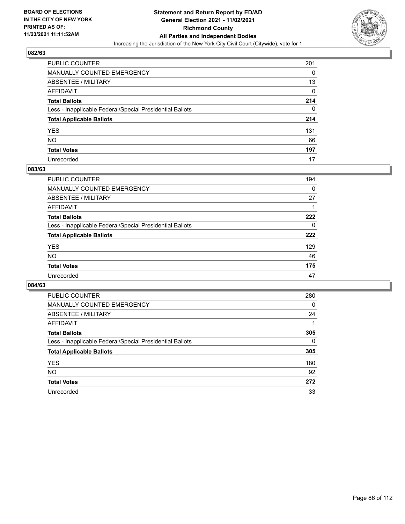

| PUBLIC COUNTER                                           | 201 |
|----------------------------------------------------------|-----|
| MANUALLY COUNTED EMERGENCY                               | 0   |
| <b>ABSENTEE / MILITARY</b>                               | 13  |
| AFFIDAVIT                                                | 0   |
| <b>Total Ballots</b>                                     | 214 |
| Less - Inapplicable Federal/Special Presidential Ballots | 0   |
| <b>Total Applicable Ballots</b>                          | 214 |
| YES                                                      | 131 |
| NO.                                                      | 66  |
| <b>Total Votes</b>                                       | 197 |
| Unrecorded                                               | 17  |

#### **083/63**

| <b>PUBLIC COUNTER</b>                                    | 194      |
|----------------------------------------------------------|----------|
| <b>MANUALLY COUNTED EMERGENCY</b>                        | 0        |
| ABSENTEE / MILITARY                                      | 27       |
| AFFIDAVIT                                                |          |
| <b>Total Ballots</b>                                     | 222      |
| Less - Inapplicable Federal/Special Presidential Ballots | $\Omega$ |
| <b>Total Applicable Ballots</b>                          | 222      |
| <b>YES</b>                                               | 129      |
| <b>NO</b>                                                | 46       |
| <b>Total Votes</b>                                       | 175      |
| Unrecorded                                               | 47       |

| <b>PUBLIC COUNTER</b>                                    | 280      |
|----------------------------------------------------------|----------|
| <b>MANUALLY COUNTED EMERGENCY</b>                        | 0        |
| ABSENTEE / MILITARY                                      | 24       |
| AFFIDAVIT                                                |          |
| <b>Total Ballots</b>                                     | 305      |
| Less - Inapplicable Federal/Special Presidential Ballots | $\Omega$ |
| <b>Total Applicable Ballots</b>                          | 305      |
| <b>YES</b>                                               | 180      |
| <b>NO</b>                                                | 92       |
| <b>Total Votes</b>                                       | 272      |
| Unrecorded                                               | 33       |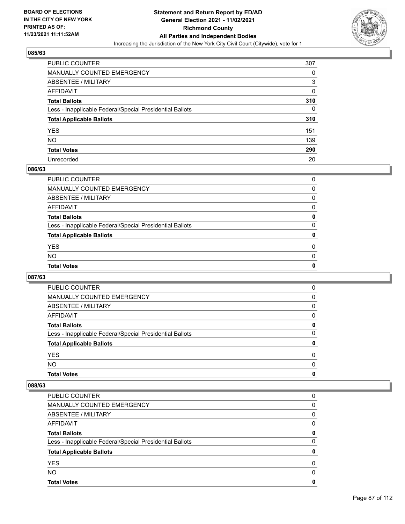

| PUBLIC COUNTER                                           | 307      |
|----------------------------------------------------------|----------|
| MANUALLY COUNTED EMERGENCY                               | 0        |
| <b>ABSENTEE / MILITARY</b>                               | 3        |
| AFFIDAVIT                                                | 0        |
| Total Ballots                                            | 310      |
| Less - Inapplicable Federal/Special Presidential Ballots | $\Omega$ |
| <b>Total Applicable Ballots</b>                          | 310      |
| YES                                                      | 151      |
| NO.                                                      | 139      |
| <b>Total Votes</b>                                       | 290      |
| Unrecorded                                               | 20       |

#### **086/63**

| <b>Total Votes</b>                                       | 0        |
|----------------------------------------------------------|----------|
| <b>NO</b>                                                | $\Omega$ |
| <b>YES</b>                                               | 0        |
| <b>Total Applicable Ballots</b>                          | 0        |
| Less - Inapplicable Federal/Special Presidential Ballots | $\Omega$ |
| <b>Total Ballots</b>                                     | 0        |
| AFFIDAVIT                                                | 0        |
| ABSENTEE / MILITARY                                      | $\Omega$ |
| <b>MANUALLY COUNTED EMERGENCY</b>                        | 0        |
| PUBLIC COUNTER                                           | 0        |

### **087/63**

| PUBLIC COUNTER                                           | $\Omega$     |
|----------------------------------------------------------|--------------|
| <b>MANUALLY COUNTED EMERGENCY</b>                        | 0            |
| ABSENTEE / MILITARY                                      | 0            |
| AFFIDAVIT                                                | 0            |
| <b>Total Ballots</b>                                     | 0            |
| Less - Inapplicable Federal/Special Presidential Ballots | 0            |
| <b>Total Applicable Ballots</b>                          | 0            |
| <b>YES</b>                                               | 0            |
| <b>NO</b>                                                | <sup>0</sup> |
| <b>Total Votes</b>                                       | 0            |

| PUBLIC COUNTER                                           | 0 |
|----------------------------------------------------------|---|
| MANUALLY COUNTED EMERGENCY                               | 0 |
| <b>ABSENTEE / MILITARY</b>                               | 0 |
| AFFIDAVIT                                                | 0 |
| <b>Total Ballots</b>                                     | 0 |
| Less - Inapplicable Federal/Special Presidential Ballots | 0 |
| <b>Total Applicable Ballots</b>                          | 0 |
| <b>YES</b>                                               | 0 |
| <b>NO</b>                                                | 0 |
| <b>Total Votes</b>                                       | 0 |
|                                                          |   |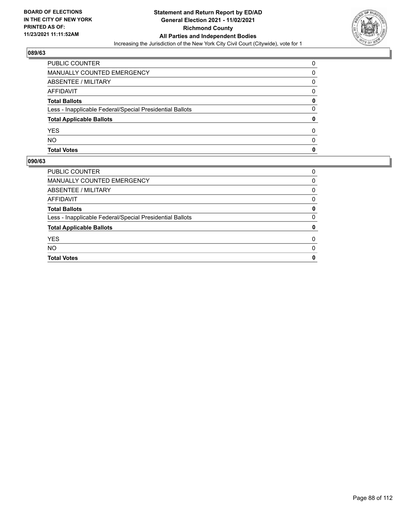

| PUBLIC COUNTER                                           | ŋ |
|----------------------------------------------------------|---|
| MANUALLY COUNTED EMERGENCY                               | 0 |
| ABSENTEE / MILITARY                                      | 0 |
| AFFIDAVIT                                                | O |
| <b>Total Ballots</b>                                     | 0 |
| Less - Inapplicable Federal/Special Presidential Ballots | 0 |
| <b>Total Applicable Ballots</b>                          |   |
| <b>YES</b>                                               | 0 |
| <b>NO</b>                                                | O |
| <b>Total Votes</b>                                       | 0 |

| <b>PUBLIC COUNTER</b>                                    | 0 |
|----------------------------------------------------------|---|
| MANUALLY COUNTED EMERGENCY                               | 0 |
| ABSENTEE / MILITARY                                      | 0 |
| AFFIDAVIT                                                | 0 |
| <b>Total Ballots</b>                                     | 0 |
| Less - Inapplicable Federal/Special Presidential Ballots | 0 |
| <b>Total Applicable Ballots</b>                          | 0 |
| <b>YES</b>                                               | 0 |
| <b>NO</b>                                                | 0 |
| <b>Total Votes</b>                                       | 0 |
|                                                          |   |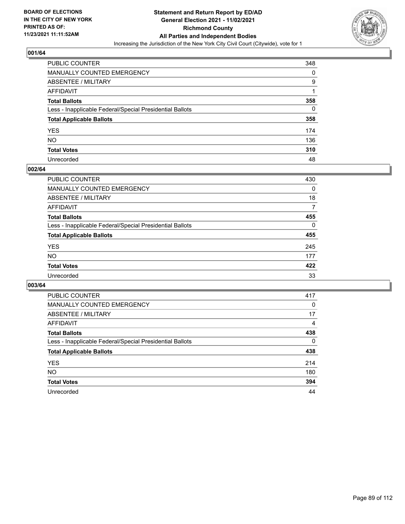

| PUBLIC COUNTER                                           | 348 |
|----------------------------------------------------------|-----|
| MANUALLY COUNTED EMERGENCY                               | 0   |
| ABSENTEE / MILITARY                                      | 9   |
| AFFIDAVIT                                                |     |
| Total Ballots                                            | 358 |
| Less - Inapplicable Federal/Special Presidential Ballots | 0   |
| <b>Total Applicable Ballots</b>                          | 358 |
| YES                                                      | 174 |
| NO.                                                      | 136 |
| <b>Total Votes</b>                                       | 310 |
| Unrecorded                                               | 48  |

#### **002/64**

| PUBLIC COUNTER                                           | 430      |
|----------------------------------------------------------|----------|
| MANUALLY COUNTED EMERGENCY                               | 0        |
| ABSENTEE / MILITARY                                      | 18       |
| AFFIDAVIT                                                | 7        |
| <b>Total Ballots</b>                                     | 455      |
| Less - Inapplicable Federal/Special Presidential Ballots | $\Omega$ |
| <b>Total Applicable Ballots</b>                          | 455      |
| <b>YES</b>                                               | 245      |
| <b>NO</b>                                                | 177      |
| <b>Total Votes</b>                                       | 422      |
| Unrecorded                                               | 33       |

| <b>PUBLIC COUNTER</b>                                    | 417      |
|----------------------------------------------------------|----------|
| <b>MANUALLY COUNTED EMERGENCY</b>                        | 0        |
| ABSENTEE / MILITARY                                      | 17       |
| AFFIDAVIT                                                | 4        |
| <b>Total Ballots</b>                                     | 438      |
| Less - Inapplicable Federal/Special Presidential Ballots | $\Omega$ |
| <b>Total Applicable Ballots</b>                          | 438      |
| <b>YES</b>                                               | 214      |
| <b>NO</b>                                                | 180      |
| <b>Total Votes</b>                                       | 394      |
| Unrecorded                                               | 44       |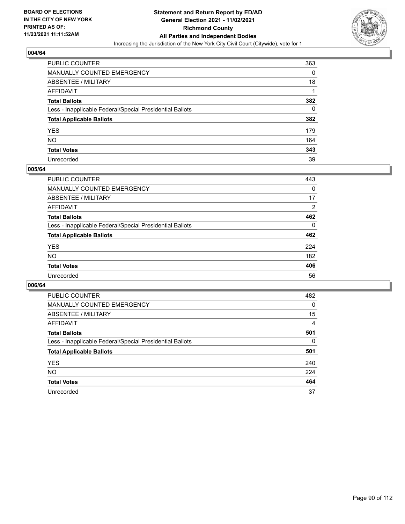

| PUBLIC COUNTER                                           | 363 |
|----------------------------------------------------------|-----|
| MANUALLY COUNTED EMERGENCY                               | 0   |
| ABSENTEE / MILITARY                                      | 18  |
| AFFIDAVIT                                                |     |
| <b>Total Ballots</b>                                     | 382 |
| Less - Inapplicable Federal/Special Presidential Ballots | 0   |
| <b>Total Applicable Ballots</b>                          | 382 |
| YES                                                      | 179 |
| NO.                                                      | 164 |
| <b>Total Votes</b>                                       | 343 |
| Unrecorded                                               | 39  |

#### **005/64**

| <b>PUBLIC COUNTER</b>                                    | 443            |
|----------------------------------------------------------|----------------|
| <b>MANUALLY COUNTED EMERGENCY</b>                        | $\Omega$       |
| ABSENTEE / MILITARY                                      | 17             |
| AFFIDAVIT                                                | $\overline{2}$ |
| <b>Total Ballots</b>                                     | 462            |
| Less - Inapplicable Federal/Special Presidential Ballots | $\Omega$       |
| <b>Total Applicable Ballots</b>                          | 462            |
| <b>YES</b>                                               | 224            |
| <b>NO</b>                                                | 182            |
| <b>Total Votes</b>                                       | 406            |
| Unrecorded                                               | 56             |

| <b>PUBLIC COUNTER</b>                                    | 482      |
|----------------------------------------------------------|----------|
| <b>MANUALLY COUNTED EMERGENCY</b>                        | $\Omega$ |
| ABSENTEE / MILITARY                                      | 15       |
| AFFIDAVIT                                                | 4        |
| <b>Total Ballots</b>                                     | 501      |
| Less - Inapplicable Federal/Special Presidential Ballots | $\Omega$ |
| <b>Total Applicable Ballots</b>                          | 501      |
| <b>YES</b>                                               | 240      |
| <b>NO</b>                                                | 224      |
| <b>Total Votes</b>                                       | 464      |
| Unrecorded                                               | 37       |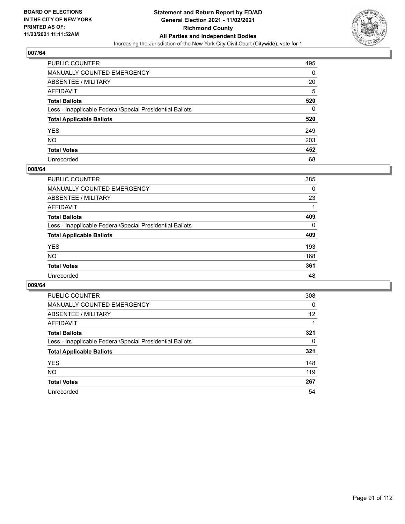

| PUBLIC COUNTER                                           | 495 |
|----------------------------------------------------------|-----|
| MANUALLY COUNTED EMERGENCY                               | 0   |
| ABSENTEE / MILITARY                                      | 20  |
| AFFIDAVIT                                                | 5   |
| <b>Total Ballots</b>                                     | 520 |
| Less - Inapplicable Federal/Special Presidential Ballots | 0   |
| <b>Total Applicable Ballots</b>                          | 520 |
| YES                                                      | 249 |
| NO.                                                      | 203 |
| <b>Total Votes</b>                                       | 452 |
| Unrecorded                                               | 68  |

#### **008/64**

| <b>PUBLIC COUNTER</b>                                    | 385      |
|----------------------------------------------------------|----------|
| <b>MANUALLY COUNTED EMERGENCY</b>                        | $\Omega$ |
| <b>ABSENTEE / MILITARY</b>                               | 23       |
| AFFIDAVIT                                                |          |
| <b>Total Ballots</b>                                     | 409      |
| Less - Inapplicable Federal/Special Presidential Ballots | $\Omega$ |
| <b>Total Applicable Ballots</b>                          | 409      |
| <b>YES</b>                                               | 193      |
| NO                                                       | 168      |
| <b>Total Votes</b>                                       | 361      |
| Unrecorded                                               | 48       |

| <b>PUBLIC COUNTER</b>                                    | 308      |
|----------------------------------------------------------|----------|
| <b>MANUALLY COUNTED EMERGENCY</b>                        | 0        |
| ABSENTEE / MILITARY                                      | 12       |
| AFFIDAVIT                                                |          |
| <b>Total Ballots</b>                                     | 321      |
| Less - Inapplicable Federal/Special Presidential Ballots | $\Omega$ |
| <b>Total Applicable Ballots</b>                          | 321      |
| <b>YES</b>                                               | 148      |
| NO.                                                      | 119      |
| <b>Total Votes</b>                                       | 267      |
| Unrecorded                                               | 54       |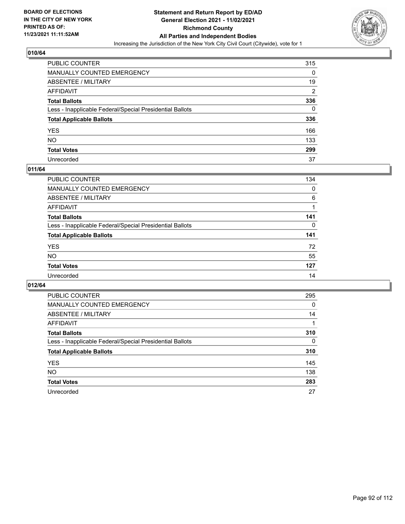

| PUBLIC COUNTER                                           | 315            |
|----------------------------------------------------------|----------------|
| MANUALLY COUNTED EMERGENCY                               | 0              |
| ABSENTEE / MILITARY                                      | 19             |
| AFFIDAVIT                                                | $\overline{2}$ |
| Total Ballots                                            | 336            |
| Less - Inapplicable Federal/Special Presidential Ballots | 0              |
| <b>Total Applicable Ballots</b>                          | 336            |
| YES                                                      | 166            |
| NO.                                                      | 133            |
| <b>Total Votes</b>                                       | 299            |
| Unrecorded                                               | 37             |

# **011/64**

| <b>PUBLIC COUNTER</b>                                    | 134      |
|----------------------------------------------------------|----------|
| MANUALLY COUNTED EMERGENCY                               | 0        |
| ABSENTEE / MILITARY                                      | 6        |
| AFFIDAVIT                                                |          |
| <b>Total Ballots</b>                                     | 141      |
| Less - Inapplicable Federal/Special Presidential Ballots | $\Omega$ |
| <b>Total Applicable Ballots</b>                          | 141      |
| <b>YES</b>                                               | 72       |
| <b>NO</b>                                                | 55       |
| <b>Total Votes</b>                                       | 127      |
| Unrecorded                                               | 14       |

| <b>PUBLIC COUNTER</b>                                    | 295      |
|----------------------------------------------------------|----------|
| <b>MANUALLY COUNTED EMERGENCY</b>                        | 0        |
| ABSENTEE / MILITARY                                      | 14       |
| AFFIDAVIT                                                |          |
| <b>Total Ballots</b>                                     | 310      |
| Less - Inapplicable Federal/Special Presidential Ballots | $\Omega$ |
| <b>Total Applicable Ballots</b>                          | 310      |
| <b>YES</b>                                               | 145      |
| <b>NO</b>                                                | 138      |
| <b>Total Votes</b>                                       | 283      |
| Unrecorded                                               | 27       |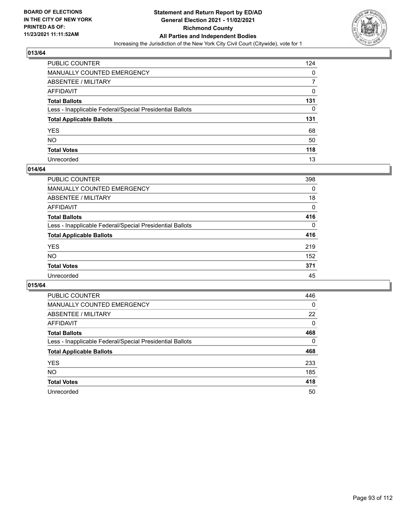

| PUBLIC COUNTER                                           | 124 |
|----------------------------------------------------------|-----|
| MANUALLY COUNTED EMERGENCY                               | 0   |
| ABSENTEE / MILITARY                                      |     |
| AFFIDAVIT                                                | 0   |
| Total Ballots                                            | 131 |
| Less - Inapplicable Federal/Special Presidential Ballots | 0   |
| <b>Total Applicable Ballots</b>                          | 131 |
| YES                                                      | 68  |
| NO.                                                      | 50  |
| <b>Total Votes</b>                                       | 118 |
| Unrecorded                                               | 13  |

#### **014/64**

| <b>PUBLIC COUNTER</b>                                    | 398      |
|----------------------------------------------------------|----------|
| <b>MANUALLY COUNTED EMERGENCY</b>                        | 0        |
| ABSENTEE / MILITARY                                      | 18       |
| AFFIDAVIT                                                | $\Omega$ |
| <b>Total Ballots</b>                                     | 416      |
| Less - Inapplicable Federal/Special Presidential Ballots | $\Omega$ |
| <b>Total Applicable Ballots</b>                          | 416      |
| <b>YES</b>                                               | 219      |
| <b>NO</b>                                                | 152      |
| <b>Total Votes</b>                                       | 371      |
| Unrecorded                                               | 45       |

| <b>PUBLIC COUNTER</b>                                    | 446      |
|----------------------------------------------------------|----------|
| MANUALLY COUNTED EMERGENCY                               | $\Omega$ |
| ABSENTEE / MILITARY                                      | 22       |
| AFFIDAVIT                                                | $\Omega$ |
| <b>Total Ballots</b>                                     | 468      |
| Less - Inapplicable Federal/Special Presidential Ballots | 0        |
| <b>Total Applicable Ballots</b>                          | 468      |
| <b>YES</b>                                               | 233      |
| NO.                                                      | 185      |
| <b>Total Votes</b>                                       | 418      |
| Unrecorded                                               | 50       |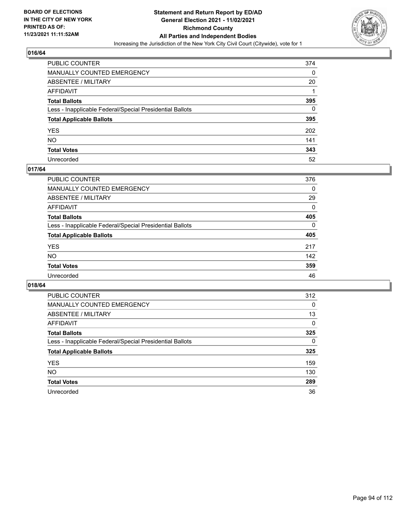

| PUBLIC COUNTER                                           | 374 |
|----------------------------------------------------------|-----|
| MANUALLY COUNTED EMERGENCY                               | 0   |
| ABSENTEE / MILITARY                                      | 20  |
| AFFIDAVIT                                                |     |
| Total Ballots                                            | 395 |
| Less - Inapplicable Federal/Special Presidential Ballots | 0   |
| <b>Total Applicable Ballots</b>                          | 395 |
| YES                                                      | 202 |
| NO.                                                      | 141 |
| <b>Total Votes</b>                                       | 343 |
| Unrecorded                                               | 52  |

#### **017/64**

| PUBLIC COUNTER                                           | 376      |
|----------------------------------------------------------|----------|
| <b>MANUALLY COUNTED EMERGENCY</b>                        | $\Omega$ |
| ABSENTEE / MILITARY                                      | 29       |
| AFFIDAVIT                                                | 0        |
| <b>Total Ballots</b>                                     | 405      |
| Less - Inapplicable Federal/Special Presidential Ballots | $\Omega$ |
| <b>Total Applicable Ballots</b>                          | 405      |
| <b>YES</b>                                               | 217      |
| <b>NO</b>                                                | 142      |
| <b>Total Votes</b>                                       | 359      |
| Unrecorded                                               | 46       |

| <b>PUBLIC COUNTER</b>                                    | 312      |
|----------------------------------------------------------|----------|
| <b>MANUALLY COUNTED EMERGENCY</b>                        | 0        |
| ABSENTEE / MILITARY                                      | 13       |
| AFFIDAVIT                                                | $\Omega$ |
| <b>Total Ballots</b>                                     | 325      |
| Less - Inapplicable Federal/Special Presidential Ballots | $\Omega$ |
| <b>Total Applicable Ballots</b>                          | 325      |
| <b>YES</b>                                               | 159      |
| <b>NO</b>                                                | 130      |
| <b>Total Votes</b>                                       | 289      |
| Unrecorded                                               | 36       |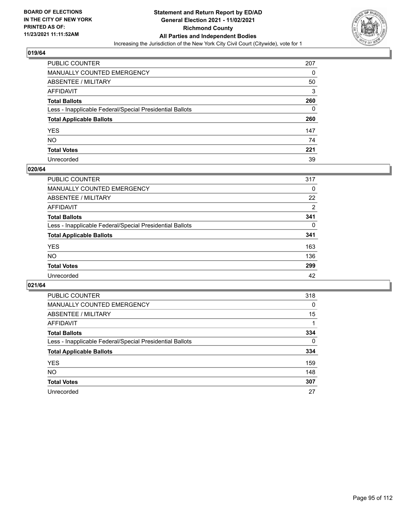

| PUBLIC COUNTER                                           | 207 |
|----------------------------------------------------------|-----|
| MANUALLY COUNTED EMERGENCY                               | 0   |
| ABSENTEE / MILITARY                                      | 50  |
| AFFIDAVIT                                                | 3   |
| Total Ballots                                            | 260 |
| Less - Inapplicable Federal/Special Presidential Ballots | 0   |
| <b>Total Applicable Ballots</b>                          | 260 |
| YES                                                      | 147 |
| NO.                                                      | 74  |
| <b>Total Votes</b>                                       | 221 |
| Unrecorded                                               | 39  |

#### **020/64**

| PUBLIC COUNTER                                           | 317      |
|----------------------------------------------------------|----------|
| MANUALLY COUNTED EMERGENCY                               | 0        |
| ABSENTEE / MILITARY                                      | 22       |
| AFFIDAVIT                                                | 2        |
| <b>Total Ballots</b>                                     | 341      |
| Less - Inapplicable Federal/Special Presidential Ballots | $\Omega$ |
| <b>Total Applicable Ballots</b>                          | 341      |
| <b>YES</b>                                               | 163      |
| <b>NO</b>                                                | 136      |
| <b>Total Votes</b>                                       | 299      |
| Unrecorded                                               | 42       |

| <b>PUBLIC COUNTER</b>                                    | 318      |
|----------------------------------------------------------|----------|
| <b>MANUALLY COUNTED EMERGENCY</b>                        | $\Omega$ |
| ABSENTEE / MILITARY                                      | 15       |
| AFFIDAVIT                                                |          |
| <b>Total Ballots</b>                                     | 334      |
| Less - Inapplicable Federal/Special Presidential Ballots | $\Omega$ |
| <b>Total Applicable Ballots</b>                          | 334      |
| <b>YES</b>                                               | 159      |
| <b>NO</b>                                                | 148      |
| <b>Total Votes</b>                                       | 307      |
| Unrecorded                                               | 27       |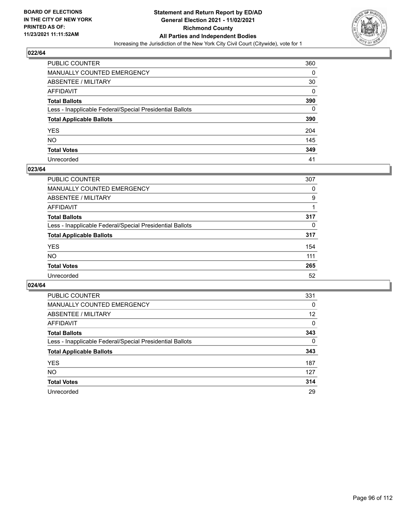

| PUBLIC COUNTER                                           | 360 |
|----------------------------------------------------------|-----|
| MANUALLY COUNTED EMERGENCY                               | 0   |
| ABSENTEE / MILITARY                                      | 30  |
| AFFIDAVIT                                                | 0   |
| Total Ballots                                            | 390 |
| Less - Inapplicable Federal/Special Presidential Ballots | 0   |
| <b>Total Applicable Ballots</b>                          | 390 |
| YES                                                      | 204 |
| NO.                                                      | 145 |
| <b>Total Votes</b>                                       | 349 |
| Unrecorded                                               | 41  |

#### **023/64**

| <b>PUBLIC COUNTER</b>                                    | 307      |
|----------------------------------------------------------|----------|
| MANUALLY COUNTED EMERGENCY                               | 0        |
| ABSENTEE / MILITARY                                      | 9        |
| AFFIDAVIT                                                |          |
| <b>Total Ballots</b>                                     | 317      |
| Less - Inapplicable Federal/Special Presidential Ballots | $\Omega$ |
| <b>Total Applicable Ballots</b>                          | 317      |
| <b>YES</b>                                               | 154      |
| <b>NO</b>                                                | 111      |
| <b>Total Votes</b>                                       | 265      |
| Unrecorded                                               | 52       |

| <b>PUBLIC COUNTER</b>                                    | 331      |
|----------------------------------------------------------|----------|
| MANUALLY COUNTED EMERGENCY                               | 0        |
| ABSENTEE / MILITARY                                      | 12       |
| AFFIDAVIT                                                | 0        |
| <b>Total Ballots</b>                                     | 343      |
| Less - Inapplicable Federal/Special Presidential Ballots | $\Omega$ |
| <b>Total Applicable Ballots</b>                          | 343      |
| <b>YES</b>                                               | 187      |
| NO.                                                      | 127      |
| <b>Total Votes</b>                                       | 314      |
| Unrecorded                                               | 29       |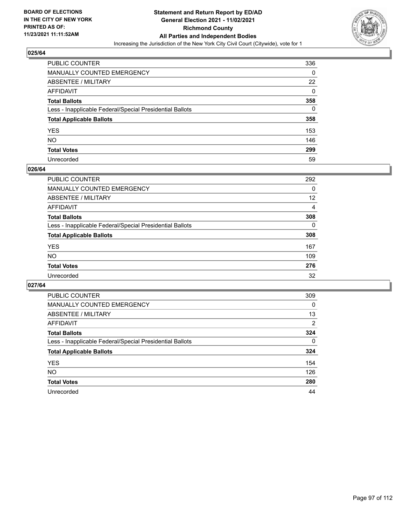

| PUBLIC COUNTER                                           | 336               |
|----------------------------------------------------------|-------------------|
| MANUALLY COUNTED EMERGENCY                               | 0                 |
| ABSENTEE / MILITARY                                      | $22 \overline{ }$ |
| AFFIDAVIT                                                | 0                 |
| Total Ballots                                            | 358               |
| Less - Inapplicable Federal/Special Presidential Ballots | $\Omega$          |
| <b>Total Applicable Ballots</b>                          | 358               |
| YES                                                      | 153               |
| NO.                                                      | 146               |
| <b>Total Votes</b>                                       | 299               |
| Unrecorded                                               | 59                |

#### **026/64**

| <b>PUBLIC COUNTER</b>                                    | 292      |
|----------------------------------------------------------|----------|
| <b>MANUALLY COUNTED EMERGENCY</b>                        | $\Omega$ |
| <b>ABSENTEE / MILITARY</b>                               | 12       |
| AFFIDAVIT                                                | 4        |
| <b>Total Ballots</b>                                     | 308      |
| Less - Inapplicable Federal/Special Presidential Ballots | $\Omega$ |
| <b>Total Applicable Ballots</b>                          | 308      |
| <b>YES</b>                                               | 167      |
| NO                                                       | 109      |
| <b>Total Votes</b>                                       | 276      |
| Unrecorded                                               | 32       |

| <b>PUBLIC COUNTER</b>                                    | 309            |
|----------------------------------------------------------|----------------|
| MANUALLY COUNTED EMERGENCY                               | 0              |
| ABSENTEE / MILITARY                                      | 13             |
| AFFIDAVIT                                                | $\overline{2}$ |
| <b>Total Ballots</b>                                     | 324            |
| Less - Inapplicable Federal/Special Presidential Ballots | $\Omega$       |
| <b>Total Applicable Ballots</b>                          | 324            |
| <b>YES</b>                                               | 154            |
| <b>NO</b>                                                | 126            |
| <b>Total Votes</b>                                       | 280            |
| Unrecorded                                               | 44             |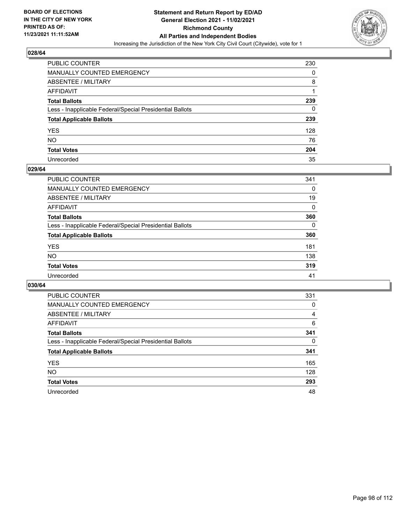

| PUBLIC COUNTER                                           | 230 |
|----------------------------------------------------------|-----|
| MANUALLY COUNTED EMERGENCY                               | 0   |
| ABSENTEE / MILITARY                                      | 8   |
| AFFIDAVIT                                                |     |
| Total Ballots                                            | 239 |
| Less - Inapplicable Federal/Special Presidential Ballots | 0   |
| <b>Total Applicable Ballots</b>                          | 239 |
| YES                                                      | 128 |
| NO.                                                      | 76  |
| <b>Total Votes</b>                                       | 204 |
| Unrecorded                                               | 35  |

#### **029/64**

| <b>PUBLIC COUNTER</b>                                    | 341      |
|----------------------------------------------------------|----------|
| <b>MANUALLY COUNTED EMERGENCY</b>                        | 0        |
| ABSENTEE / MILITARY                                      | 19       |
| AFFIDAVIT                                                | $\Omega$ |
| <b>Total Ballots</b>                                     | 360      |
| Less - Inapplicable Federal/Special Presidential Ballots | 0        |
| <b>Total Applicable Ballots</b>                          | 360      |
| <b>YES</b>                                               | 181      |
| <b>NO</b>                                                | 138      |
| <b>Total Votes</b>                                       | 319      |
| Unrecorded                                               | 41       |

| <b>PUBLIC COUNTER</b>                                    | 331      |
|----------------------------------------------------------|----------|
| <b>MANUALLY COUNTED EMERGENCY</b>                        | 0        |
| ABSENTEE / MILITARY                                      | 4        |
| AFFIDAVIT                                                | 6        |
| <b>Total Ballots</b>                                     | 341      |
| Less - Inapplicable Federal/Special Presidential Ballots | $\Omega$ |
| <b>Total Applicable Ballots</b>                          | 341      |
| <b>YES</b>                                               | 165      |
| <b>NO</b>                                                | 128      |
| <b>Total Votes</b>                                       | 293      |
| Unrecorded                                               | 48       |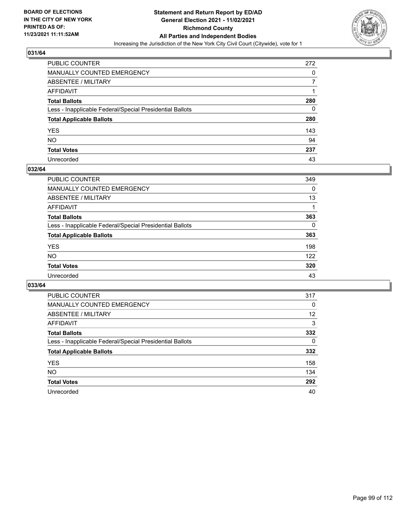

| PUBLIC COUNTER                                           | 272 |
|----------------------------------------------------------|-----|
| MANUALLY COUNTED EMERGENCY                               | 0   |
| ABSENTEE / MILITARY                                      | 7   |
| AFFIDAVIT                                                |     |
| Total Ballots                                            | 280 |
| Less - Inapplicable Federal/Special Presidential Ballots | 0   |
| <b>Total Applicable Ballots</b>                          | 280 |
| YES                                                      | 143 |
| NO.                                                      | 94  |
| <b>Total Votes</b>                                       | 237 |
| Unrecorded                                               | 43  |

#### **032/64**

| PUBLIC COUNTER                                           | 349      |
|----------------------------------------------------------|----------|
| MANUALLY COUNTED EMERGENCY                               | 0        |
| ABSENTEE / MILITARY                                      | 13       |
| AFFIDAVIT                                                |          |
| <b>Total Ballots</b>                                     | 363      |
| Less - Inapplicable Federal/Special Presidential Ballots | $\Omega$ |
| <b>Total Applicable Ballots</b>                          | 363      |
| <b>YES</b>                                               | 198      |
| <b>NO</b>                                                | 122      |
| <b>Total Votes</b>                                       | 320      |
| Unrecorded                                               | 43       |

| <b>PUBLIC COUNTER</b>                                    | 317      |
|----------------------------------------------------------|----------|
| MANUALLY COUNTED EMERGENCY                               | 0        |
| ABSENTEE / MILITARY                                      | 12       |
| AFFIDAVIT                                                | 3        |
| <b>Total Ballots</b>                                     | 332      |
| Less - Inapplicable Federal/Special Presidential Ballots | $\Omega$ |
| <b>Total Applicable Ballots</b>                          | 332      |
| <b>YES</b>                                               | 158      |
| <b>NO</b>                                                | 134      |
| <b>Total Votes</b>                                       | 292      |
| Unrecorded                                               | 40       |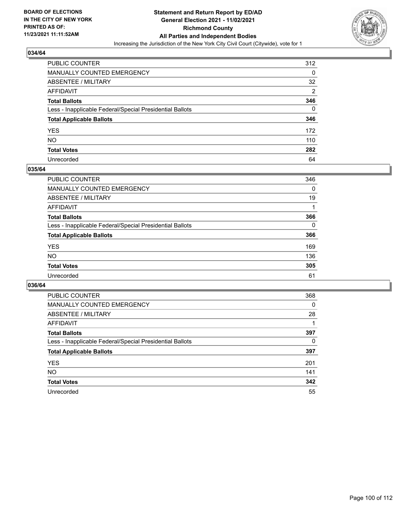

| PUBLIC COUNTER                                           | 312            |
|----------------------------------------------------------|----------------|
| MANUALLY COUNTED EMERGENCY                               | 0              |
| <b>ABSENTEE / MILITARY</b>                               | 32             |
| AFFIDAVIT                                                | $\overline{2}$ |
| <b>Total Ballots</b>                                     | 346            |
| Less - Inapplicable Federal/Special Presidential Ballots | 0              |
| <b>Total Applicable Ballots</b>                          | 346            |
| YES                                                      | 172            |
| NO.                                                      | 110            |
| <b>Total Votes</b>                                       | 282            |
| Unrecorded                                               | 64             |

#### **035/64**

| PUBLIC COUNTER                                           | 346      |
|----------------------------------------------------------|----------|
| <b>MANUALLY COUNTED EMERGENCY</b>                        | $\Omega$ |
| ABSENTEE / MILITARY                                      | 19       |
| AFFIDAVIT                                                |          |
| <b>Total Ballots</b>                                     | 366      |
| Less - Inapplicable Federal/Special Presidential Ballots | $\Omega$ |
| <b>Total Applicable Ballots</b>                          | 366      |
| <b>YES</b>                                               | 169      |
| <b>NO</b>                                                | 136      |
| <b>Total Votes</b>                                       | 305      |
| Unrecorded                                               | 61       |

| <b>PUBLIC COUNTER</b>                                    | 368 |
|----------------------------------------------------------|-----|
| MANUALLY COUNTED EMERGENCY                               | 0   |
| ABSENTEE / MILITARY                                      | 28  |
| AFFIDAVIT                                                |     |
| <b>Total Ballots</b>                                     | 397 |
| Less - Inapplicable Federal/Special Presidential Ballots | 0   |
| <b>Total Applicable Ballots</b>                          | 397 |
| <b>YES</b>                                               | 201 |
| <b>NO</b>                                                | 141 |
| <b>Total Votes</b>                                       | 342 |
| Unrecorded                                               | 55  |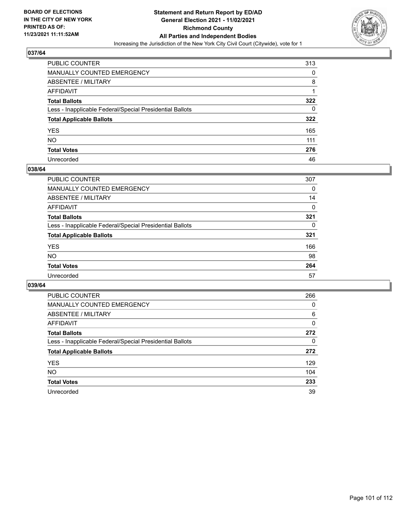

| PUBLIC COUNTER                                           | 313 |
|----------------------------------------------------------|-----|
| <b>MANUALLY COUNTED EMERGENCY</b>                        | 0   |
| <b>ABSENTEE / MILITARY</b>                               | 8   |
| AFFIDAVIT                                                |     |
| <b>Total Ballots</b>                                     | 322 |
| Less - Inapplicable Federal/Special Presidential Ballots | 0   |
| <b>Total Applicable Ballots</b>                          | 322 |
| YES                                                      | 165 |
| NO.                                                      | 111 |
| <b>Total Votes</b>                                       | 276 |
| Unrecorded                                               | 46  |

#### **038/64**

| <b>PUBLIC COUNTER</b>                                    | 307 |
|----------------------------------------------------------|-----|
| <b>MANUALLY COUNTED EMERGENCY</b>                        | 0   |
| ABSENTEE / MILITARY                                      | 14  |
| AFFIDAVIT                                                | 0   |
| <b>Total Ballots</b>                                     | 321 |
| Less - Inapplicable Federal/Special Presidential Ballots | 0   |
| <b>Total Applicable Ballots</b>                          | 321 |
| <b>YES</b>                                               | 166 |
| <b>NO</b>                                                | 98  |
| <b>Total Votes</b>                                       | 264 |
| Unrecorded                                               | 57  |

| <b>PUBLIC COUNTER</b>                                    | 266      |
|----------------------------------------------------------|----------|
| MANUALLY COUNTED EMERGENCY                               | 0        |
| ABSENTEE / MILITARY                                      | 6        |
| AFFIDAVIT                                                | $\Omega$ |
| <b>Total Ballots</b>                                     | 272      |
| Less - Inapplicable Federal/Special Presidential Ballots | 0        |
| <b>Total Applicable Ballots</b>                          | 272      |
| <b>YES</b>                                               | 129      |
| <b>NO</b>                                                | 104      |
| <b>Total Votes</b>                                       | 233      |
| Unrecorded                                               | 39       |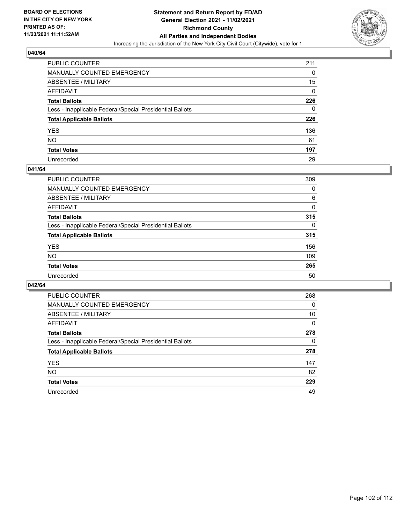

| PUBLIC COUNTER                                           | 211      |
|----------------------------------------------------------|----------|
| <b>MANUALLY COUNTED EMERGENCY</b>                        | 0        |
| <b>ABSENTEE / MILITARY</b>                               | 15       |
| <b>AFFIDAVIT</b>                                         | $\Omega$ |
| <b>Total Ballots</b>                                     | 226      |
| Less - Inapplicable Federal/Special Presidential Ballots | 0        |
| <b>Total Applicable Ballots</b>                          | 226      |
| <b>YES</b>                                               | 136      |
| <b>NO</b>                                                | 61       |
| <b>Total Votes</b>                                       | 197      |
| Unrecorded                                               | 29       |

#### **041/64**

| <b>PUBLIC COUNTER</b>                                    | 309      |
|----------------------------------------------------------|----------|
| MANUALLY COUNTED EMERGENCY                               | 0        |
| ABSENTEE / MILITARY                                      | 6        |
| AFFIDAVIT                                                | 0        |
| <b>Total Ballots</b>                                     | 315      |
| Less - Inapplicable Federal/Special Presidential Ballots | $\Omega$ |
| <b>Total Applicable Ballots</b>                          | 315      |
| <b>YES</b>                                               | 156      |
| <b>NO</b>                                                | 109      |
| <b>Total Votes</b>                                       | 265      |
| Unrecorded                                               | 50       |

| <b>PUBLIC COUNTER</b>                                    | 268      |
|----------------------------------------------------------|----------|
| <b>MANUALLY COUNTED EMERGENCY</b>                        | 0        |
| ABSENTEE / MILITARY                                      | 10       |
| AFFIDAVIT                                                | $\Omega$ |
| <b>Total Ballots</b>                                     | 278      |
| Less - Inapplicable Federal/Special Presidential Ballots | $\Omega$ |
| <b>Total Applicable Ballots</b>                          | 278      |
| <b>YES</b>                                               | 147      |
| <b>NO</b>                                                | 82       |
| <b>Total Votes</b>                                       | 229      |
| Unrecorded                                               | 49       |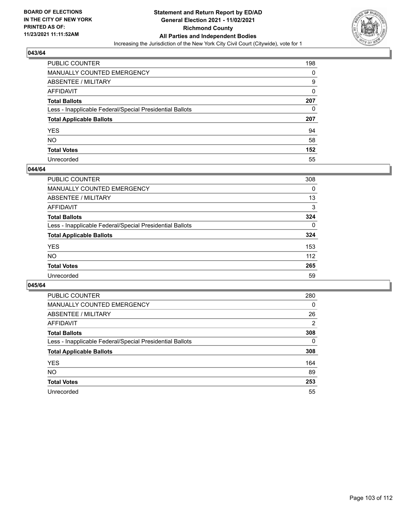

| PUBLIC COUNTER                                           | 198 |
|----------------------------------------------------------|-----|
| MANUALLY COUNTED EMERGENCY                               | 0   |
| <b>ABSENTEE / MILITARY</b>                               | 9   |
| AFFIDAVIT                                                | 0   |
| <b>Total Ballots</b>                                     | 207 |
| Less - Inapplicable Federal/Special Presidential Ballots | 0   |
| <b>Total Applicable Ballots</b>                          | 207 |
| YES                                                      | 94  |
| NO.                                                      | 58  |
| <b>Total Votes</b>                                       | 152 |
| Unrecorded                                               | 55  |

#### **044/64**

| <b>PUBLIC COUNTER</b>                                    | 308      |
|----------------------------------------------------------|----------|
| MANUALLY COUNTED EMERGENCY                               | 0        |
| ABSENTEE / MILITARY                                      | 13       |
| AFFIDAVIT                                                | 3        |
| <b>Total Ballots</b>                                     | 324      |
| Less - Inapplicable Federal/Special Presidential Ballots | $\Omega$ |
| <b>Total Applicable Ballots</b>                          | 324      |
| <b>YES</b>                                               | 153      |
| <b>NO</b>                                                | 112      |
| <b>Total Votes</b>                                       | 265      |
| Unrecorded                                               | 59       |

| <b>PUBLIC COUNTER</b>                                    | 280      |
|----------------------------------------------------------|----------|
| MANUALLY COUNTED EMERGENCY                               | 0        |
| ABSENTEE / MILITARY                                      | 26       |
| AFFIDAVIT                                                | 2        |
| <b>Total Ballots</b>                                     | 308      |
| Less - Inapplicable Federal/Special Presidential Ballots | $\Omega$ |
| <b>Total Applicable Ballots</b>                          | 308      |
| <b>YES</b>                                               | 164      |
| <b>NO</b>                                                | 89       |
| <b>Total Votes</b>                                       | 253      |
| Unrecorded                                               | 55       |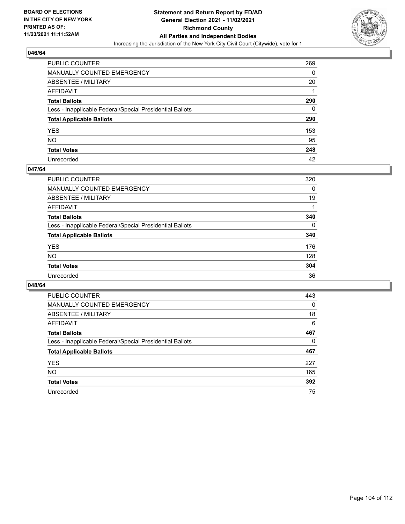

| PUBLIC COUNTER                                           | 269 |
|----------------------------------------------------------|-----|
| MANUALLY COUNTED EMERGENCY                               | 0   |
| ABSENTEE / MILITARY                                      | 20  |
| AFFIDAVIT                                                |     |
| <b>Total Ballots</b>                                     | 290 |
| Less - Inapplicable Federal/Special Presidential Ballots | 0   |
| <b>Total Applicable Ballots</b>                          | 290 |
| YES                                                      | 153 |
| NO.                                                      | 95  |
| <b>Total Votes</b>                                       | 248 |
| Unrecorded                                               | 42  |

#### **047/64**

| <b>PUBLIC COUNTER</b>                                    | 320      |
|----------------------------------------------------------|----------|
| <b>MANUALLY COUNTED EMERGENCY</b>                        | 0        |
| ABSENTEE / MILITARY                                      | 19       |
| AFFIDAVIT                                                |          |
| <b>Total Ballots</b>                                     | 340      |
| Less - Inapplicable Federal/Special Presidential Ballots | $\Omega$ |
| <b>Total Applicable Ballots</b>                          | 340      |
| <b>YES</b>                                               | 176      |
| <b>NO</b>                                                | 128      |
| <b>Total Votes</b>                                       | 304      |
| Unrecorded                                               | 36       |

| <b>PUBLIC COUNTER</b>                                    | 443      |
|----------------------------------------------------------|----------|
| MANUALLY COUNTED EMERGENCY                               | 0        |
| ABSENTEE / MILITARY                                      | 18       |
| AFFIDAVIT                                                | 6        |
| <b>Total Ballots</b>                                     | 467      |
| Less - Inapplicable Federal/Special Presidential Ballots | $\Omega$ |
| <b>Total Applicable Ballots</b>                          | 467      |
| <b>YES</b>                                               | 227      |
| <b>NO</b>                                                | 165      |
| <b>Total Votes</b>                                       | 392      |
| Unrecorded                                               | 75       |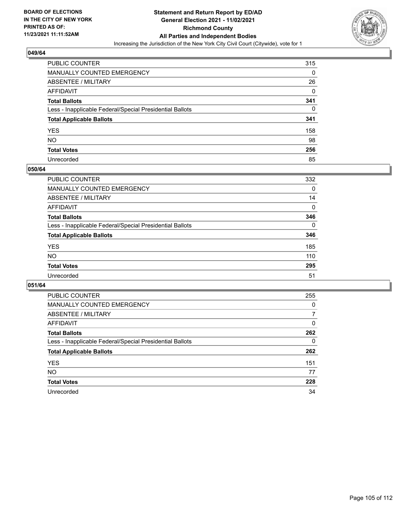

| PUBLIC COUNTER                                           | 315 |
|----------------------------------------------------------|-----|
| MANUALLY COUNTED EMERGENCY                               | 0   |
| ABSENTEE / MILITARY                                      | 26  |
| AFFIDAVIT                                                | 0   |
| <b>Total Ballots</b>                                     | 341 |
| Less - Inapplicable Federal/Special Presidential Ballots | 0   |
| <b>Total Applicable Ballots</b>                          | 341 |
| YES                                                      | 158 |
| NO.                                                      | 98  |
| <b>Total Votes</b>                                       | 256 |
| Unrecorded                                               | 85  |

#### **050/64**

| <b>PUBLIC COUNTER</b>                                    | 332      |
|----------------------------------------------------------|----------|
| MANUALLY COUNTED EMERGENCY                               | 0        |
| ABSENTEE / MILITARY                                      | 14       |
| AFFIDAVIT                                                | $\Omega$ |
| <b>Total Ballots</b>                                     | 346      |
| Less - Inapplicable Federal/Special Presidential Ballots | $\Omega$ |
| <b>Total Applicable Ballots</b>                          | 346      |
| <b>YES</b>                                               | 185      |
| <b>NO</b>                                                | 110      |
| <b>Total Votes</b>                                       | 295      |
| Unrecorded                                               | 51       |

| <b>PUBLIC COUNTER</b>                                    | 255      |
|----------------------------------------------------------|----------|
| <b>MANUALLY COUNTED EMERGENCY</b>                        | $\Omega$ |
| ABSENTEE / MILITARY                                      | 7        |
| AFFIDAVIT                                                | $\Omega$ |
| <b>Total Ballots</b>                                     | 262      |
| Less - Inapplicable Federal/Special Presidential Ballots | 0        |
| <b>Total Applicable Ballots</b>                          | 262      |
| <b>YES</b>                                               | 151      |
| <b>NO</b>                                                | 77       |
| <b>Total Votes</b>                                       | 228      |
| Unrecorded                                               | 34       |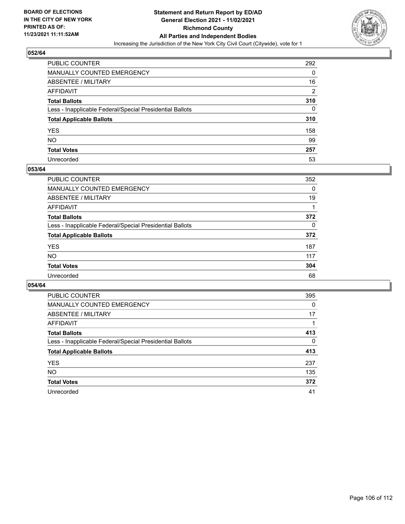

| PUBLIC COUNTER                                           | 292            |
|----------------------------------------------------------|----------------|
| <b>MANUALLY COUNTED EMERGENCY</b>                        | 0              |
| <b>ABSENTEE / MILITARY</b>                               | 16             |
| AFFIDAVIT                                                | $\overline{2}$ |
| <b>Total Ballots</b>                                     | 310            |
| Less - Inapplicable Federal/Special Presidential Ballots | 0              |
| <b>Total Applicable Ballots</b>                          | 310            |
| YES                                                      | 158            |
| NO.                                                      | 99             |
| <b>Total Votes</b>                                       | 257            |
| Unrecorded                                               | 53             |

#### **053/64**

| PUBLIC COUNTER                                           | 352      |
|----------------------------------------------------------|----------|
| <b>MANUALLY COUNTED EMERGENCY</b>                        | $\Omega$ |
| ABSENTEE / MILITARY                                      | 19       |
| AFFIDAVIT                                                |          |
| <b>Total Ballots</b>                                     | 372      |
| Less - Inapplicable Federal/Special Presidential Ballots | $\Omega$ |
| <b>Total Applicable Ballots</b>                          | 372      |
| <b>YES</b>                                               | 187      |
| <b>NO</b>                                                | 117      |
| <b>Total Votes</b>                                       | 304      |
| Unrecorded                                               | 68       |

| <b>PUBLIC COUNTER</b>                                    | 395      |
|----------------------------------------------------------|----------|
| MANUALLY COUNTED EMERGENCY                               | 0        |
| ABSENTEE / MILITARY                                      | 17       |
| AFFIDAVIT                                                |          |
| <b>Total Ballots</b>                                     | 413      |
| Less - Inapplicable Federal/Special Presidential Ballots | $\Omega$ |
| <b>Total Applicable Ballots</b>                          | 413      |
| <b>YES</b>                                               | 237      |
| <b>NO</b>                                                | 135      |
| <b>Total Votes</b>                                       | 372      |
| Unrecorded                                               | 41       |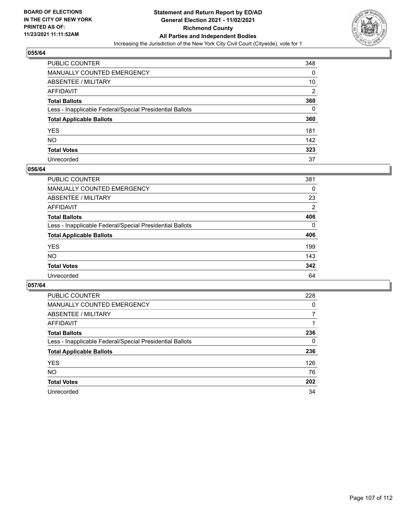

| PUBLIC COUNTER                                           | 348            |
|----------------------------------------------------------|----------------|
| MANUALLY COUNTED EMERGENCY                               | 0              |
| ABSENTEE / MILITARY                                      | 10             |
| AFFIDAVIT                                                | $\overline{2}$ |
| Total Ballots                                            | 360            |
| Less - Inapplicable Federal/Special Presidential Ballots | 0              |
| <b>Total Applicable Ballots</b>                          | 360            |
| YES                                                      | 181            |
| NO.                                                      | 142            |
| <b>Total Votes</b>                                       | 323            |
| Unrecorded                                               | 37             |

#### **056/64**

| <b>PUBLIC COUNTER</b>                                    | 381      |
|----------------------------------------------------------|----------|
| MANUALLY COUNTED EMERGENCY                               | 0        |
| ABSENTEE / MILITARY                                      | 23       |
| AFFIDAVIT                                                | 2        |
| <b>Total Ballots</b>                                     | 406      |
| Less - Inapplicable Federal/Special Presidential Ballots | $\Omega$ |
| <b>Total Applicable Ballots</b>                          | 406      |
| <b>YES</b>                                               | 199      |
| <b>NO</b>                                                | 143      |
| <b>Total Votes</b>                                       | 342      |
| Unrecorded                                               | 64       |

| <b>PUBLIC COUNTER</b>                                    | 228 |
|----------------------------------------------------------|-----|
| <b>MANUALLY COUNTED EMERGENCY</b>                        | 0   |
| ABSENTEE / MILITARY                                      |     |
| AFFIDAVIT                                                |     |
| <b>Total Ballots</b>                                     | 236 |
| Less - Inapplicable Federal/Special Presidential Ballots | 0   |
| <b>Total Applicable Ballots</b>                          | 236 |
| <b>YES</b>                                               | 126 |
| <b>NO</b>                                                | 76  |
| <b>Total Votes</b>                                       | 202 |
| Unrecorded                                               | 34  |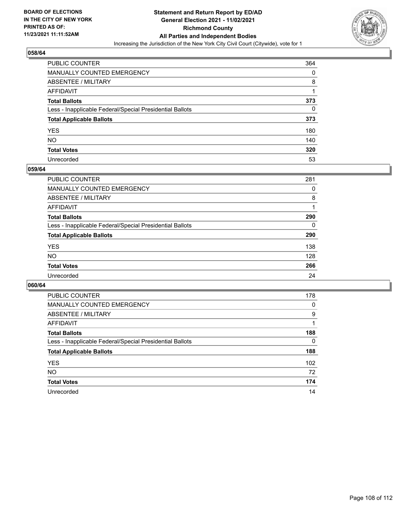

| PUBLIC COUNTER                                           | 364 |
|----------------------------------------------------------|-----|
| MANUALLY COUNTED EMERGENCY                               | 0   |
| ABSENTEE / MILITARY                                      | 8   |
| AFFIDAVIT                                                |     |
| Total Ballots                                            | 373 |
| Less - Inapplicable Federal/Special Presidential Ballots | 0   |
| <b>Total Applicable Ballots</b>                          | 373 |
| YES                                                      | 180 |
| NO.                                                      | 140 |
| <b>Total Votes</b>                                       | 320 |
| Unrecorded                                               | 53  |

#### **059/64**

| <b>PUBLIC COUNTER</b>                                    | 281 |
|----------------------------------------------------------|-----|
| <b>MANUALLY COUNTED EMERGENCY</b>                        | 0   |
| ABSENTEE / MILITARY                                      | 8   |
| AFFIDAVIT                                                |     |
| <b>Total Ballots</b>                                     | 290 |
| Less - Inapplicable Federal/Special Presidential Ballots | 0   |
| <b>Total Applicable Ballots</b>                          | 290 |
| <b>YES</b>                                               | 138 |
| <b>NO</b>                                                | 128 |
| <b>Total Votes</b>                                       | 266 |
| Unrecorded                                               | 24  |

| <b>PUBLIC COUNTER</b>                                    | 178      |
|----------------------------------------------------------|----------|
| <b>MANUALLY COUNTED EMERGENCY</b>                        | 0        |
| ABSENTEE / MILITARY                                      | 9        |
| AFFIDAVIT                                                |          |
| <b>Total Ballots</b>                                     | 188      |
| Less - Inapplicable Federal/Special Presidential Ballots | $\Omega$ |
| <b>Total Applicable Ballots</b>                          | 188      |
| <b>YES</b>                                               | 102      |
| <b>NO</b>                                                | 72       |
| <b>Total Votes</b>                                       | 174      |
| Unrecorded                                               | 14       |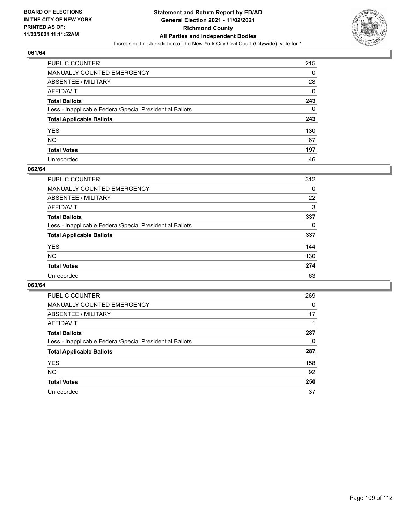

## **061/64**

| PUBLIC COUNTER                                           | 215 |
|----------------------------------------------------------|-----|
| MANUALLY COUNTED EMERGENCY                               | 0   |
| ABSENTEE / MILITARY                                      | 28  |
| AFFIDAVIT                                                | 0   |
| <b>Total Ballots</b>                                     | 243 |
| Less - Inapplicable Federal/Special Presidential Ballots | 0   |
| <b>Total Applicable Ballots</b>                          | 243 |
| YES                                                      | 130 |
| NO.                                                      | 67  |
| <b>Total Votes</b>                                       | 197 |
| Unrecorded                                               | 46  |

### **062/64**

| <b>PUBLIC COUNTER</b>                                    | 312 |
|----------------------------------------------------------|-----|
| <b>MANUALLY COUNTED EMERGENCY</b>                        | 0   |
| ABSENTEE / MILITARY                                      | 22  |
| AFFIDAVIT                                                | 3   |
| <b>Total Ballots</b>                                     | 337 |
| Less - Inapplicable Federal/Special Presidential Ballots | 0   |
| <b>Total Applicable Ballots</b>                          | 337 |
| <b>YES</b>                                               | 144 |
| <b>NO</b>                                                | 130 |
| <b>Total Votes</b>                                       | 274 |
| Unrecorded                                               | 63  |

## **063/64**

| <b>PUBLIC COUNTER</b>                                    | 269      |
|----------------------------------------------------------|----------|
| <b>MANUALLY COUNTED EMERGENCY</b>                        | $\Omega$ |
| ABSENTEE / MILITARY                                      | 17       |
| AFFIDAVIT                                                |          |
| <b>Total Ballots</b>                                     | 287      |
| Less - Inapplicable Federal/Special Presidential Ballots | 0        |
| <b>Total Applicable Ballots</b>                          | 287      |
| <b>YES</b>                                               | 158      |
| <b>NO</b>                                                | 92       |
| <b>Total Votes</b>                                       | 250      |
| Unrecorded                                               | 37       |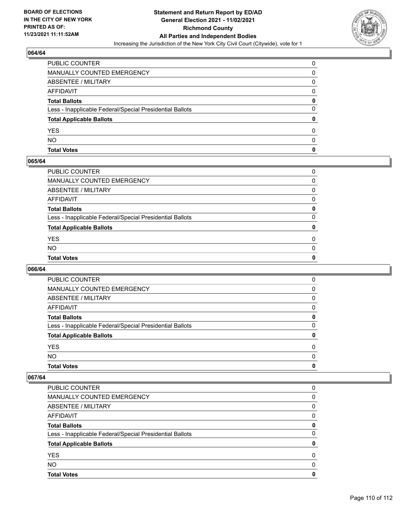

# **064/64**

| PUBLIC COUNTER                                           | 0 |
|----------------------------------------------------------|---|
| <b>MANUALLY COUNTED EMERGENCY</b>                        | 0 |
| ABSENTEE / MILITARY                                      | 0 |
| AFFIDAVIT                                                | 0 |
| <b>Total Ballots</b>                                     | 0 |
| Less - Inapplicable Federal/Special Presidential Ballots | 0 |
| <b>Total Applicable Ballots</b>                          | 0 |
| <b>YES</b>                                               | 0 |
| <b>NO</b>                                                | 0 |
| <b>Total Votes</b>                                       | 0 |

## **065/64**

| PUBLIC COUNTER                                           | 0        |
|----------------------------------------------------------|----------|
| MANUALLY COUNTED EMERGENCY                               | 0        |
| ABSENTEE / MILITARY                                      | $\Omega$ |
| AFFIDAVIT                                                | 0        |
| Total Ballots                                            | 0        |
| Less - Inapplicable Federal/Special Presidential Ballots | $\Omega$ |
| <b>Total Applicable Ballots</b>                          | 0        |
| <b>YES</b>                                               | $\Omega$ |
| NO.                                                      | $\Omega$ |
| <b>Total Votes</b>                                       | 0        |
|                                                          |          |

# **066/64**

| <b>Total Votes</b>                                       | 0        |
|----------------------------------------------------------|----------|
| <b>NO</b>                                                | $\Omega$ |
| <b>YES</b>                                               | 0        |
| <b>Total Applicable Ballots</b>                          | 0        |
| Less - Inapplicable Federal/Special Presidential Ballots | 0        |
| <b>Total Ballots</b>                                     | 0        |
| AFFIDAVIT                                                | 0        |
| <b>ABSENTEE / MILITARY</b>                               | 0        |
| <b>MANUALLY COUNTED EMERGENCY</b>                        | 0        |
| PUBLIC COUNTER                                           | 0        |

#### **067/64**

| PUBLIC COUNTER                                           | 0 |
|----------------------------------------------------------|---|
| MANUALLY COUNTED EMERGENCY                               | 0 |
| ABSENTEE / MILITARY                                      | 0 |
| AFFIDAVIT                                                | 0 |
| <b>Total Ballots</b>                                     | 0 |
| Less - Inapplicable Federal/Special Presidential Ballots | 0 |
| <b>Total Applicable Ballots</b>                          |   |
| <b>YES</b>                                               | 0 |
| <b>NO</b>                                                | 0 |
| <b>Total Votes</b>                                       | 0 |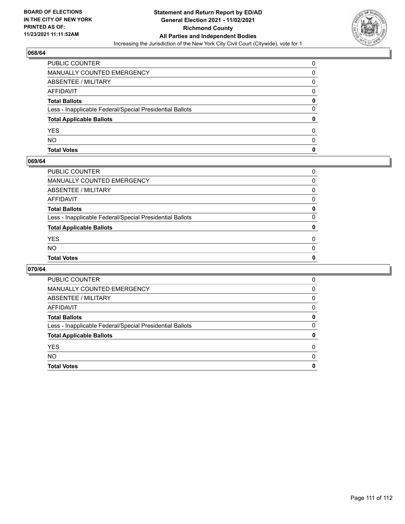

## **068/64**

| PUBLIC COUNTER                                           | 0 |
|----------------------------------------------------------|---|
| <b>MANUALLY COUNTED EMERGENCY</b>                        | 0 |
| ABSENTEE / MILITARY                                      | 0 |
| <b>AFFIDAVIT</b>                                         | 0 |
| <b>Total Ballots</b>                                     | 0 |
| Less - Inapplicable Federal/Special Presidential Ballots | 0 |
| <b>Total Applicable Ballots</b>                          | 0 |
| <b>YES</b>                                               | 0 |
| <b>NO</b>                                                | 0 |
| <b>Total Votes</b>                                       | 0 |

## **069/64**

| PUBLIC COUNTER                                           | 0        |
|----------------------------------------------------------|----------|
| MANUALLY COUNTED EMERGENCY                               | $\Omega$ |
| ABSENTEE / MILITARY                                      | 0        |
| AFFIDAVIT                                                | $\Omega$ |
| Total Ballots                                            | 0        |
| Less - Inapplicable Federal/Special Presidential Ballots | $\Omega$ |
| <b>Total Applicable Ballots</b>                          | 0        |
| YES                                                      | $\Omega$ |
| NO.                                                      | $\Omega$ |
| <b>Total Votes</b>                                       | 0        |
|                                                          |          |

# **070/64**

| <b>Total Votes</b>                                       | 0 |
|----------------------------------------------------------|---|
| <b>NO</b>                                                | 0 |
| <b>YES</b>                                               | 0 |
| <b>Total Applicable Ballots</b>                          | 0 |
| Less - Inapplicable Federal/Special Presidential Ballots | 0 |
| <b>Total Ballots</b>                                     | 0 |
| AFFIDAVIT                                                | 0 |
| ABSENTEE / MILITARY                                      | 0 |
| <b>MANUALLY COUNTED EMERGENCY</b>                        | 0 |
| PUBLIC COUNTER                                           | 0 |